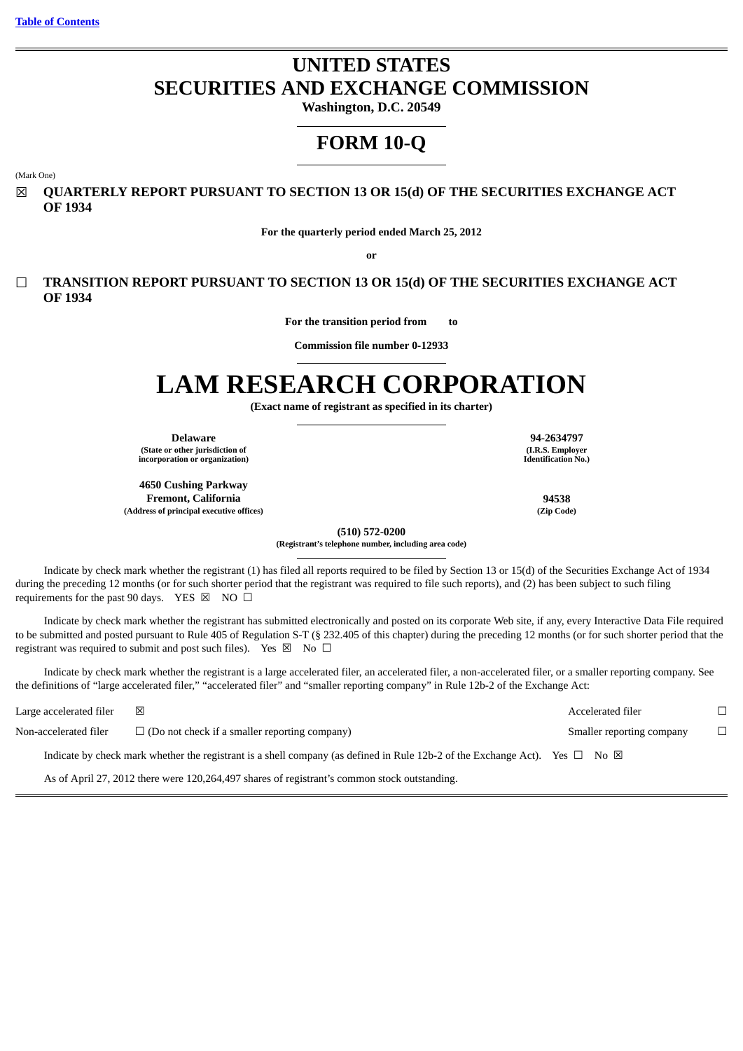# **UNITED STATES SECURITIES AND EXCHANGE COMMISSION**

**Washington, D.C. 20549**

## **FORM 10-Q**

(Mark One)

☒ **QUARTERLY REPORT PURSUANT TO SECTION 13 OR 15(d) OF THE SECURITIES EXCHANGE ACT OF 1934**

**For the quarterly period ended March 25, 2012**

**or**

☐ **TRANSITION REPORT PURSUANT TO SECTION 13 OR 15(d) OF THE SECURITIES EXCHANGE ACT OF 1934**

**For the transition period from to**

**Commission file number 0-12933**

# **LAM RESEARCH CORPORATION**

**(Exact name of registrant as specified in its charter)**

**Delaware 94-2634797 (State or other jurisdiction of incorporation or organization)**

**4650 Cushing Parkway Fremont, California 94538 (Address of principal executive offices) (Zip Code)**

**(I.R.S. Employer Identification No.)**

**(510) 572-0200**

**(Registrant's telephone number, including area code)**

Indicate by check mark whether the registrant (1) has filed all reports required to be filed by Section 13 or 15(d) of the Securities Exchange Act of 1934 during the preceding 12 months (or for such shorter period that the registrant was required to file such reports), and (2) has been subject to such filing requirements for the past 90 days. YES  $\boxtimes$  NO  $\Box$ 

Indicate by check mark whether the registrant has submitted electronically and posted on its corporate Web site, if any, every Interactive Data File required to be submitted and posted pursuant to Rule 405 of Regulation S-T (§ 232.405 of this chapter) during the preceding 12 months (or for such shorter period that the registrant was required to submit and post such files). Yes  $\boxtimes$  No  $\Box$ 

Indicate by check mark whether the registrant is a large accelerated filer, an accelerated filer, a non-accelerated filer, or a smaller reporting company. See the definitions of "large accelerated filer," "accelerated filer" and "smaller reporting company" in Rule 12b-2 of the Exchange Act:

Large accelerated filer  $□$   $□$ 

Non-accelerated filer □ (Do not check if a smaller reporting company) Smaller reporting company □

Indicate by check mark whether the registrant is a shell company (as defined in Rule 12b-2 of the Exchange Act). Yes  $\Box$  No  $\boxtimes$ 

As of April 27, 2012 there were 120,264,497 shares of registrant's common stock outstanding.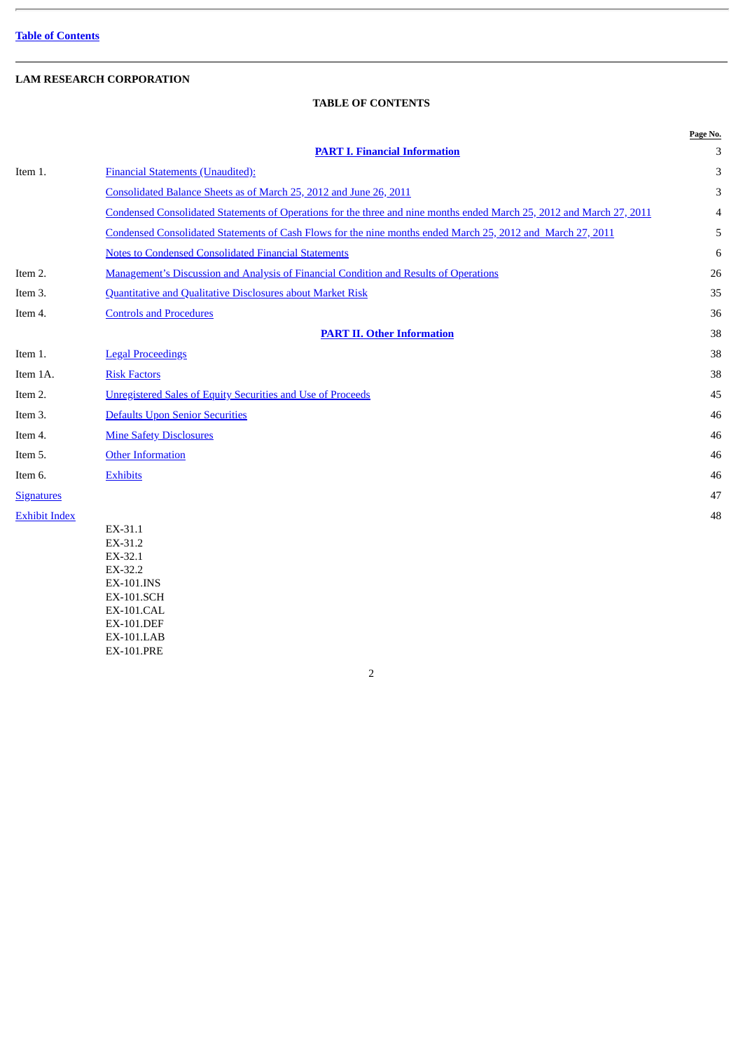L.

## <span id="page-1-0"></span>**LAM RESEARCH CORPORATION**

## **TABLE OF CONTENTS**

|                      |                                                                                                                       | Page No. |
|----------------------|-----------------------------------------------------------------------------------------------------------------------|----------|
|                      | <b>PART I. Financial Information</b>                                                                                  | 3        |
| Item 1.              | <b>Financial Statements (Unaudited):</b>                                                                              | 3        |
|                      | Consolidated Balance Sheets as of March 25, 2012 and June 26, 2011                                                    | 3        |
|                      | Condensed Consolidated Statements of Operations for the three and nine months ended March 25, 2012 and March 27, 2011 | 4        |
|                      | Condensed Consolidated Statements of Cash Flows for the nine months ended March 25, 2012 and March 27, 2011           | 5        |
|                      | <b>Notes to Condensed Consolidated Financial Statements</b>                                                           | 6        |
| Item 2.              | <b>Management's Discussion and Analysis of Financial Condition and Results of Operations</b>                          | 26       |
| Item 3.              | Quantitative and Qualitative Disclosures about Market Risk                                                            | 35       |
| Item 4.              | <b>Controls and Procedures</b>                                                                                        | 36       |
|                      | <b>PART II. Other Information</b>                                                                                     | 38       |
| Item 1.              | <b>Legal Proceedings</b>                                                                                              | 38       |
| Item 1A.             | <b>Risk Factors</b>                                                                                                   | 38       |
| Item 2.              | <b>Unregistered Sales of Equity Securities and Use of Proceeds</b>                                                    | 45       |
| Item 3.              | <b>Defaults Upon Senior Securities</b>                                                                                | 46       |
| Item 4.              | <b>Mine Safety Disclosures</b>                                                                                        | 46       |
| Item 5.              | <b>Other Information</b>                                                                                              | 46       |
| Item 6.              | <b>Exhibits</b>                                                                                                       | 46       |
| <b>Signatures</b>    |                                                                                                                       | 47       |
| <b>Exhibit Index</b> |                                                                                                                       | 48       |
|                      | EX-31.1                                                                                                               |          |
|                      | EX-31.2<br>EX-32.1                                                                                                    |          |
|                      | EX-32.2                                                                                                               |          |
|                      | <b>EX-101.INS</b>                                                                                                     |          |
|                      | <b>EX-101.SCH</b>                                                                                                     |          |
|                      | <b>EX-101.CAL</b>                                                                                                     |          |

2

EX-101.DEF EX-101.LAB EX-101.PRE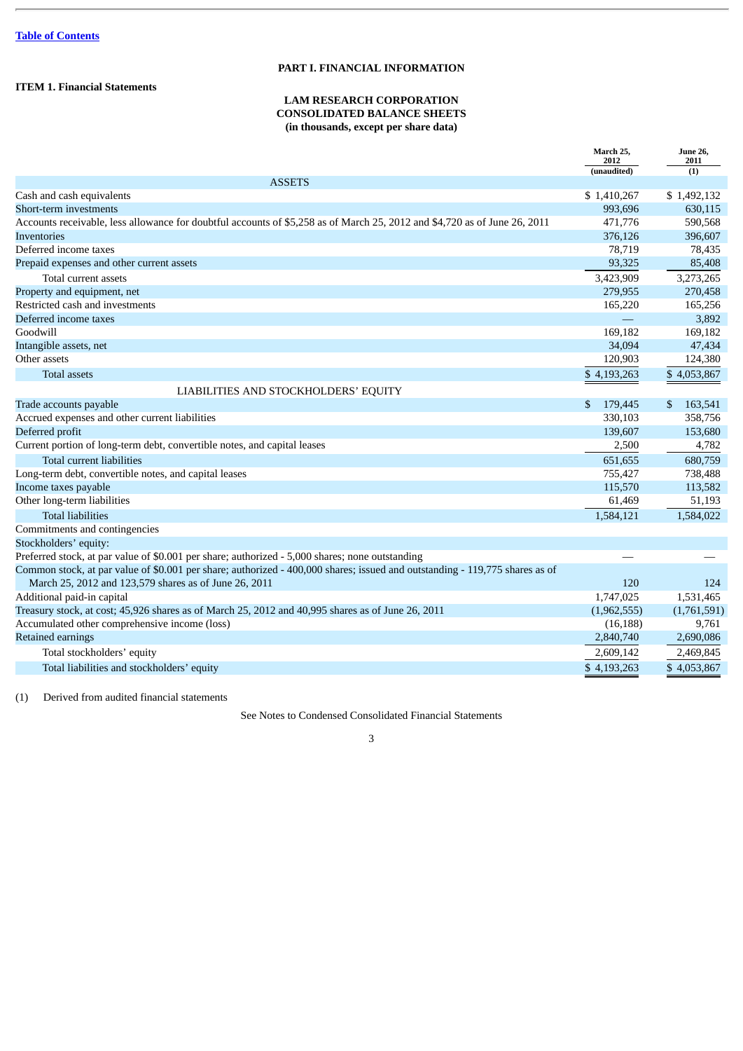#### <span id="page-2-2"></span><span id="page-2-1"></span><span id="page-2-0"></span>**ITEM 1. Financial Statements**

## **PART I. FINANCIAL INFORMATION**

## **LAM RESEARCH CORPORATION CONSOLIDATED BALANCE SHEETS (in thousands, except per share data)**

|                                                                                                                             | March 25,<br>2012<br>(unaudited) | <b>June 26,</b><br>2011<br>(1) |
|-----------------------------------------------------------------------------------------------------------------------------|----------------------------------|--------------------------------|
| <b>ASSETS</b>                                                                                                               |                                  |                                |
| Cash and cash equivalents                                                                                                   | \$1,410,267                      | \$1,492,132                    |
| Short-term investments                                                                                                      | 993,696                          | 630,115                        |
| Accounts receivable, less allowance for doubtful accounts of \$5,258 as of March 25, 2012 and \$4,720 as of June 26, 2011   | 471,776                          | 590,568                        |
| <b>Inventories</b>                                                                                                          | 376,126                          | 396,607                        |
| Deferred income taxes                                                                                                       | 78,719                           | 78,435                         |
| Prepaid expenses and other current assets                                                                                   | 93,325                           | 85,408                         |
| Total current assets                                                                                                        | 3,423,909                        | 3,273,265                      |
| Property and equipment, net                                                                                                 | 279,955                          | 270,458                        |
| Restricted cash and investments                                                                                             | 165,220                          | 165,256                        |
| Deferred income taxes                                                                                                       |                                  | 3,892                          |
| Goodwill                                                                                                                    | 169,182                          | 169,182                        |
| Intangible assets, net                                                                                                      | 34,094                           | 47,434                         |
| Other assets                                                                                                                | 120,903                          | 124,380                        |
| <b>Total assets</b>                                                                                                         | \$4,193,263                      | \$4,053,867                    |
| LIABILITIES AND STOCKHOLDERS' EQUITY                                                                                        |                                  |                                |
| Trade accounts payable                                                                                                      | \$<br>179,445                    | 163,541<br>\$                  |
| Accrued expenses and other current liabilities                                                                              | 330,103                          | 358,756                        |
| Deferred profit                                                                                                             | 139,607                          | 153,680                        |
| Current portion of long-term debt, convertible notes, and capital leases                                                    | 2,500                            | 4,782                          |
| <b>Total current liabilities</b>                                                                                            | 651,655                          | 680,759                        |
| Long-term debt, convertible notes, and capital leases                                                                       | 755,427                          | 738,488                        |
| Income taxes payable                                                                                                        | 115,570                          | 113,582                        |
| Other long-term liabilities                                                                                                 | 61,469                           | 51,193                         |
| <b>Total liabilities</b>                                                                                                    | 1,584,121                        | 1,584,022                      |
| Commitments and contingencies                                                                                               |                                  |                                |
| Stockholders' equity:                                                                                                       |                                  |                                |
| Preferred stock, at par value of \$0.001 per share; authorized - 5,000 shares; none outstanding                             |                                  |                                |
| Common stock, at par value of \$0.001 per share; authorized - 400,000 shares; issued and outstanding - 119,775 shares as of |                                  |                                |
| March 25, 2012 and 123,579 shares as of June 26, 2011                                                                       | 120                              | 124                            |
| Additional paid-in capital                                                                                                  | 1,747,025                        | 1,531,465                      |
| Treasury stock, at cost; 45,926 shares as of March 25, 2012 and 40,995 shares as of June 26, 2011                           | (1,962,555)                      | (1,761,591)                    |
| Accumulated other comprehensive income (loss)                                                                               | (16, 188)                        | 9,761                          |
| Retained earnings                                                                                                           | 2,840,740                        | 2,690,086                      |
| Total stockholders' equity                                                                                                  | 2,609,142                        | 2,469,845                      |
| Total liabilities and stockholders' equity                                                                                  | \$4,193,263                      | \$4,053,867                    |

(1) Derived from audited financial statements

See Notes to Condensed Consolidated Financial Statements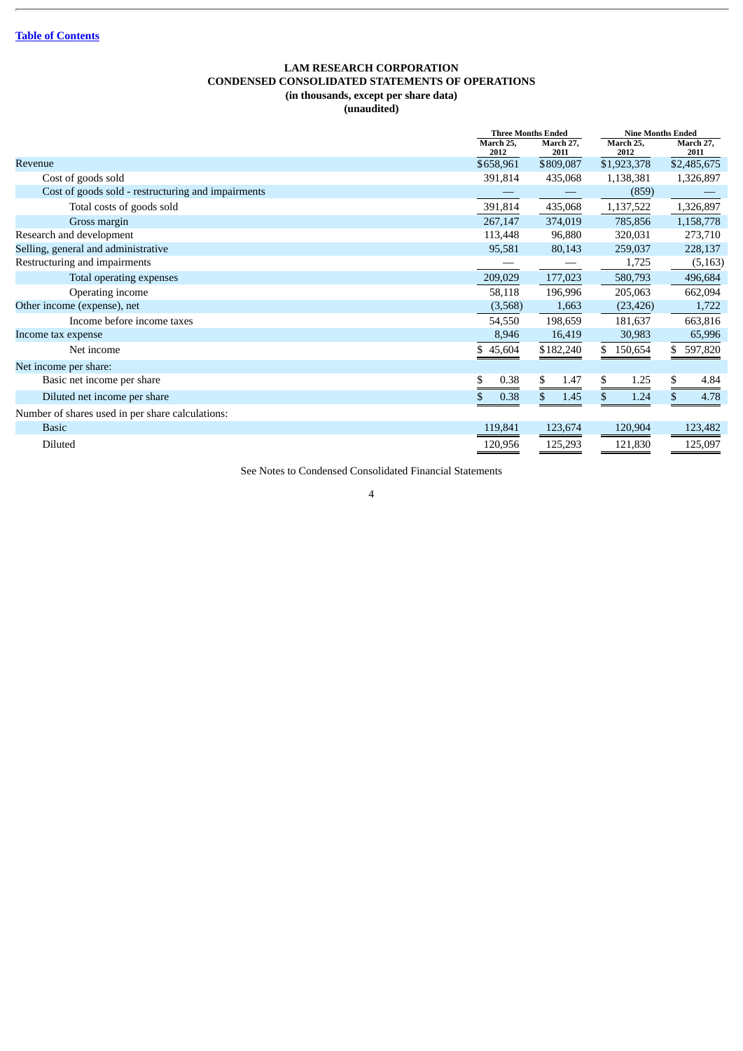## **LAM RESEARCH CORPORATION CONDENSED CONSOLIDATED STATEMENTS OF OPERATIONS (in thousands, except per share data) (unaudited)**

<span id="page-3-0"></span>

|                                                    | <b>Three Months Ended</b> |                   | <b>Nine Months Ended</b> |                   |  |
|----------------------------------------------------|---------------------------|-------------------|--------------------------|-------------------|--|
|                                                    | March 25.<br>2012         | March 27.<br>2011 | March 25,<br>2012        | March 27,<br>2011 |  |
| Revenue                                            | \$658,961                 | \$809,087         | \$1,923,378              | \$2,485,675       |  |
| Cost of goods sold                                 | 391,814                   | 435,068           | 1,138,381                | 1,326,897         |  |
| Cost of goods sold - restructuring and impairments |                           |                   | (859)                    |                   |  |
| Total costs of goods sold                          | 391,814                   | 435,068           | 1,137,522                | 1,326,897         |  |
| Gross margin                                       | 267,147                   | 374,019           | 785,856                  | 1,158,778         |  |
| Research and development                           | 113,448                   | 96,880            | 320,031                  | 273,710           |  |
| Selling, general and administrative                | 95,581                    | 80,143            | 259,037                  | 228,137           |  |
| Restructuring and impairments                      |                           |                   | 1,725                    | (5, 163)          |  |
| Total operating expenses                           | 209,029                   | 177,023           | 580,793                  | 496,684           |  |
| Operating income                                   | 58,118                    | 196,996           | 205,063                  | 662,094           |  |
| Other income (expense), net                        | (3,568)                   | 1,663             | (23, 426)                | 1,722             |  |
| Income before income taxes                         | 54,550                    | 198,659           | 181,637                  | 663,816           |  |
| Income tax expense                                 | 8,946                     | 16,419            | 30,983                   | 65,996            |  |
| Net income                                         | 45,604                    | \$182,240         | 150,654                  | 597,820           |  |
| Net income per share:                              |                           |                   |                          |                   |  |
| Basic net income per share                         | 0.38                      | 1.47<br>S.        | 1.25<br>S                | 4.84              |  |
| Diluted net income per share                       | 0.38                      | 1.45              | 1.24                     | 4.78              |  |
| Number of shares used in per share calculations:   |                           |                   |                          |                   |  |
| <b>Basic</b>                                       | 119,841                   | 123,674           | 120,904                  | 123,482           |  |
| Diluted                                            | 120,956                   | 125,293           | 121,830                  | 125,097           |  |

See Notes to Condensed Consolidated Financial Statements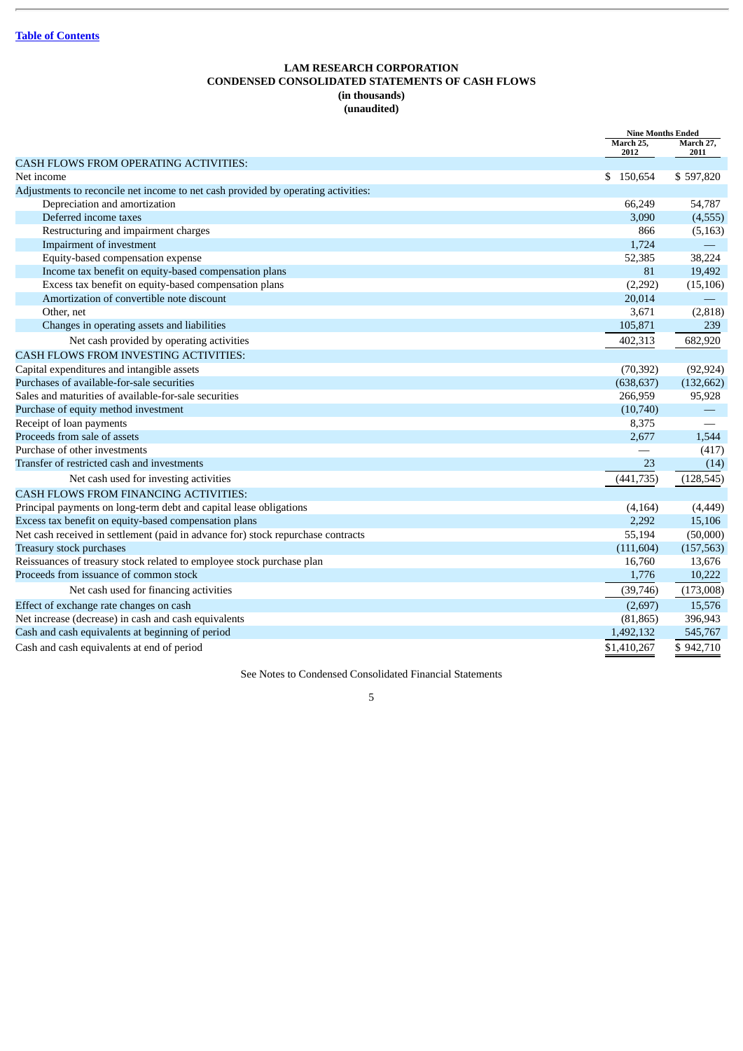## **LAM RESEARCH CORPORATION CONDENSED CONSOLIDATED STATEMENTS OF CASH FLOWS (in thousands) (unaudited)**

<span id="page-4-0"></span>

|                                                                                   | <b>Nine Months Ended</b><br>March 25, | March 27,  |
|-----------------------------------------------------------------------------------|---------------------------------------|------------|
|                                                                                   | 2012                                  | 2011       |
| <b>CASH FLOWS FROM OPERATING ACTIVITIES:</b>                                      |                                       |            |
| Net income                                                                        | \$150,654                             | \$597,820  |
| Adjustments to reconcile net income to net cash provided by operating activities: |                                       |            |
| Depreciation and amortization                                                     | 66,249                                | 54,787     |
| Deferred income taxes                                                             | 3,090                                 | (4, 555)   |
| Restructuring and impairment charges                                              | 866                                   | (5, 163)   |
| Impairment of investment                                                          | 1,724                                 |            |
| Equity-based compensation expense                                                 | 52,385                                | 38,224     |
| Income tax benefit on equity-based compensation plans                             | 81                                    | 19,492     |
| Excess tax benefit on equity-based compensation plans                             | (2,292)                               | (15, 106)  |
| Amortization of convertible note discount                                         | 20,014                                |            |
| Other, net                                                                        | 3,671                                 | (2,818)    |
| Changes in operating assets and liabilities                                       | 105,871                               | 239        |
| Net cash provided by operating activities                                         | 402,313                               | 682,920    |
| CASH FLOWS FROM INVESTING ACTIVITIES:                                             |                                       |            |
| Capital expenditures and intangible assets                                        | (70, 392)                             | (92, 924)  |
| Purchases of available-for-sale securities                                        | (638, 637)                            | (132, 662) |
| Sales and maturities of available-for-sale securities                             | 266,959                               | 95,928     |
| Purchase of equity method investment                                              | (10,740)                              |            |
| Receipt of loan payments                                                          | 8,375                                 |            |
| Proceeds from sale of assets                                                      | 2,677                                 | 1,544      |
| Purchase of other investments                                                     |                                       | (417)      |
| Transfer of restricted cash and investments                                       | 23                                    | (14)       |
| Net cash used for investing activities                                            | (441, 735)                            | (128, 545) |
| <b>CASH FLOWS FROM FINANCING ACTIVITIES:</b>                                      |                                       |            |
| Principal payments on long-term debt and capital lease obligations                | (4, 164)                              | (4, 449)   |
| Excess tax benefit on equity-based compensation plans                             | 2,292                                 | 15,106     |
| Net cash received in settlement (paid in advance for) stock repurchase contracts  | 55,194                                | (50,000)   |
| Treasury stock purchases                                                          | (111, 604)                            | (157, 563) |
| Reissuances of treasury stock related to employee stock purchase plan             | 16,760                                | 13,676     |
| Proceeds from issuance of common stock                                            | 1,776                                 | 10,222     |
| Net cash used for financing activities                                            | (39, 746)                             | (173,008)  |
| Effect of exchange rate changes on cash                                           | (2,697)                               | 15,576     |
| Net increase (decrease) in cash and cash equivalents                              | (81, 865)                             | 396,943    |
| Cash and cash equivalents at beginning of period                                  | 1,492,132                             | 545,767    |
| Cash and cash equivalents at end of period                                        | \$1,410,267                           | \$942,710  |

See Notes to Condensed Consolidated Financial Statements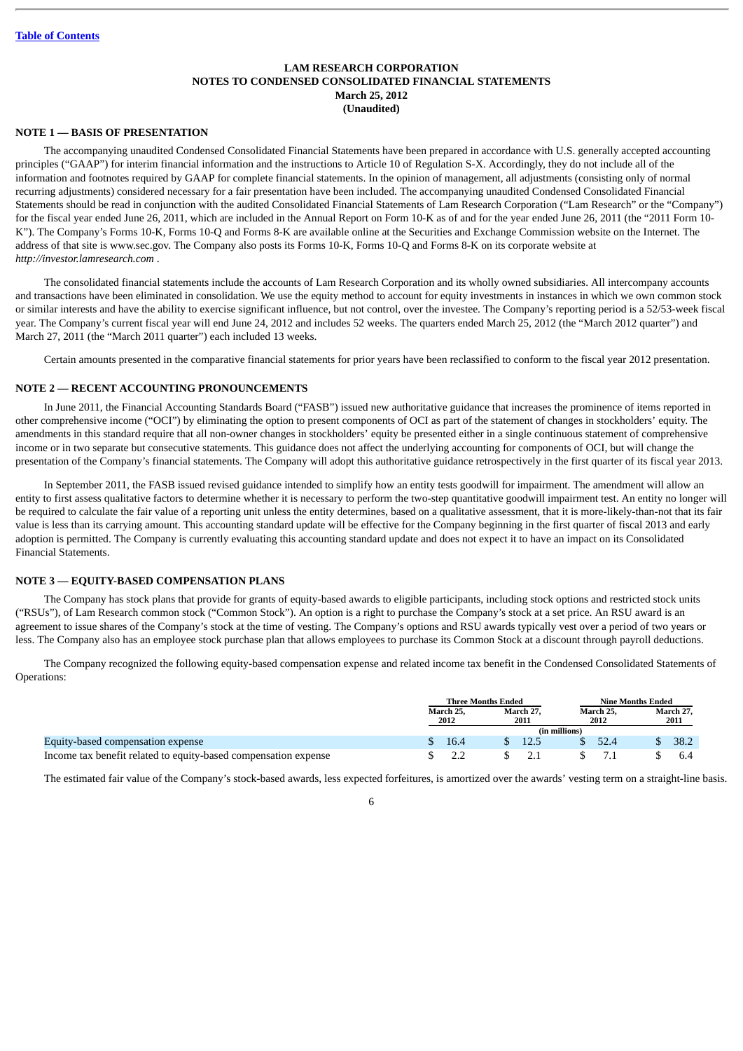#### **LAM RESEARCH CORPORATION NOTES TO CONDENSED CONSOLIDATED FINANCIAL STATEMENTS March 25, 2012 (Unaudited)**

## <span id="page-5-0"></span>**NOTE 1 — BASIS OF PRESENTATION**

The accompanying unaudited Condensed Consolidated Financial Statements have been prepared in accordance with U.S. generally accepted accounting principles ("GAAP") for interim financial information and the instructions to Article 10 of Regulation S-X. Accordingly, they do not include all of the information and footnotes required by GAAP for complete financial statements. In the opinion of management, all adjustments (consisting only of normal recurring adjustments) considered necessary for a fair presentation have been included. The accompanying unaudited Condensed Consolidated Financial Statements should be read in conjunction with the audited Consolidated Financial Statements of Lam Research Corporation ("Lam Research" or the "Company") for the fiscal year ended June 26, 2011, which are included in the Annual Report on Form 10-K as of and for the year ended June 26, 2011 (the "2011 Form 10- K"). The Company's Forms 10-K, Forms 10-Q and Forms 8-K are available online at the Securities and Exchange Commission website on the Internet. The address of that site is www.sec.gov. The Company also posts its Forms 10-K, Forms 10-Q and Forms 8-K on its corporate website at *http://investor.lamresearch.com* .

The consolidated financial statements include the accounts of Lam Research Corporation and its wholly owned subsidiaries. All intercompany accounts and transactions have been eliminated in consolidation. We use the equity method to account for equity investments in instances in which we own common stock or similar interests and have the ability to exercise significant influence, but not control, over the investee. The Company's reporting period is a 52/53-week fiscal year. The Company's current fiscal year will end June 24, 2012 and includes 52 weeks. The quarters ended March 25, 2012 (the "March 2012 quarter") and March 27, 2011 (the "March 2011 quarter") each included 13 weeks.

Certain amounts presented in the comparative financial statements for prior years have been reclassified to conform to the fiscal year 2012 presentation.

#### **NOTE 2 — RECENT ACCOUNTING PRONOUNCEMENTS**

In June 2011, the Financial Accounting Standards Board ("FASB") issued new authoritative guidance that increases the prominence of items reported in other comprehensive income ("OCI") by eliminating the option to present components of OCI as part of the statement of changes in stockholders' equity. The amendments in this standard require that all non-owner changes in stockholders' equity be presented either in a single continuous statement of comprehensive income or in two separate but consecutive statements. This guidance does not affect the underlying accounting for components of OCI, but will change the presentation of the Company's financial statements. The Company will adopt this authoritative guidance retrospectively in the first quarter of its fiscal year 2013.

In September 2011, the FASB issued revised guidance intended to simplify how an entity tests goodwill for impairment. The amendment will allow an entity to first assess qualitative factors to determine whether it is necessary to perform the two-step quantitative goodwill impairment test. An entity no longer will be required to calculate the fair value of a reporting unit unless the entity determines, based on a qualitative assessment, that it is more-likely-than-not that its fair value is less than its carrying amount. This accounting standard update will be effective for the Company beginning in the first quarter of fiscal 2013 and early adoption is permitted. The Company is currently evaluating this accounting standard update and does not expect it to have an impact on its Consolidated Financial Statements.

#### **NOTE 3 — EQUITY-BASED COMPENSATION PLANS**

The Company has stock plans that provide for grants of equity-based awards to eligible participants, including stock options and restricted stock units ("RSUs"), of Lam Research common stock ("Common Stock"). An option is a right to purchase the Company's stock at a set price. An RSU award is an agreement to issue shares of the Company's stock at the time of vesting. The Company's options and RSU awards typically vest over a period of two years or less. The Company also has an employee stock purchase plan that allows employees to purchase its Common Stock at a discount through payroll deductions.

The Company recognized the following equity-based compensation expense and related income tax benefit in the Condensed Consolidated Statements of Operations:

|                                                                 |                   | Three Months Ended |                   |               | <b>Nine Months Ended</b> |  |           |  |                   |
|-----------------------------------------------------------------|-------------------|--------------------|-------------------|---------------|--------------------------|--|-----------|--|-------------------|
|                                                                 | March 25.<br>2012 |                    | March 27.<br>2011 |               | 2012                     |  | March 25. |  | March 27.<br>2011 |
|                                                                 |                   |                    |                   | (in millions) |                          |  |           |  |                   |
| Equity-based compensation expense                               | 16.4              |                    |                   |               |                          |  | 38.2      |  |                   |
| Income tax benefit related to equity-based compensation expense | - - -             |                    |                   |               |                          |  |           |  |                   |

The estimated fair value of the Company's stock-based awards, less expected forfeitures, is amortized over the awards' vesting term on a straight-line basis.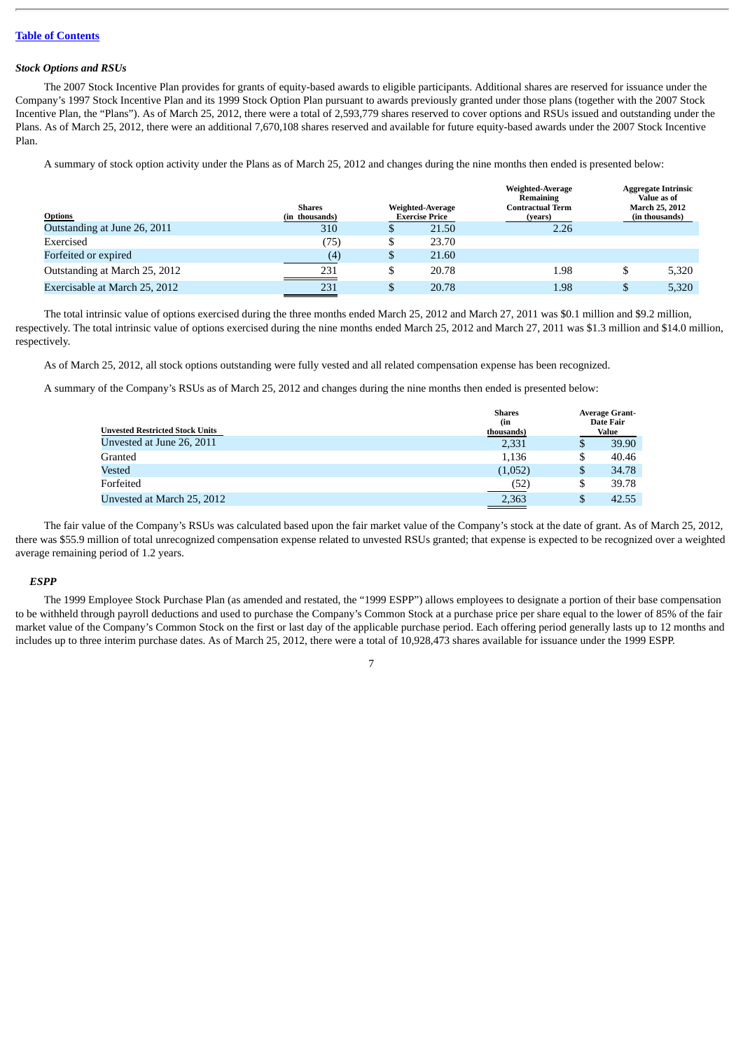#### *Stock Options and RSUs*

The 2007 Stock Incentive Plan provides for grants of equity-based awards to eligible participants. Additional shares are reserved for issuance under the Company's 1997 Stock Incentive Plan and its 1999 Stock Option Plan pursuant to awards previously granted under those plans (together with the 2007 Stock Incentive Plan, the "Plans"). As of March 25, 2012, there were a total of 2,593,779 shares reserved to cover options and RSUs issued and outstanding under the Plans. As of March 25, 2012, there were an additional 7,670,108 shares reserved and available for future equity-based awards under the 2007 Stock Incentive Plan.

A summary of stock option activity under the Plans as of March 25, 2012 and changes during the nine months then ended is presented below:

|                               |                                 |                                           |       | <b>Weighted-Average</b><br>Remaining | <b>Aggregate Intrinsic</b><br>Value as of |                                    |                                         |
|-------------------------------|---------------------------------|-------------------------------------------|-------|--------------------------------------|-------------------------------------------|------------------------------------|-----------------------------------------|
| <b>Options</b>                | <b>Shares</b><br>(in thousands) | Weighted-Average<br><b>Exercise Price</b> |       |                                      |                                           | <b>Contractual Term</b><br>(years) | <b>March 25, 2012</b><br>(in thousands) |
| Outstanding at June 26, 2011  | 310                             |                                           | 21.50 | 2.26                                 |                                           |                                    |                                         |
| Exercised                     | (75)                            |                                           | 23.70 |                                      |                                           |                                    |                                         |
| Forfeited or expired          | (4)                             | \$                                        | 21.60 |                                      |                                           |                                    |                                         |
| Outstanding at March 25, 2012 | 231                             |                                           | 20.78 | 1.98                                 | 5,320                                     |                                    |                                         |
| Exercisable at March 25, 2012 | 231                             |                                           | 20.78 | 1.98                                 | 5,320                                     |                                    |                                         |

The total intrinsic value of options exercised during the three months ended March 25, 2012 and March 27, 2011 was \$0.1 million and \$9.2 million, respectively. The total intrinsic value of options exercised during the nine months ended March 25, 2012 and March 27, 2011 was \$1.3 million and \$14.0 million, respectively.

As of March 25, 2012, all stock options outstanding were fully vested and all related compensation expense has been recognized.

A summary of the Company's RSUs as of March 25, 2012 and changes during the nine months then ended is presented below:

| Unvested Restricted Stock Units | <b>Shares</b><br>(in<br>thousands) |    | <b>Average Grant-</b><br>Date Fair<br>Value |
|---------------------------------|------------------------------------|----|---------------------------------------------|
| Unvested at June 26, 2011       | 2,331                              | Φ  | 39.90                                       |
| Granted                         | 1.136                              | S  | 40.46                                       |
| <b>Vested</b>                   | (1,052)                            | \$ | 34.78                                       |
| Forfeited                       | (52)                               | S  | 39.78                                       |
| Unvested at March 25, 2012      | 2,363                              | S  | 42.55                                       |

The fair value of the Company's RSUs was calculated based upon the fair market value of the Company's stock at the date of grant. As of March 25, 2012, there was \$55.9 million of total unrecognized compensation expense related to unvested RSUs granted; that expense is expected to be recognized over a weighted average remaining period of 1.2 years.

#### *ESPP*

The 1999 Employee Stock Purchase Plan (as amended and restated, the "1999 ESPP") allows employees to designate a portion of their base compensation to be withheld through payroll deductions and used to purchase the Company's Common Stock at a purchase price per share equal to the lower of 85% of the fair market value of the Company's Common Stock on the first or last day of the applicable purchase period. Each offering period generally lasts up to 12 months and includes up to three interim purchase dates. As of March 25, 2012, there were a total of 10,928,473 shares available for issuance under the 1999 ESPP.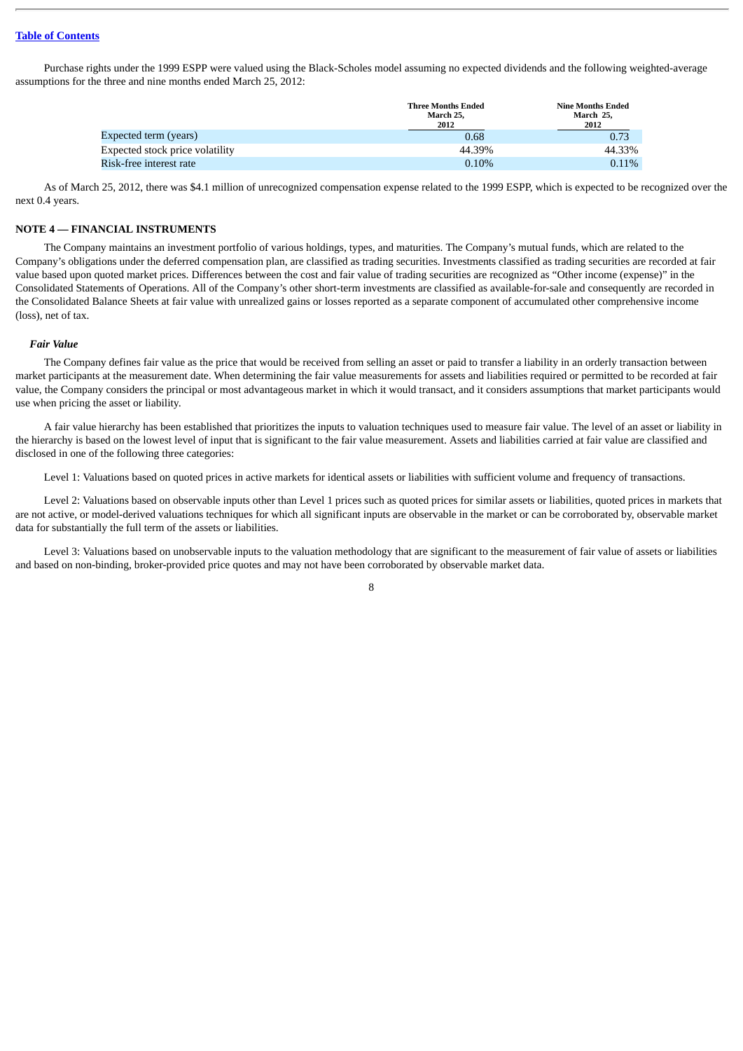Purchase rights under the 1999 ESPP were valued using the Black-Scholes model assuming no expected dividends and the following weighted-average assumptions for the three and nine months ended March 25, 2012:

|                                 | <b>Three Months Ended</b><br>March 25.<br>2012 | <b>Nine Months Ended</b><br>March 25.<br>2012 |
|---------------------------------|------------------------------------------------|-----------------------------------------------|
| Expected term (years)           | 0.68                                           | 0.73                                          |
| Expected stock price volatility | 44.39%                                         | 44.33%                                        |
| Risk-free interest rate         | $0.10\%$                                       | $0.11\%$                                      |

As of March 25, 2012, there was \$4.1 million of unrecognized compensation expense related to the 1999 ESPP, which is expected to be recognized over the next 0.4 years.

#### **NOTE 4 — FINANCIAL INSTRUMENTS**

The Company maintains an investment portfolio of various holdings, types, and maturities. The Company's mutual funds, which are related to the Company's obligations under the deferred compensation plan, are classified as trading securities. Investments classified as trading securities are recorded at fair value based upon quoted market prices. Differences between the cost and fair value of trading securities are recognized as "Other income (expense)" in the Consolidated Statements of Operations. All of the Company's other short-term investments are classified as available-for-sale and consequently are recorded in the Consolidated Balance Sheets at fair value with unrealized gains or losses reported as a separate component of accumulated other comprehensive income (loss), net of tax.

#### *Fair Value*

The Company defines fair value as the price that would be received from selling an asset or paid to transfer a liability in an orderly transaction between market participants at the measurement date. When determining the fair value measurements for assets and liabilities required or permitted to be recorded at fair value, the Company considers the principal or most advantageous market in which it would transact, and it considers assumptions that market participants would use when pricing the asset or liability.

A fair value hierarchy has been established that prioritizes the inputs to valuation techniques used to measure fair value. The level of an asset or liability in the hierarchy is based on the lowest level of input that is significant to the fair value measurement. Assets and liabilities carried at fair value are classified and disclosed in one of the following three categories:

Level 1: Valuations based on quoted prices in active markets for identical assets or liabilities with sufficient volume and frequency of transactions.

Level 2: Valuations based on observable inputs other than Level 1 prices such as quoted prices for similar assets or liabilities, quoted prices in markets that are not active, or model-derived valuations techniques for which all significant inputs are observable in the market or can be corroborated by, observable market data for substantially the full term of the assets or liabilities.

Level 3: Valuations based on unobservable inputs to the valuation methodology that are significant to the measurement of fair value of assets or liabilities and based on non-binding, broker-provided price quotes and may not have been corroborated by observable market data.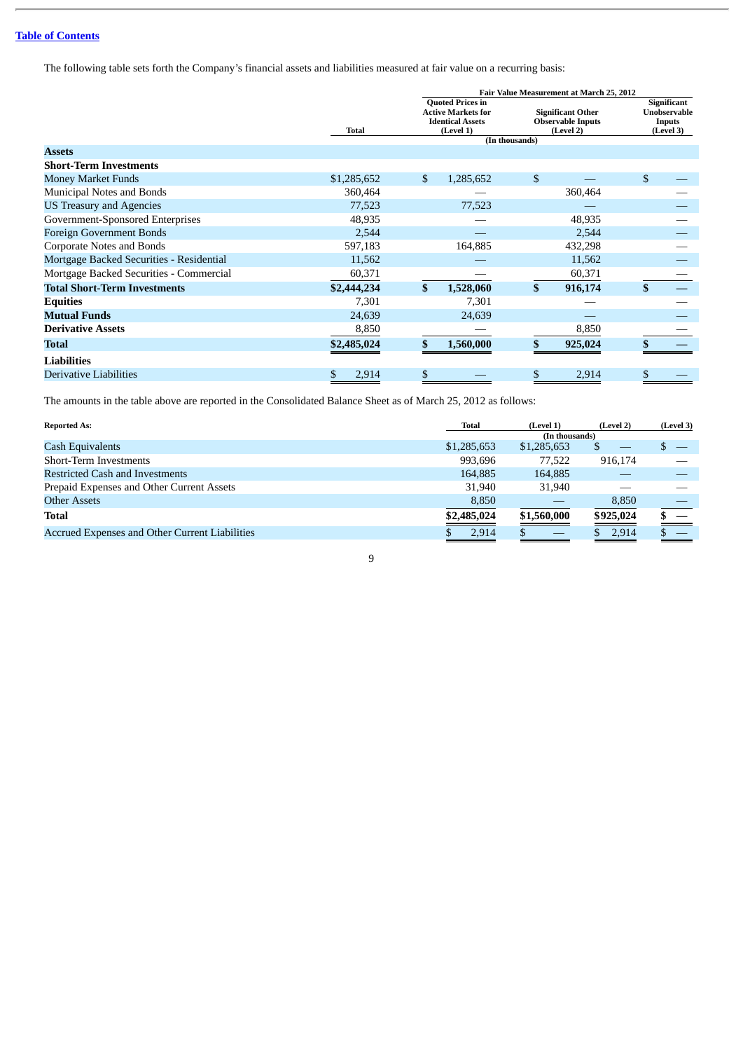The following table sets forth the Company's financial assets and liabilities measured at fair value on a recurring basis:

|                                          |              | Fair Value Measurement at March 25, 2012 |                                                                                              |                |                                                                   |    |                                                                  |
|------------------------------------------|--------------|------------------------------------------|----------------------------------------------------------------------------------------------|----------------|-------------------------------------------------------------------|----|------------------------------------------------------------------|
|                                          | <b>Total</b> |                                          | <b>Ouoted Prices in</b><br><b>Active Markets for</b><br><b>Identical Assets</b><br>(Level 1) |                | <b>Significant Other</b><br><b>Observable Inputs</b><br>(Level 2) |    | Significant<br><b>Unobservable</b><br><b>Inputs</b><br>(Level 3) |
|                                          |              |                                          |                                                                                              | (In thousands) |                                                                   |    |                                                                  |
| <b>Assets</b>                            |              |                                          |                                                                                              |                |                                                                   |    |                                                                  |
| <b>Short-Term Investments</b>            |              |                                          |                                                                                              |                |                                                                   |    |                                                                  |
| <b>Money Market Funds</b>                | \$1,285,652  | \$                                       | 1,285,652                                                                                    | \$             |                                                                   | \$ |                                                                  |
| Municipal Notes and Bonds                | 360,464      |                                          |                                                                                              |                | 360,464                                                           |    |                                                                  |
| <b>US Treasury and Agencies</b>          | 77,523       |                                          | 77,523                                                                                       |                |                                                                   |    |                                                                  |
| Government-Sponsored Enterprises         | 48,935       |                                          |                                                                                              |                | 48,935                                                            |    |                                                                  |
| <b>Foreign Government Bonds</b>          | 2,544        |                                          |                                                                                              |                | 2,544                                                             |    |                                                                  |
| Corporate Notes and Bonds                | 597,183      |                                          | 164,885                                                                                      |                | 432,298                                                           |    |                                                                  |
| Mortgage Backed Securities - Residential | 11,562       |                                          |                                                                                              |                | 11,562                                                            |    |                                                                  |
| Mortgage Backed Securities - Commercial  | 60,371       |                                          |                                                                                              |                | 60,371                                                            |    |                                                                  |
| <b>Total Short-Term Investments</b>      | \$2,444,234  | \$                                       | 1,528,060                                                                                    | \$             | 916,174                                                           |    |                                                                  |
| <b>Equities</b>                          | 7,301        |                                          | 7,301                                                                                        |                |                                                                   |    |                                                                  |
| <b>Mutual Funds</b>                      | 24,639       |                                          | 24,639                                                                                       |                |                                                                   |    |                                                                  |
| <b>Derivative Assets</b>                 | 8,850        |                                          |                                                                                              |                | 8,850                                                             |    |                                                                  |
| <b>Total</b>                             | \$2,485,024  |                                          | 1,560,000                                                                                    |                | 925,024                                                           |    |                                                                  |
| <b>Liabilities</b>                       |              |                                          |                                                                                              |                |                                                                   |    |                                                                  |
| Derivative Liabilities                   | 2,914<br>\$  | \$                                       |                                                                                              | \$             | 2,914                                                             | \$ |                                                                  |

The amounts in the table above are reported in the Consolidated Balance Sheet as of March 25, 2012 as follows:

| <b>Reported As:</b>                            | <b>Total</b> | (Level 1)      | (Level 2) | (Level 3) |
|------------------------------------------------|--------------|----------------|-----------|-----------|
|                                                |              | (In thousands) |           |           |
| <b>Cash Equivalents</b>                        | \$1,285,653  | \$1,285,653    |           |           |
| Short-Term Investments                         | 993,696      | 77,522         | 916,174   |           |
| <b>Restricted Cash and Investments</b>         | 164,885      | 164,885        |           |           |
| Prepaid Expenses and Other Current Assets      | 31.940       | 31,940         |           |           |
| <b>Other Assets</b>                            | 8,850        |                | 8,850     |           |
| <b>Total</b>                                   | \$2,485,024  | \$1,560,000    | \$925,024 |           |
| Accrued Expenses and Other Current Liabilities | 2,914        |                | 2,914     |           |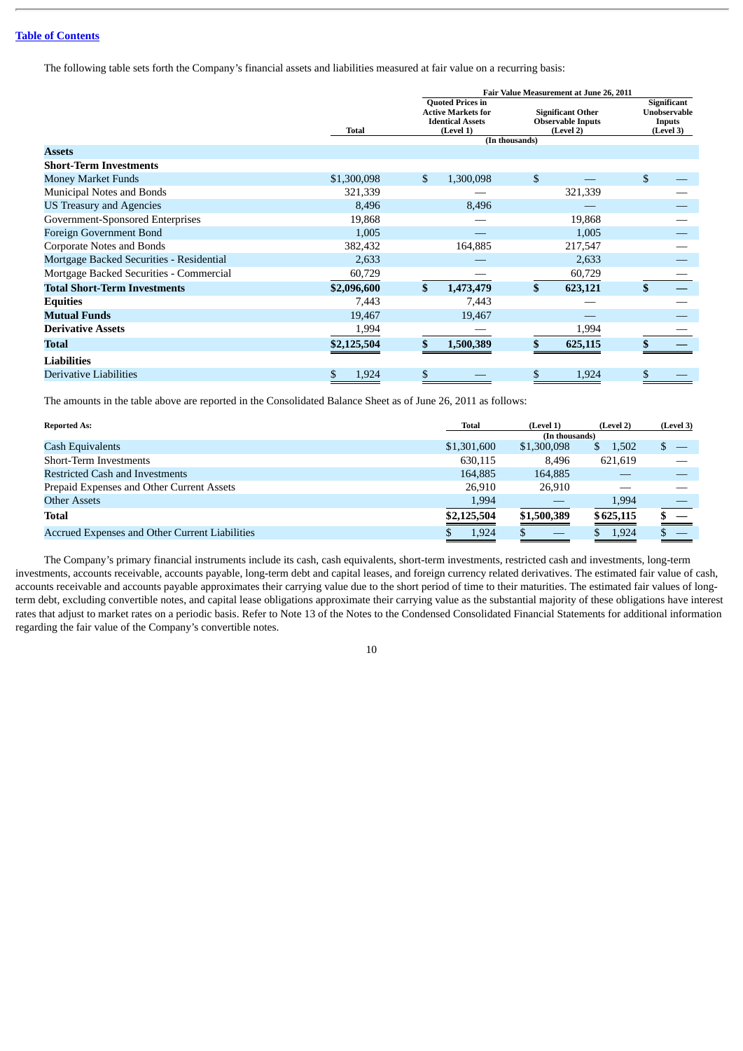The following table sets forth the Company's financial assets and liabilities measured at fair value on a recurring basis:

|                                                |              | Fair Value Measurement at June 26, 2011 |                                                                                              |                |                                                                   |    |                                                                  |
|------------------------------------------------|--------------|-----------------------------------------|----------------------------------------------------------------------------------------------|----------------|-------------------------------------------------------------------|----|------------------------------------------------------------------|
|                                                | <b>Total</b> |                                         | <b>Ouoted Prices in</b><br><b>Active Markets for</b><br><b>Identical Assets</b><br>(Level 1) |                | <b>Significant Other</b><br><b>Observable Inputs</b><br>(Level 2) |    | Significant<br><b>Unobservable</b><br><b>Inputs</b><br>(Level 3) |
|                                                |              |                                         |                                                                                              | (In thousands) |                                                                   |    |                                                                  |
| <b>Assets</b><br><b>Short-Term Investments</b> |              |                                         |                                                                                              |                |                                                                   |    |                                                                  |
|                                                |              |                                         |                                                                                              |                |                                                                   |    |                                                                  |
| <b>Money Market Funds</b>                      | \$1,300,098  | \$                                      | 1,300,098                                                                                    | \$             |                                                                   | \$ |                                                                  |
| Municipal Notes and Bonds                      | 321,339      |                                         |                                                                                              |                | 321,339                                                           |    |                                                                  |
| <b>US Treasury and Agencies</b>                | 8,496        |                                         | 8,496                                                                                        |                |                                                                   |    |                                                                  |
| Government-Sponsored Enterprises               | 19,868       |                                         |                                                                                              |                | 19,868                                                            |    |                                                                  |
| Foreign Government Bond                        | 1,005        |                                         |                                                                                              |                | 1,005                                                             |    |                                                                  |
| <b>Corporate Notes and Bonds</b>               | 382,432      |                                         | 164,885                                                                                      |                | 217,547                                                           |    |                                                                  |
| Mortgage Backed Securities - Residential       | 2,633        |                                         |                                                                                              |                | 2,633                                                             |    |                                                                  |
| Mortgage Backed Securities - Commercial        | 60,729       |                                         |                                                                                              |                | 60,729                                                            |    |                                                                  |
| <b>Total Short-Term Investments</b>            | \$2,096,600  | \$                                      | 1,473,479                                                                                    | \$             | 623,121                                                           |    |                                                                  |
| <b>Equities</b>                                | 7,443        |                                         | 7,443                                                                                        |                |                                                                   |    |                                                                  |
| <b>Mutual Funds</b>                            | 19,467       |                                         | 19,467                                                                                       |                |                                                                   |    |                                                                  |
| <b>Derivative Assets</b>                       | 1,994        |                                         |                                                                                              |                | 1,994                                                             |    |                                                                  |
| <b>Total</b>                                   | \$2,125,504  |                                         | 1,500,389                                                                                    |                | 625,115                                                           |    |                                                                  |
| <b>Liabilities</b>                             |              |                                         |                                                                                              |                |                                                                   |    |                                                                  |
| Derivative Liabilities                         | 1,924<br>\$  | \$                                      |                                                                                              | \$             | 1,924                                                             | \$ |                                                                  |

The amounts in the table above are reported in the Consolidated Balance Sheet as of June 26, 2011 as follows:

| <b>Reported As:</b>                            | Total       | (Level 1)      | (Level 2)   | (Level 3) |
|------------------------------------------------|-------------|----------------|-------------|-----------|
|                                                |             | (In thousands) |             |           |
| <b>Cash Equivalents</b>                        | \$1,301,600 | \$1,300,098    | 1,502<br>S. |           |
| Short-Term Investments                         | 630,115     | 8.496          | 621,619     |           |
| <b>Restricted Cash and Investments</b>         | 164,885     | 164,885        |             |           |
| Prepaid Expenses and Other Current Assets      | 26.910      | 26,910         |             |           |
| <b>Other Assets</b>                            | 1,994       |                | 1,994       |           |
| <b>Total</b>                                   | \$2,125,504 | \$1,500,389    | \$625,115   |           |
| Accrued Expenses and Other Current Liabilities | 1,924       |                | 1,924       |           |

The Company's primary financial instruments include its cash, cash equivalents, short-term investments, restricted cash and investments, long-term investments, accounts receivable, accounts payable, long-term debt and capital leases, and foreign currency related derivatives. The estimated fair value of cash, accounts receivable and accounts payable approximates their carrying value due to the short period of time to their maturities. The estimated fair values of longterm debt, excluding convertible notes, and capital lease obligations approximate their carrying value as the substantial majority of these obligations have interest rates that adjust to market rates on a periodic basis. Refer to Note 13 of the Notes to the Condensed Consolidated Financial Statements for additional information regarding the fair value of the Company's convertible notes.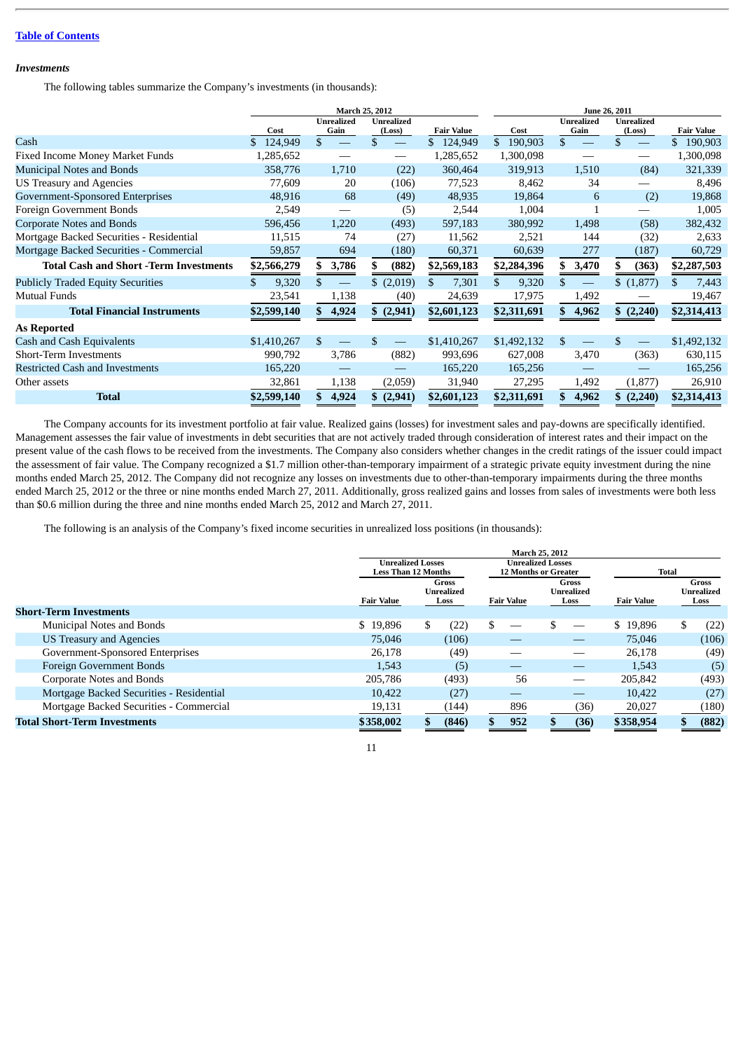#### *Investments*

The following tables summarize the Company's investments (in thousands):

|                                               |                                        |              | <b>March 25, 2012</b> |                                        | June 26, 2011 |       |               |                   |
|-----------------------------------------------|----------------------------------------|--------------|-----------------------|----------------------------------------|---------------|-------|---------------|-------------------|
|                                               | <b>Unrealized</b><br><b>Unrealized</b> |              |                       | <b>Unrealized</b><br><b>Unrealized</b> |               |       |               |                   |
|                                               | Cost                                   | Gain         | (Loss)                | <b>Fair Value</b>                      | Cost          | Gain  | (Loss)        | <b>Fair Value</b> |
| Cash                                          | 124,949                                | \$           |                       | 124,949                                | \$<br>190,903 | \$    | \$            | 190,903<br>\$     |
| <b>Fixed Income Money Market Funds</b>        | 1,285,652                              |              |                       | 1,285,652                              | 1,300,098     |       |               | 1,300,098         |
| Municipal Notes and Bonds                     | 358,776                                | 1,710        | (22)                  | 360,464                                | 319,913       | 1,510 | (84)          | 321,339           |
| US Treasury and Agencies                      | 77,609                                 | 20           | (106)                 | 77,523                                 | 8,462         | 34    |               | 8,496             |
| Government-Sponsored Enterprises              | 48,916                                 | 68           | (49)                  | 48,935                                 | 19,864        | 6     | (2)           | 19,868            |
| Foreign Government Bonds                      | 2,549                                  |              | (5)                   | 2,544                                  | 1,004         |       |               | 1,005             |
| <b>Corporate Notes and Bonds</b>              | 596,456                                | 1,220        | (493)                 | 597,183                                | 380,992       | 1,498 | (58)          | 382,432           |
| Mortgage Backed Securities - Residential      | 11,515                                 | 74           | (27)                  | 11,562                                 | 2,521         | 144   | (32)          | 2,633             |
| Mortgage Backed Securities - Commercial       | 59,857                                 | 694          | (180)                 | 60,371                                 | 60,639        | 277   | (187)         | 60,729            |
| <b>Total Cash and Short -Term Investments</b> | \$2,566,279                            | 3,786<br>\$. | (882)                 | \$2,569,183                            | \$2,284,396   | 3,470 | (363)         | \$2,287,503       |
| <b>Publicly Traded Equity Securities</b>      | 9,320                                  | \$           | \$(2,019)             | 7,301<br>\$.                           | 9,320         |       | \$(1,877)     | 7,443<br>\$       |
| <b>Mutual Funds</b>                           | 23,541                                 | 1,138        | (40)                  | 24,639                                 | 17,975        | 1,492 |               | 19,467            |
| <b>Total Financial Instruments</b>            | \$2,599,140                            | \$<br>4,924  | \$(2,941)             | \$2,601,123                            | \$2,311,691   | 4,962 | \$(2,240)     | \$2,314,413       |
| <b>As Reported</b>                            |                                        |              |                       |                                        |               |       |               |                   |
| Cash and Cash Equivalents                     | \$1,410,267                            | \$           |                       | \$1,410,267                            | \$1,492,132   | \$    | \$            | \$1,492,132       |
| <b>Short-Term Investments</b>                 | 990,792                                | 3,786        | (882)                 | 993,696                                | 627,008       | 3,470 | (363)         | 630,115           |
| <b>Restricted Cash and Investments</b>        | 165,220                                |              |                       | 165,220                                | 165,256       |       |               | 165,256           |
| Other assets                                  | 32,861                                 | 1,138        | (2,059)               | 31,940                                 | 27,295        | 1,492 | (1,877)       | 26,910            |
| <b>Total</b>                                  | \$2,599,140                            | 4,924<br>\$  | (2,941)               | \$2,601,123                            | \$2,311,691   | 4,962 | (2,240)<br>\$ | \$2,314,413       |

The Company accounts for its investment portfolio at fair value. Realized gains (losses) for investment sales and pay-downs are specifically identified. Management assesses the fair value of investments in debt securities that are not actively traded through consideration of interest rates and their impact on the present value of the cash flows to be received from the investments. The Company also considers whether changes in the credit ratings of the issuer could impact the assessment of fair value. The Company recognized a \$1.7 million other-than-temporary impairment of a strategic private equity investment during the nine months ended March 25, 2012. The Company did not recognize any losses on investments due to other-than-temporary impairments during the three months ended March 25, 2012 or the three or nine months ended March 27, 2011. Additionally, gross realized gains and losses from sales of investments were both less than \$0.6 million during the three and nine months ended March 25, 2012 and March 27, 2011.

The following is an analysis of the Company's fixed income securities in unrealized loss positions (in thousands):

|                                          |                   | <b>March 25, 2012</b>      |       |            |                             |    |      |                     |    |       |                     |
|------------------------------------------|-------------------|----------------------------|-------|------------|-----------------------------|----|------|---------------------|----|-------|---------------------|
|                                          |                   | <b>Unrealized Losses</b>   |       |            | <b>Unrealized Losses</b>    |    |      |                     |    |       |                     |
|                                          |                   | <b>Less Than 12 Months</b> |       |            | <b>12 Months or Greater</b> |    |      | <b>Total</b>        |    |       |                     |
|                                          |                   | Gross                      |       | Unrealized |                             |    |      | Gross<br>Unrealized |    |       | Gross<br>Unrealized |
|                                          | <b>Fair Value</b> |                            | Loss  |            | <b>Fair Value</b>           |    | Loss | <b>Fair Value</b>   |    | Loss  |                     |
| <b>Short-Term Investments</b>            |                   |                            |       |            |                             |    |      |                     |    |       |                     |
| Municipal Notes and Bonds                | \$19,896          | \$                         | (22)  | ъ.         |                             | \$ |      | \$19,896            | \$ | (22)  |                     |
| US Treasury and Agencies                 | 75,046            |                            | (106) |            |                             |    |      | 75,046              |    | (106) |                     |
| Government-Sponsored Enterprises         | 26,178            |                            | (49)  |            |                             |    |      | 26.178              |    | (49)  |                     |
| <b>Foreign Government Bonds</b>          | 1,543             |                            | (5)   |            |                             |    |      | 1,543               |    | (5)   |                     |
| Corporate Notes and Bonds                | 205.786           |                            | (493) |            | 56                          |    |      | 205,842             |    | (493) |                     |
| Mortgage Backed Securities - Residential | 10,422            |                            | (27)  |            |                             |    |      | 10,422              |    | (27)  |                     |
| Mortgage Backed Securities - Commercial  | 19,131            |                            | (144) |            | 896                         |    | (36) | 20,027              |    | (180) |                     |
| <b>Total Short-Term Investments</b>      | \$358,002         |                            | (846) |            | 952                         |    | (36) | \$358,954           |    | (882) |                     |
|                                          |                   |                            |       |            |                             |    |      |                     |    |       |                     |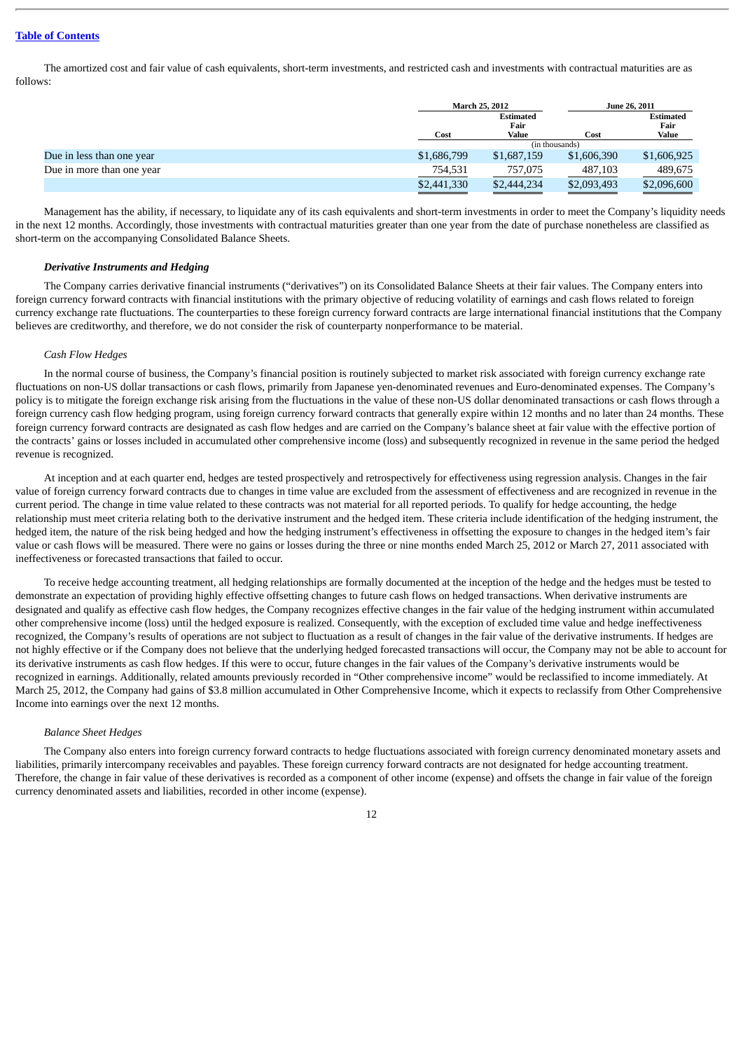The amortized cost and fair value of cash equivalents, short-term investments, and restricted cash and investments with contractual maturities are as follows:

|                           |             | <b>March 25, 2012</b>    |                | June 26, 2011 |  |
|---------------------------|-------------|--------------------------|----------------|---------------|--|
|                           |             | <b>Estimated</b><br>Fair |                |               |  |
|                           | Cost        | Value                    | Cost           | Value         |  |
|                           |             |                          | (in thousands) |               |  |
| Due in less than one year | \$1,686,799 | \$1,687,159              | \$1,606,390    | \$1,606,925   |  |
| Due in more than one year | 754,531     | 757,075                  | 487,103        | 489,675       |  |
|                           | \$2,441,330 | \$2,444,234              | \$2,093,493    | \$2,096,600   |  |

Management has the ability, if necessary, to liquidate any of its cash equivalents and short-term investments in order to meet the Company's liquidity needs in the next 12 months. Accordingly, those investments with contractual maturities greater than one year from the date of purchase nonetheless are classified as short-term on the accompanying Consolidated Balance Sheets.

#### *Derivative Instruments and Hedging*

The Company carries derivative financial instruments ("derivatives") on its Consolidated Balance Sheets at their fair values. The Company enters into foreign currency forward contracts with financial institutions with the primary objective of reducing volatility of earnings and cash flows related to foreign currency exchange rate fluctuations. The counterparties to these foreign currency forward contracts are large international financial institutions that the Company believes are creditworthy, and therefore, we do not consider the risk of counterparty nonperformance to be material.

#### *Cash Flow Hedges*

In the normal course of business, the Company's financial position is routinely subjected to market risk associated with foreign currency exchange rate fluctuations on non-US dollar transactions or cash flows, primarily from Japanese yen-denominated revenues and Euro-denominated expenses. The Company's policy is to mitigate the foreign exchange risk arising from the fluctuations in the value of these non-US dollar denominated transactions or cash flows through a foreign currency cash flow hedging program, using foreign currency forward contracts that generally expire within 12 months and no later than 24 months. These foreign currency forward contracts are designated as cash flow hedges and are carried on the Company's balance sheet at fair value with the effective portion of the contracts' gains or losses included in accumulated other comprehensive income (loss) and subsequently recognized in revenue in the same period the hedged revenue is recognized.

At inception and at each quarter end, hedges are tested prospectively and retrospectively for effectiveness using regression analysis. Changes in the fair value of foreign currency forward contracts due to changes in time value are excluded from the assessment of effectiveness and are recognized in revenue in the current period. The change in time value related to these contracts was not material for all reported periods. To qualify for hedge accounting, the hedge relationship must meet criteria relating both to the derivative instrument and the hedged item. These criteria include identification of the hedging instrument, the hedged item, the nature of the risk being hedged and how the hedging instrument's effectiveness in offsetting the exposure to changes in the hedged item's fair value or cash flows will be measured. There were no gains or losses during the three or nine months ended March 25, 2012 or March 27, 2011 associated with ineffectiveness or forecasted transactions that failed to occur.

To receive hedge accounting treatment, all hedging relationships are formally documented at the inception of the hedge and the hedges must be tested to demonstrate an expectation of providing highly effective offsetting changes to future cash flows on hedged transactions. When derivative instruments are designated and qualify as effective cash flow hedges, the Company recognizes effective changes in the fair value of the hedging instrument within accumulated other comprehensive income (loss) until the hedged exposure is realized. Consequently, with the exception of excluded time value and hedge ineffectiveness recognized, the Company's results of operations are not subject to fluctuation as a result of changes in the fair value of the derivative instruments. If hedges are not highly effective or if the Company does not believe that the underlying hedged forecasted transactions will occur, the Company may not be able to account for its derivative instruments as cash flow hedges. If this were to occur, future changes in the fair values of the Company's derivative instruments would be recognized in earnings. Additionally, related amounts previously recorded in "Other comprehensive income" would be reclassified to income immediately. At March 25, 2012, the Company had gains of \$3.8 million accumulated in Other Comprehensive Income, which it expects to reclassify from Other Comprehensive Income into earnings over the next 12 months.

#### *Balance Sheet Hedges*

The Company also enters into foreign currency forward contracts to hedge fluctuations associated with foreign currency denominated monetary assets and liabilities, primarily intercompany receivables and payables. These foreign currency forward contracts are not designated for hedge accounting treatment. Therefore, the change in fair value of these derivatives is recorded as a component of other income (expense) and offsets the change in fair value of the foreign currency denominated assets and liabilities, recorded in other income (expense).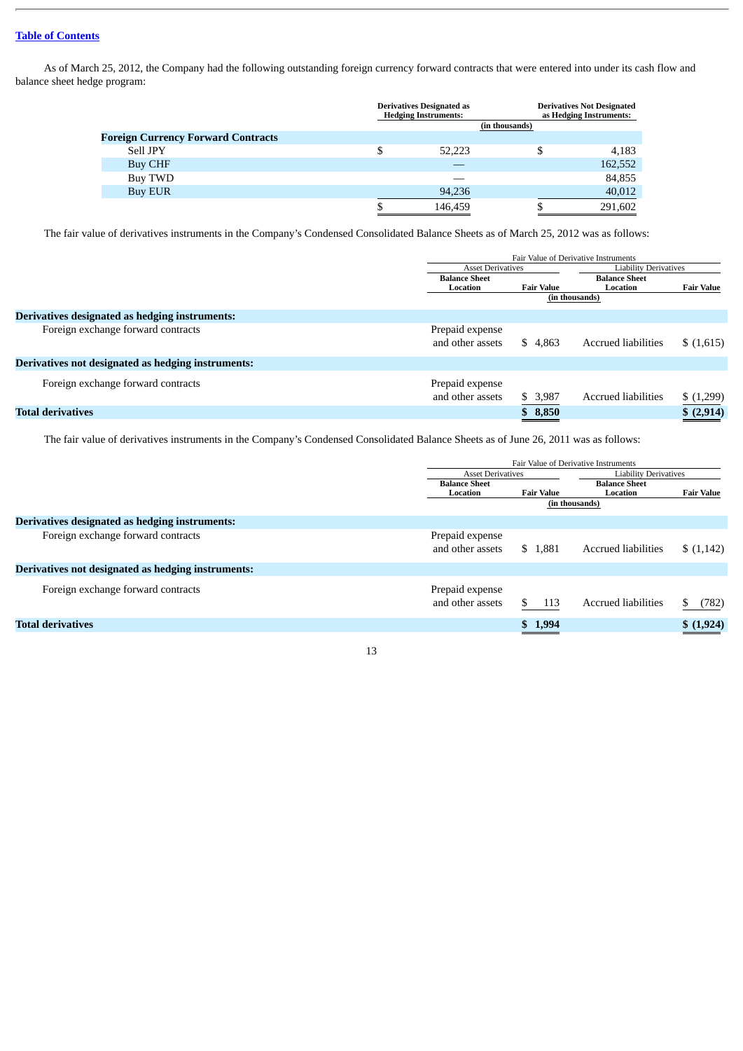As of March 25, 2012, the Company had the following outstanding foreign currency forward contracts that were entered into under its cash flow and balance sheet hedge program:

|                                           | <b>Derivatives Designated as</b><br><b>Hedging Instruments:</b> | <b>Derivatives Not Designated</b><br>as Hedging Instruments:<br>(in thousands) |         |  |
|-------------------------------------------|-----------------------------------------------------------------|--------------------------------------------------------------------------------|---------|--|
| <b>Foreign Currency Forward Contracts</b> |                                                                 |                                                                                |         |  |
| Sell JPY                                  | \$<br>52.223                                                    | D                                                                              | 4,183   |  |
| <b>Buy CHF</b>                            |                                                                 |                                                                                | 162,552 |  |
| Buy TWD                                   |                                                                 |                                                                                | 84,855  |  |
| Buy EUR                                   | 94,236                                                          |                                                                                | 40,012  |  |
|                                           | 146,459                                                         |                                                                                | 291,602 |  |

The fair value of derivatives instruments in the Company's Condensed Consolidated Balance Sheets as of March 25, 2012 was as follows:

|                                                    |                                  | Fair Value of Derivative Instruments |                                  |                   |  |  |
|----------------------------------------------------|----------------------------------|--------------------------------------|----------------------------------|-------------------|--|--|
|                                                    | <b>Asset Derivatives</b>         |                                      | <b>Liability Derivatives</b>     |                   |  |  |
|                                                    | <b>Balance Sheet</b><br>Location | <b>Fair Value</b>                    | <b>Balance Sheet</b><br>Location | <b>Fair Value</b> |  |  |
|                                                    |                                  |                                      | (in thousands)                   |                   |  |  |
| Derivatives designated as hedging instruments:     |                                  |                                      |                                  |                   |  |  |
| Foreign exchange forward contracts                 | Prepaid expense                  |                                      |                                  |                   |  |  |
|                                                    | and other assets                 | \$4.863                              | Accrued liabilities              | \$(1,615)         |  |  |
| Derivatives not designated as hedging instruments: |                                  |                                      |                                  |                   |  |  |
| Foreign exchange forward contracts                 | Prepaid expense                  |                                      |                                  |                   |  |  |
|                                                    | and other assets                 | \$ 3,987                             | Accrued liabilities              | \$ (1,299)        |  |  |
| <b>Total derivatives</b>                           |                                  | \$8,850                              |                                  | \$(2,914)         |  |  |

The fair value of derivatives instruments in the Company's Condensed Consolidated Balance Sheets as of June 26, 2011 was as follows:

|                                                    |                          | Fair Value of Derivative Instruments |                              |                   |  |  |
|----------------------------------------------------|--------------------------|--------------------------------------|------------------------------|-------------------|--|--|
|                                                    | <b>Asset Derivatives</b> |                                      | <b>Liability Derivatives</b> |                   |  |  |
|                                                    | <b>Balance Sheet</b>     |                                      | <b>Balance Sheet</b>         |                   |  |  |
|                                                    | Location                 | <b>Fair Value</b>                    | Location                     | <b>Fair Value</b> |  |  |
|                                                    |                          |                                      | (in thousands)               |                   |  |  |
| Derivatives designated as hedging instruments:     |                          |                                      |                              |                   |  |  |
| Foreign exchange forward contracts                 | Prepaid expense          |                                      |                              |                   |  |  |
|                                                    | and other assets         | \$1.881                              | Accrued liabilities          | \$(1,142)         |  |  |
|                                                    |                          |                                      |                              |                   |  |  |
| Derivatives not designated as hedging instruments: |                          |                                      |                              |                   |  |  |
| Foreign exchange forward contracts                 | Prepaid expense          |                                      |                              |                   |  |  |
|                                                    |                          |                                      |                              |                   |  |  |
|                                                    | and other assets         | 113                                  | Accrued liabilities          | S<br>(782)        |  |  |
|                                                    |                          |                                      |                              |                   |  |  |
| <b>Total derivatives</b>                           |                          | \$1,994                              |                              | \$(1,924)         |  |  |
|                                                    |                          |                                      |                              |                   |  |  |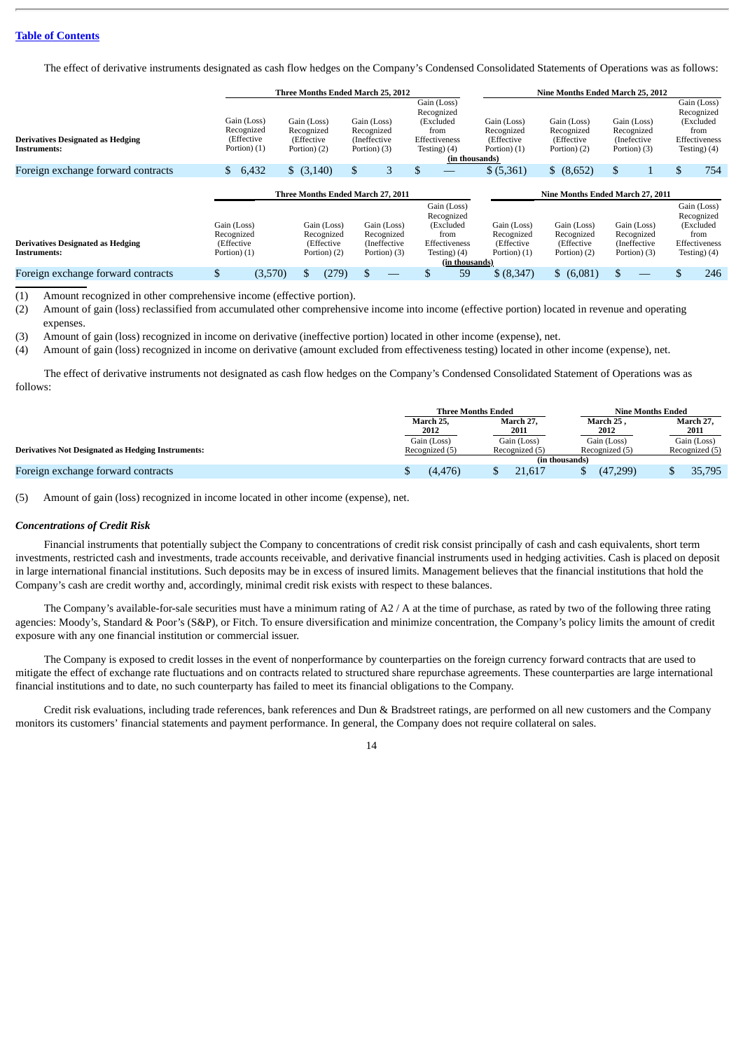The effect of derivative instruments designated as cash flow hedges on the Company's Condensed Consolidated Statements of Operations was as follows:

|                                                          |                                                          |         |                                                         |                                         | Three Months Ended March 25, 2012                         |                                            |                                                                                  |                                                                 |                                                         | Nine Months Ended March 25, 2012                                            |                                           |                                           |   |                                                                                  |
|----------------------------------------------------------|----------------------------------------------------------|---------|---------------------------------------------------------|-----------------------------------------|-----------------------------------------------------------|--------------------------------------------|----------------------------------------------------------------------------------|-----------------------------------------------------------------|---------------------------------------------------------|-----------------------------------------------------------------------------|-------------------------------------------|-------------------------------------------|---|----------------------------------------------------------------------------------|
| <b>Derivatives Designated as Hedging</b><br>Instruments: | Gain (Loss)<br>Recognized<br>(Effective<br>Portion $(1)$ |         | Gain (Loss)<br>Recognized<br>(Effective<br>Portion) (2) |                                         | Gain (Loss)<br>Recognized<br>(Ineffective<br>Portion) (3) |                                            | Gain (Loss)<br>Recognized<br>(Excluded<br>from<br>Effectiveness<br>Testing $(4)$ | (in thousands)                                                  | Gain (Loss)<br>Recognized<br>(Effective<br>Portion) (1) | Gain (Loss)<br>Recognized<br>(Effective<br>Portion) (2)                     | Gain (Loss)<br>Recognized<br>Portion) (3) | (Inefective)                              |   | Gain (Loss)<br>Recognized<br>(Excluded<br>from<br>Effectiveness<br>Testing $(4)$ |
| Foreign exchange forward contracts                       | $\mathbb{S}$                                             | 6,432   | \$ (3,140)                                              |                                         | S                                                         | 3                                          | \$                                                                               |                                                                 | \$ (5,361)                                              | \$ (8,652)                                                                  | \$                                        |                                           | S | 754                                                                              |
| Derivatives Designated as Hedging                        | Gain (Loss)<br>Recognized<br>(Effective                  |         |                                                         | Gain (Loss)<br>Recognized<br>(Effective | Three Months Ended March 27, 2011                         | Gain (Loss)<br>Recognized<br>(Ineffective) |                                                                                  | Gain (Loss)<br>Recognized<br>(Excluded<br>from<br>Effectiveness | Gain (Loss)<br>Recognized<br>(Effective                 | Nine Months Ended March 27, 2011<br>Gain (Loss)<br>Recognized<br>(Effective |                                           | Gain (Loss)<br>Recognized<br>(Ineffective |   | Gain (Loss)<br>Recognized<br>(Excluded<br>from<br>Effectiveness                  |
| Instruments:                                             | Portion) (1)                                             |         |                                                         | Portion) (2)                            |                                                           | Portion) (3)                               |                                                                                  | Testing $(4)$<br>(in thousands)                                 | Portion) (1)                                            | Portion) (2)                                                                |                                           | Portion) (3)                              |   | Testing $(4)$                                                                    |
| Foreign exchange forward contracts                       |                                                          | (3,570) |                                                         | (279)                                   |                                                           |                                            |                                                                                  | 59                                                              | \$ (8,347)                                              | \$ (6,081)                                                                  | \$                                        |                                           |   | 246                                                                              |

(1) Amount recognized in other comprehensive income (effective portion).

(2) Amount of gain (loss) reclassified from accumulated other comprehensive income into income (effective portion) located in revenue and operating expenses.

(3) Amount of gain (loss) recognized in income on derivative (ineffective portion) located in other income (expense), net.

(4) Amount of gain (loss) recognized in income on derivative (amount excluded from effectiveness testing) located in other income (expense), net.

The effect of derivative instruments not designated as cash flow hedges on the Company's Condensed Consolidated Statement of Operations was as follows:

|                                                           | <b>Three Months Ended</b>     |                               | <b>Nine Months Ended</b>      |                               |  |
|-----------------------------------------------------------|-------------------------------|-------------------------------|-------------------------------|-------------------------------|--|
|                                                           | March 25.<br>2012             | March 27.<br>2011             | March 25.<br>2012             | March 27,<br>2011             |  |
| <b>Derivatives Not Designated as Hedging Instruments:</b> | Gain (Loss)<br>Recognized (5) | Gain (Loss)<br>Recognized (5) | Gain (Loss)<br>Recognized (5) | Gain (Loss)<br>Recognized (5) |  |
|                                                           |                               | (in thousands)                |                               |                               |  |
| Foreign exchange forward contracts                        | (4.476)                       | 21.617                        | (47,299)                      | 35,795                        |  |

(5) Amount of gain (loss) recognized in income located in other income (expense), net.

#### *Concentrations of Credit Risk*

Financial instruments that potentially subject the Company to concentrations of credit risk consist principally of cash and cash equivalents, short term investments, restricted cash and investments, trade accounts receivable, and derivative financial instruments used in hedging activities. Cash is placed on deposit in large international financial institutions. Such deposits may be in excess of insured limits. Management believes that the financial institutions that hold the Company's cash are credit worthy and, accordingly, minimal credit risk exists with respect to these balances.

The Company's available-for-sale securities must have a minimum rating of A2 / A at the time of purchase, as rated by two of the following three rating agencies: Moody's, Standard & Poor's (S&P), or Fitch. To ensure diversification and minimize concentration, the Company's policy limits the amount of credit exposure with any one financial institution or commercial issuer.

The Company is exposed to credit losses in the event of nonperformance by counterparties on the foreign currency forward contracts that are used to mitigate the effect of exchange rate fluctuations and on contracts related to structured share repurchase agreements. These counterparties are large international financial institutions and to date, no such counterparty has failed to meet its financial obligations to the Company.

Credit risk evaluations, including trade references, bank references and Dun & Bradstreet ratings, are performed on all new customers and the Company monitors its customers' financial statements and payment performance. In general, the Company does not require collateral on sales.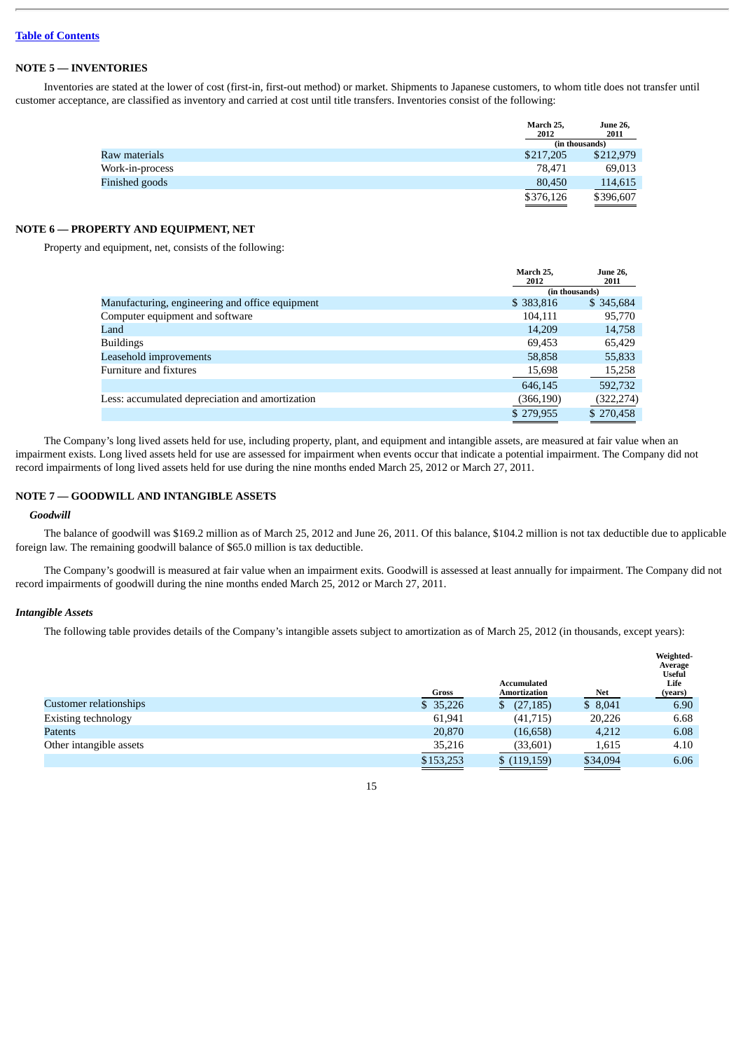## **NOTE 5 — INVENTORIES**

Inventories are stated at the lower of cost (first-in, first-out method) or market. Shipments to Japanese customers, to whom title does not transfer until customer acceptance, are classified as inventory and carried at cost until title transfers. Inventories consist of the following:

|                 | March 25,<br>2012 | <b>June 26,</b><br>2011 |
|-----------------|-------------------|-------------------------|
|                 |                   | (in thousands)          |
| Raw materials   | \$217,205         | \$212,979               |
| Work-in-process | 78.471            | 69.013                  |
| Finished goods  | 80,450            | 114,615                 |
|                 | \$376,126         | \$396,607               |

## **NOTE 6 — PROPERTY AND EQUIPMENT, NET**

Property and equipment, net, consists of the following:

|                                                 | March 25.<br>2012 | <b>June 26,</b><br>2011 |
|-------------------------------------------------|-------------------|-------------------------|
|                                                 |                   | (in thousands)          |
| Manufacturing, engineering and office equipment | \$383,816         | \$345,684               |
| Computer equipment and software                 | 104,111           | 95,770                  |
| Land                                            | 14,209            | 14,758                  |
| <b>Buildings</b>                                | 69.453            | 65,429                  |
| Leasehold improvements                          | 58,858            | 55,833                  |
| Furniture and fixtures                          | 15,698            | 15,258                  |
|                                                 | 646,145           | 592,732                 |
| Less: accumulated depreciation and amortization | (366,190)         | (322, 274)              |
|                                                 | \$279,955         | \$270,458               |

The Company's long lived assets held for use, including property, plant, and equipment and intangible assets, are measured at fair value when an impairment exists. Long lived assets held for use are assessed for impairment when events occur that indicate a potential impairment. The Company did not record impairments of long lived assets held for use during the nine months ended March 25, 2012 or March 27, 2011.

#### **NOTE 7 — GOODWILL AND INTANGIBLE ASSETS**

#### *Goodwill*

The balance of goodwill was \$169.2 million as of March 25, 2012 and June 26, 2011. Of this balance, \$104.2 million is not tax deductible due to applicable foreign law. The remaining goodwill balance of \$65.0 million is tax deductible.

The Company's goodwill is measured at fair value when an impairment exits. Goodwill is assessed at least annually for impairment. The Company did not record impairments of goodwill during the nine months ended March 25, 2012 or March 27, 2011.

#### *Intangible Assets*

The following table provides details of the Company's intangible assets subject to amortization as of March 25, 2012 (in thousands, except years):

|                               | Gross     | <b>Accumulated</b><br>Amortization | Net      | Weighted-<br>Average<br><b>Useful</b><br>Life<br>(years) |
|-------------------------------|-----------|------------------------------------|----------|----------------------------------------------------------|
| <b>Customer relationships</b> | \$35,226  | (27, 185)<br>\$                    | \$8,041  | 6.90                                                     |
| <b>Existing technology</b>    | 61,941    | (41,715)                           | 20,226   | 6.68                                                     |
| Patents                       | 20,870    | (16,658)                           | 4,212    | 6.08                                                     |
| Other intangible assets       | 35,216    | (33,601)                           | 1,615    | 4.10                                                     |
|                               | \$153,253 | \$(119, 159)                       | \$34,094 | 6.06                                                     |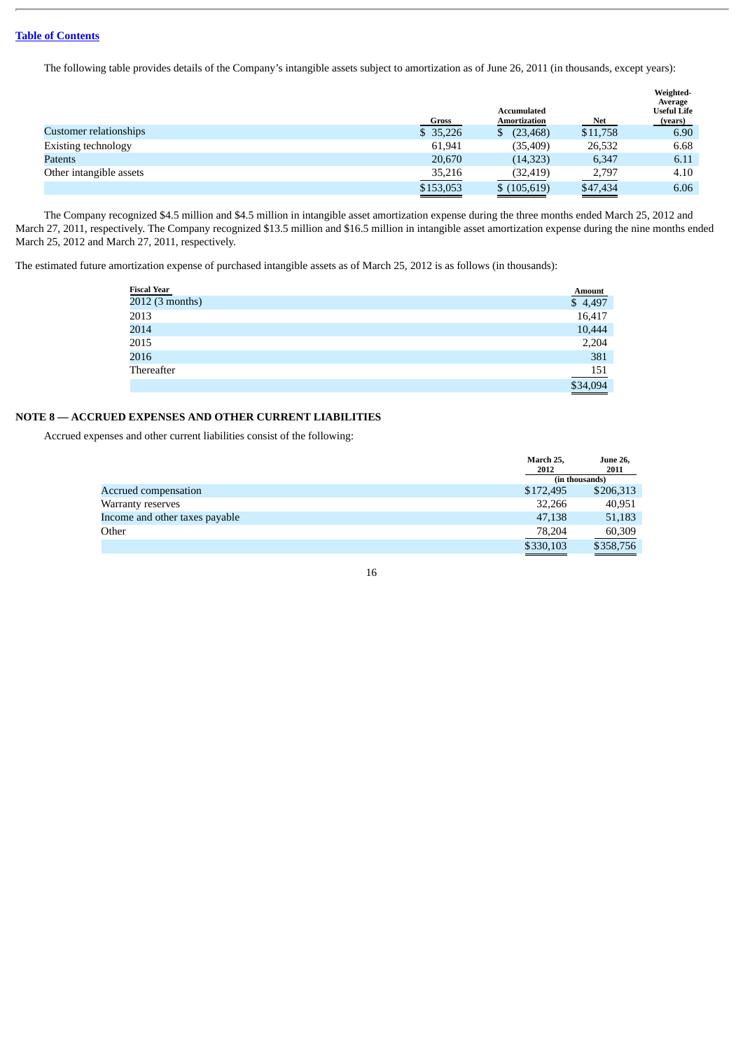The following table provides details of the Company's intangible assets subject to amortization as of June 26, 2011 (in thousands, except years):

|                            | Gross     | <b>Accumulated</b><br><b>Amortization</b> | Net      | Weighted-<br>Average<br><b>Useful Life</b><br>(years) |
|----------------------------|-----------|-------------------------------------------|----------|-------------------------------------------------------|
| Customer relationships     | \$35,226  | (23, 468)                                 | \$11,758 | 6.90                                                  |
| <b>Existing technology</b> | 61,941    | (35, 409)                                 | 26,532   | 6.68                                                  |
| Patents                    | 20,670    | (14, 323)                                 | 6,347    | 6.11                                                  |
| Other intangible assets    | 35,216    | (32,419)                                  | 2,797    | 4.10                                                  |
|                            | \$153,053 | \$(105,619)                               | \$47,434 | 6.06                                                  |

The Company recognized \$4.5 million and \$4.5 million in intangible asset amortization expense during the three months ended March 25, 2012 and March 27, 2011, respectively. The Company recognized \$13.5 million and \$16.5 million in intangible asset amortization expense during the nine months ended March 25, 2012 and March 27, 2011, respectively.

The estimated future amortization expense of purchased intangible assets as of March 25, 2012 is as follows (in thousands):

| <b>Fiscal Year</b> | <b>Amount</b>          |
|--------------------|------------------------|
| 2012 (3 months)    | \$4,497                |
| 2013               | 16,417                 |
| 2014               | 10,444                 |
| 2015               | 2,204                  |
| 2016               | 381                    |
| Thereafter         | $\frac{151}{\$34,094}$ |
|                    |                        |

## **NOTE 8 — ACCRUED EXPENSES AND OTHER CURRENT LIABILITIES**

Accrued expenses and other current liabilities consist of the following:

|                                | March 25.<br>2012 | <b>June 26,</b><br>2011 |
|--------------------------------|-------------------|-------------------------|
|                                |                   | (in thousands)          |
| <b>Accrued compensation</b>    | \$172,495         | \$206,313               |
| Warranty reserves              | 32.266            | 40,951                  |
| Income and other taxes payable | 47.138            | 51,183                  |
| Other                          | 78,204            | 60,309                  |
|                                | \$330,103         | \$358,756               |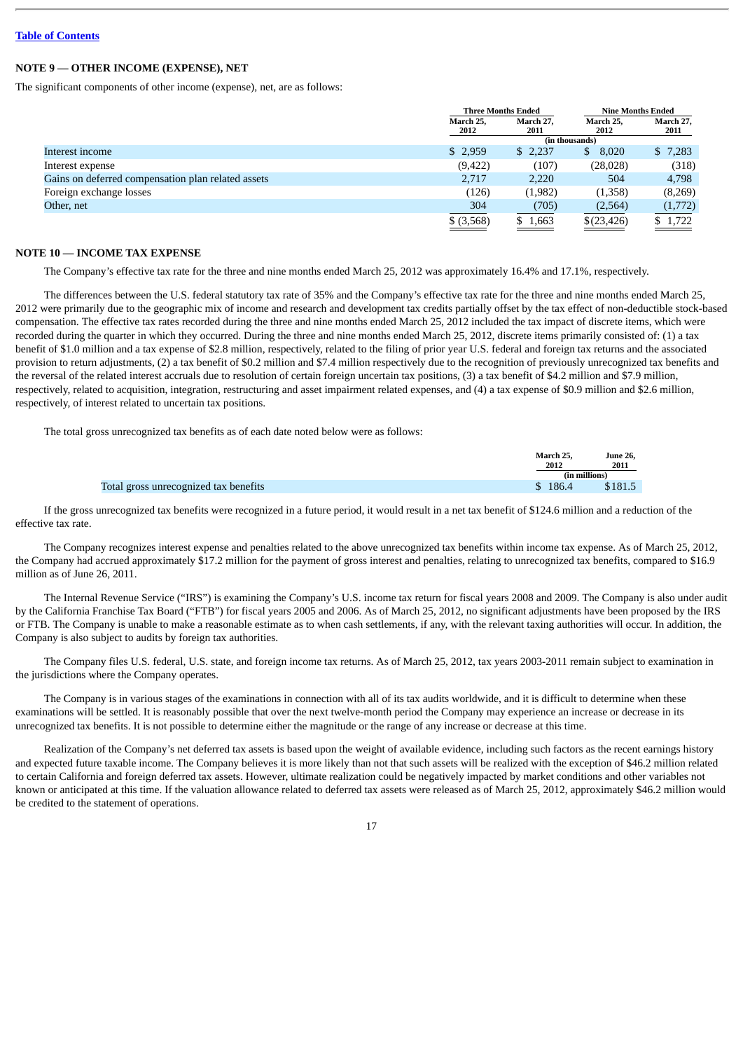## **NOTE 9 — OTHER INCOME (EXPENSE), NET**

The significant components of other income (expense), net, are as follows:

|                                                    | <b>Three Months Ended</b> |           |                |           | <b>Nine Months Ended</b> |  |
|----------------------------------------------------|---------------------------|-----------|----------------|-----------|--------------------------|--|
|                                                    | March 25.                 | March 27, | March 25,      | March 27, |                          |  |
|                                                    | 2012                      | 2011      | 2012           | 2011      |                          |  |
|                                                    |                           |           | (in thousands) |           |                          |  |
| Interest income                                    | \$2,959                   | \$2,237   | 8,020<br>S.    | \$7,283   |                          |  |
| Interest expense                                   | (9, 422)                  | (107)     | (28, 028)      | (318)     |                          |  |
| Gains on deferred compensation plan related assets | 2,717                     | 2,220     | 504            | 4,798     |                          |  |
| Foreign exchange losses                            | (126)                     | (1,982)   | (1,358)        | (8,269)   |                          |  |
| Other, net                                         | 304                       | (705)     | (2, 564)       | (1,772)   |                          |  |
|                                                    | $$$ $(3,568)$             | \$1,663   | \$(23,426)     | \$1,722   |                          |  |

#### **NOTE 10 — INCOME TAX EXPENSE**

The Company's effective tax rate for the three and nine months ended March 25, 2012 was approximately 16.4% and 17.1%, respectively.

The differences between the U.S. federal statutory tax rate of 35% and the Company's effective tax rate for the three and nine months ended March 25, 2012 were primarily due to the geographic mix of income and research and development tax credits partially offset by the tax effect of non-deductible stock-based compensation. The effective tax rates recorded during the three and nine months ended March 25, 2012 included the tax impact of discrete items, which were recorded during the quarter in which they occurred. During the three and nine months ended March 25, 2012, discrete items primarily consisted of: (1) a tax benefit of \$1.0 million and a tax expense of \$2.8 million, respectively, related to the filing of prior year U.S. federal and foreign tax returns and the associated provision to return adjustments, (2) a tax benefit of \$0.2 million and \$7.4 million respectively due to the recognition of previously unrecognized tax benefits and the reversal of the related interest accruals due to resolution of certain foreign uncertain tax positions, (3) a tax benefit of \$4.2 million and \$7.9 million, respectively, related to acquisition, integration, restructuring and asset impairment related expenses, and (4) a tax expense of \$0.9 million and \$2.6 million, respectively, of interest related to uncertain tax positions.

The total gross unrecognized tax benefits as of each date noted below were as follows:

|                                       | March 25.<br>2012     | June 26.<br>2011 |
|---------------------------------------|-----------------------|------------------|
|                                       |                       | (in millions)    |
| Total gross unrecognized tax benefits | 186.4<br><sup>S</sup> | \$181.5          |

If the gross unrecognized tax benefits were recognized in a future period, it would result in a net tax benefit of \$124.6 million and a reduction of the effective tax rate.

The Company recognizes interest expense and penalties related to the above unrecognized tax benefits within income tax expense. As of March 25, 2012, the Company had accrued approximately \$17.2 million for the payment of gross interest and penalties, relating to unrecognized tax benefits, compared to \$16.9 million as of June 26, 2011.

The Internal Revenue Service ("IRS") is examining the Company's U.S. income tax return for fiscal years 2008 and 2009. The Company is also under audit by the California Franchise Tax Board ("FTB") for fiscal years 2005 and 2006. As of March 25, 2012, no significant adjustments have been proposed by the IRS or FTB. The Company is unable to make a reasonable estimate as to when cash settlements, if any, with the relevant taxing authorities will occur. In addition, the Company is also subject to audits by foreign tax authorities.

The Company files U.S. federal, U.S. state, and foreign income tax returns. As of March 25, 2012, tax years 2003-2011 remain subject to examination in the jurisdictions where the Company operates.

The Company is in various stages of the examinations in connection with all of its tax audits worldwide, and it is difficult to determine when these examinations will be settled. It is reasonably possible that over the next twelve-month period the Company may experience an increase or decrease in its unrecognized tax benefits. It is not possible to determine either the magnitude or the range of any increase or decrease at this time.

Realization of the Company's net deferred tax assets is based upon the weight of available evidence, including such factors as the recent earnings history and expected future taxable income. The Company believes it is more likely than not that such assets will be realized with the exception of \$46.2 million related to certain California and foreign deferred tax assets. However, ultimate realization could be negatively impacted by market conditions and other variables not known or anticipated at this time. If the valuation allowance related to deferred tax assets were released as of March 25, 2012, approximately \$46.2 million would be credited to the statement of operations.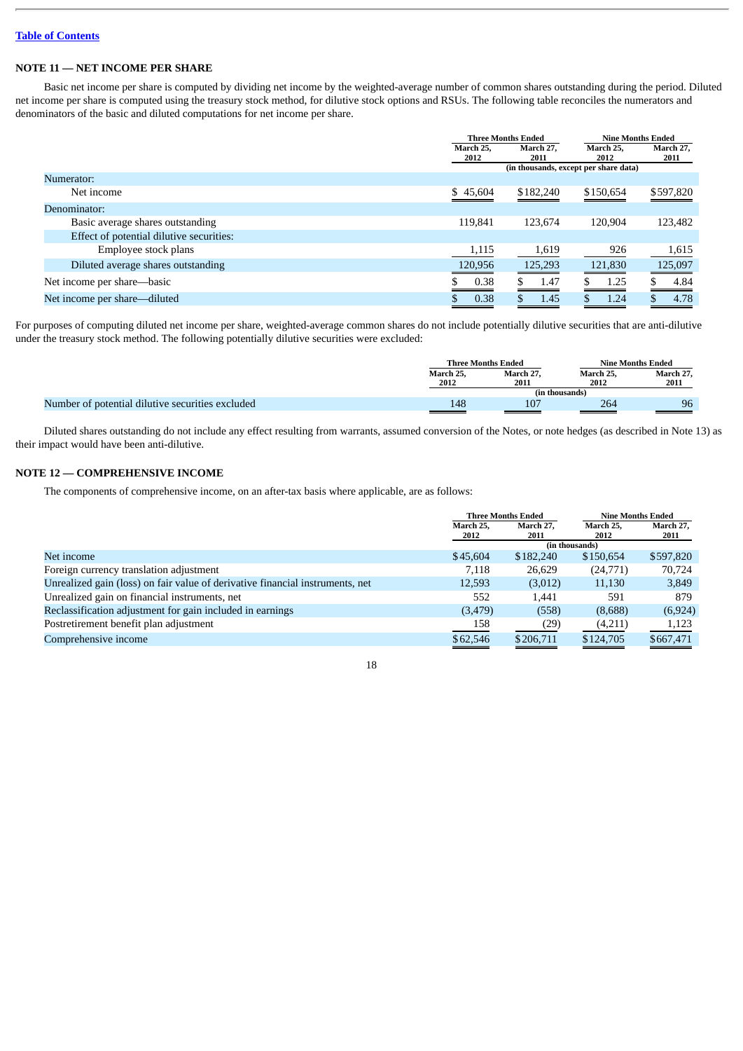## **NOTE 11 — NET INCOME PER SHARE**

Basic net income per share is computed by dividing net income by the weighted-average number of common shares outstanding during the period. Diluted net income per share is computed using the treasury stock method, for dilutive stock options and RSUs. The following table reconciles the numerators and denominators of the basic and diluted computations for net income per share.

|                                          | <b>Three Months Ended</b> |                                               | <b>Nine Months Ended</b> |           |
|------------------------------------------|---------------------------|-----------------------------------------------|--------------------------|-----------|
|                                          | March 25.                 | March 27.                                     | March 25.                | March 27, |
|                                          | 2012                      | 2011<br>(in thousands, except per share data) | 2012                     | 2011      |
| Numerator:                               |                           |                                               |                          |           |
| Net income                               | \$45,604                  | \$182,240                                     | \$150,654                | \$597,820 |
| Denominator:                             |                           |                                               |                          |           |
| Basic average shares outstanding         | 119.841                   | 123.674                                       | 120.904                  | 123,482   |
| Effect of potential dilutive securities: |                           |                                               |                          |           |
| Employee stock plans                     | 1,115                     | 1,619                                         | 926                      | 1,615     |
| Diluted average shares outstanding       | 120,956                   | 125,293                                       | 121,830                  | 125,097   |
| Net income per share-basic               | 0.38                      | 1.47                                          | 1.25                     | 4.84      |
| Net income per share-diluted             | 0.38                      | 1.45                                          | 1.24                     | 4.78      |

For purposes of computing diluted net income per share, weighted-average common shares do not include potentially dilutive securities that are anti-dilutive under the treasury stock method. The following potentially dilutive securities were excluded:

|                                                  |           | Three Months Ended | <b>Nine Months Ended</b> |           |
|--------------------------------------------------|-----------|--------------------|--------------------------|-----------|
|                                                  | March 25, | March 27.          | March 25.                | March 27, |
|                                                  | 2012      | 2011               | 2012                     | 2011      |
|                                                  |           |                    | (in thousands)           |           |
| Number of potential dilutive securities excluded | 148       | 107                | 264                      | 96        |

Diluted shares outstanding do not include any effect resulting from warrants, assumed conversion of the Notes, or note hedges (as described in Note 13) as their impact would have been anti-dilutive.

## **NOTE 12 — COMPREHENSIVE INCOME**

The components of comprehensive income, on an after-tax basis where applicable, are as follows:

|                                                                               |                   | <b>Three Months Ended</b> |                   |                   |  | <b>Nine Months Ended</b> |  |
|-------------------------------------------------------------------------------|-------------------|---------------------------|-------------------|-------------------|--|--------------------------|--|
|                                                                               | March 25.<br>2012 | March 27.<br>2011         | March 25.<br>2012 | March 27,<br>2011 |  |                          |  |
|                                                                               |                   |                           | (in thousands)    |                   |  |                          |  |
| Net income                                                                    | \$45,604          | \$182,240                 | \$150,654         | \$597,820         |  |                          |  |
| Foreign currency translation adjustment                                       | 7.118             | 26,629                    | (24,771)          | 70,724            |  |                          |  |
| Unrealized gain (loss) on fair value of derivative financial instruments, net | 12,593            | (3,012)                   | 11,130            | 3,849             |  |                          |  |
| Unrealized gain on financial instruments, net                                 | 552               | 1.441                     | 591               | 879               |  |                          |  |
| Reclassification adjustment for gain included in earnings                     | (3, 479)          | (558)                     | (8,688)           | (6,924)           |  |                          |  |
| Postretirement benefit plan adjustment                                        | 158               | (29)                      | (4,211)           | 1,123             |  |                          |  |
| Comprehensive income                                                          | \$62,546          | \$206,711                 | \$124,705         | \$667,471         |  |                          |  |
|                                                                               |                   |                           |                   | <u>—</u>          |  |                          |  |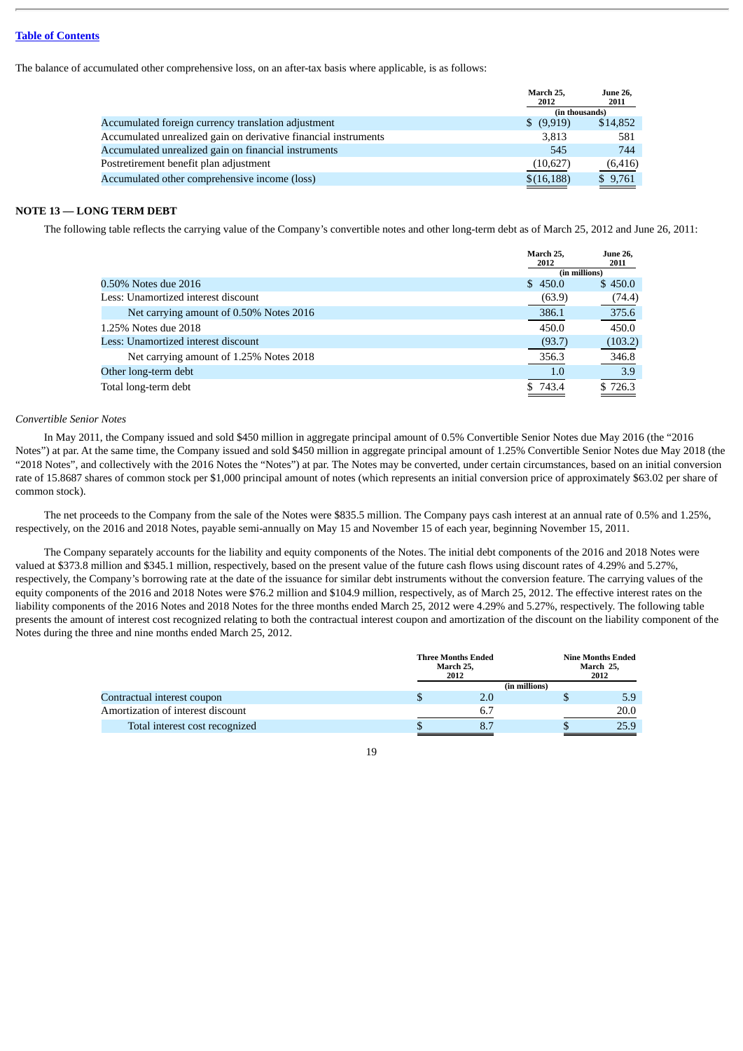The balance of accumulated other comprehensive loss, on an after-tax basis where applicable, is as follows:

|                                                                 | March 25.<br>2012 | <b>June 26,</b><br>2011 |
|-----------------------------------------------------------------|-------------------|-------------------------|
|                                                                 | (in thousands)    |                         |
| Accumulated foreign currency translation adjustment             | \$ (9,919)        | \$14,852                |
| Accumulated unrealized gain on derivative financial instruments | 3,813             | 581                     |
| Accumulated unrealized gain on financial instruments            | 545               | 744                     |
| Postretirement benefit plan adjustment                          | (10,627)          | (6, 416)                |
| Accumulated other comprehensive income (loss)                   | \$(16, 188)       | \$9,761                 |

## **NOTE 13 — LONG TERM DEBT**

The following table reflects the carrying value of the Company's convertible notes and other long-term debt as of March 25, 2012 and June 26, 2011:

|                                         | March 25.<br>2012 | <b>June 26.</b><br>2011 |
|-----------------------------------------|-------------------|-------------------------|
|                                         | (in millions)     |                         |
| 0.50% Notes due 2016                    | \$450.0           | \$450.0                 |
| Less: Unamortized interest discount     | (63.9)            | (74.4)                  |
| Net carrying amount of 0.50% Notes 2016 | 386.1             | 375.6                   |
| 1.25% Notes due 2018                    | 450.0             | 450.0                   |
| Less: Unamortized interest discount     | (93.7)            | (103.2)                 |
| Net carrying amount of 1.25% Notes 2018 | 356.3             | 346.8                   |
| Other long-term debt                    | 1.0               | 3.9                     |
| Total long-term debt                    | \$743.4           | \$726.3                 |

#### *Convertible Senior Notes*

In May 2011, the Company issued and sold \$450 million in aggregate principal amount of 0.5% Convertible Senior Notes due May 2016 (the "2016 Notes") at par. At the same time, the Company issued and sold \$450 million in aggregate principal amount of 1.25% Convertible Senior Notes due May 2018 (the "2018 Notes", and collectively with the 2016 Notes the "Notes") at par. The Notes may be converted, under certain circumstances, based on an initial conversion rate of 15.8687 shares of common stock per \$1,000 principal amount of notes (which represents an initial conversion price of approximately \$63.02 per share of common stock).

The net proceeds to the Company from the sale of the Notes were \$835.5 million. The Company pays cash interest at an annual rate of 0.5% and 1.25%, respectively, on the 2016 and 2018 Notes, payable semi-annually on May 15 and November 15 of each year, beginning November 15, 2011.

The Company separately accounts for the liability and equity components of the Notes. The initial debt components of the 2016 and 2018 Notes were valued at \$373.8 million and \$345.1 million, respectively, based on the present value of the future cash flows using discount rates of 4.29% and 5.27%, respectively, the Company's borrowing rate at the date of the issuance for similar debt instruments without the conversion feature. The carrying values of the equity components of the 2016 and 2018 Notes were \$76.2 million and \$104.9 million, respectively, as of March 25, 2012. The effective interest rates on the liability components of the 2016 Notes and 2018 Notes for the three months ended March 25, 2012 were 4.29% and 5.27%, respectively. The following table presents the amount of interest cost recognized relating to both the contractual interest coupon and amortization of the discount on the liability component of the Notes during the three and nine months ended March 25, 2012.

|                                   | <b>Three Months Ended</b><br>March 25,<br>2012 |               |      |  | <b>Nine Months Ended</b><br>March 25,<br>2012 |
|-----------------------------------|------------------------------------------------|---------------|------|--|-----------------------------------------------|
|                                   |                                                | (in millions) |      |  |                                               |
| Contractual interest coupon       | 2.0                                            |               | 5.9  |  |                                               |
| Amortization of interest discount | 6.7                                            |               | 20.0 |  |                                               |
| Total interest cost recognized    |                                                |               | 25.9 |  |                                               |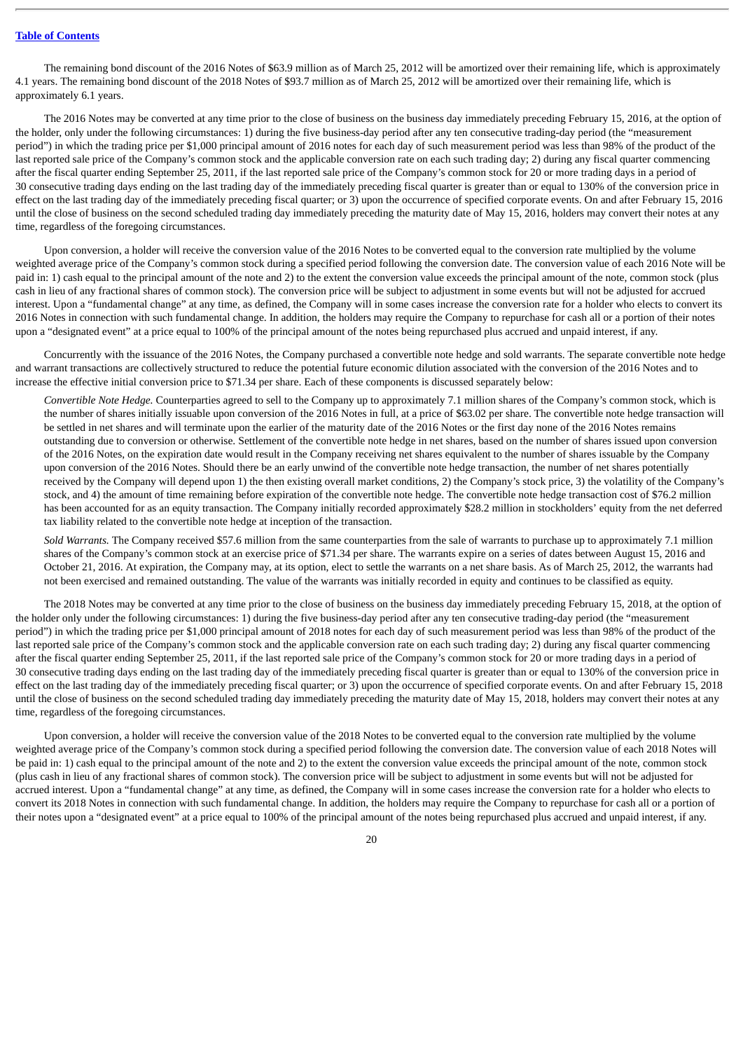The remaining bond discount of the 2016 Notes of \$63.9 million as of March 25, 2012 will be amortized over their remaining life, which is approximately 4.1 years. The remaining bond discount of the 2018 Notes of \$93.7 million as of March 25, 2012 will be amortized over their remaining life, which is approximately 6.1 years.

The 2016 Notes may be converted at any time prior to the close of business on the business day immediately preceding February 15, 2016, at the option of the holder, only under the following circumstances: 1) during the five business-day period after any ten consecutive trading-day period (the "measurement period") in which the trading price per \$1,000 principal amount of 2016 notes for each day of such measurement period was less than 98% of the product of the last reported sale price of the Company's common stock and the applicable conversion rate on each such trading day; 2) during any fiscal quarter commencing after the fiscal quarter ending September 25, 2011, if the last reported sale price of the Company's common stock for 20 or more trading days in a period of 30 consecutive trading days ending on the last trading day of the immediately preceding fiscal quarter is greater than or equal to 130% of the conversion price in effect on the last trading day of the immediately preceding fiscal quarter; or 3) upon the occurrence of specified corporate events. On and after February 15, 2016 until the close of business on the second scheduled trading day immediately preceding the maturity date of May 15, 2016, holders may convert their notes at any time, regardless of the foregoing circumstances.

Upon conversion, a holder will receive the conversion value of the 2016 Notes to be converted equal to the conversion rate multiplied by the volume weighted average price of the Company's common stock during a specified period following the conversion date. The conversion value of each 2016 Note will be paid in: 1) cash equal to the principal amount of the note and 2) to the extent the conversion value exceeds the principal amount of the note, common stock (plus cash in lieu of any fractional shares of common stock). The conversion price will be subject to adjustment in some events but will not be adjusted for accrued interest. Upon a "fundamental change" at any time, as defined, the Company will in some cases increase the conversion rate for a holder who elects to convert its 2016 Notes in connection with such fundamental change. In addition, the holders may require the Company to repurchase for cash all or a portion of their notes upon a "designated event" at a price equal to 100% of the principal amount of the notes being repurchased plus accrued and unpaid interest, if any.

Concurrently with the issuance of the 2016 Notes, the Company purchased a convertible note hedge and sold warrants. The separate convertible note hedge and warrant transactions are collectively structured to reduce the potential future economic dilution associated with the conversion of the 2016 Notes and to increase the effective initial conversion price to \$71.34 per share. Each of these components is discussed separately below:

*Convertible Note Hedge.* Counterparties agreed to sell to the Company up to approximately 7.1 million shares of the Company's common stock, which is the number of shares initially issuable upon conversion of the 2016 Notes in full, at a price of \$63.02 per share. The convertible note hedge transaction will be settled in net shares and will terminate upon the earlier of the maturity date of the 2016 Notes or the first day none of the 2016 Notes remains outstanding due to conversion or otherwise. Settlement of the convertible note hedge in net shares, based on the number of shares issued upon conversion of the 2016 Notes, on the expiration date would result in the Company receiving net shares equivalent to the number of shares issuable by the Company upon conversion of the 2016 Notes. Should there be an early unwind of the convertible note hedge transaction, the number of net shares potentially received by the Company will depend upon 1) the then existing overall market conditions, 2) the Company's stock price, 3) the volatility of the Company's stock, and 4) the amount of time remaining before expiration of the convertible note hedge. The convertible note hedge transaction cost of \$76.2 million has been accounted for as an equity transaction. The Company initially recorded approximately \$28.2 million in stockholders' equity from the net deferred tax liability related to the convertible note hedge at inception of the transaction.

*Sold Warrants.* The Company received \$57.6 million from the same counterparties from the sale of warrants to purchase up to approximately 7.1 million shares of the Company's common stock at an exercise price of \$71.34 per share. The warrants expire on a series of dates between August 15, 2016 and October 21, 2016. At expiration, the Company may, at its option, elect to settle the warrants on a net share basis. As of March 25, 2012, the warrants had not been exercised and remained outstanding. The value of the warrants was initially recorded in equity and continues to be classified as equity.

The 2018 Notes may be converted at any time prior to the close of business on the business day immediately preceding February 15, 2018, at the option of the holder only under the following circumstances: 1) during the five business-day period after any ten consecutive trading-day period (the "measurement period") in which the trading price per \$1,000 principal amount of 2018 notes for each day of such measurement period was less than 98% of the product of the last reported sale price of the Company's common stock and the applicable conversion rate on each such trading day; 2) during any fiscal quarter commencing after the fiscal quarter ending September 25, 2011, if the last reported sale price of the Company's common stock for 20 or more trading days in a period of 30 consecutive trading days ending on the last trading day of the immediately preceding fiscal quarter is greater than or equal to 130% of the conversion price in effect on the last trading day of the immediately preceding fiscal quarter; or 3) upon the occurrence of specified corporate events. On and after February 15, 2018 until the close of business on the second scheduled trading day immediately preceding the maturity date of May 15, 2018, holders may convert their notes at any time, regardless of the foregoing circumstances.

Upon conversion, a holder will receive the conversion value of the 2018 Notes to be converted equal to the conversion rate multiplied by the volume weighted average price of the Company's common stock during a specified period following the conversion date. The conversion value of each 2018 Notes will be paid in: 1) cash equal to the principal amount of the note and 2) to the extent the conversion value exceeds the principal amount of the note, common stock (plus cash in lieu of any fractional shares of common stock). The conversion price will be subject to adjustment in some events but will not be adjusted for accrued interest. Upon a "fundamental change" at any time, as defined, the Company will in some cases increase the conversion rate for a holder who elects to convert its 2018 Notes in connection with such fundamental change. In addition, the holders may require the Company to repurchase for cash all or a portion of their notes upon a "designated event" at a price equal to 100% of the principal amount of the notes being repurchased plus accrued and unpaid interest, if any.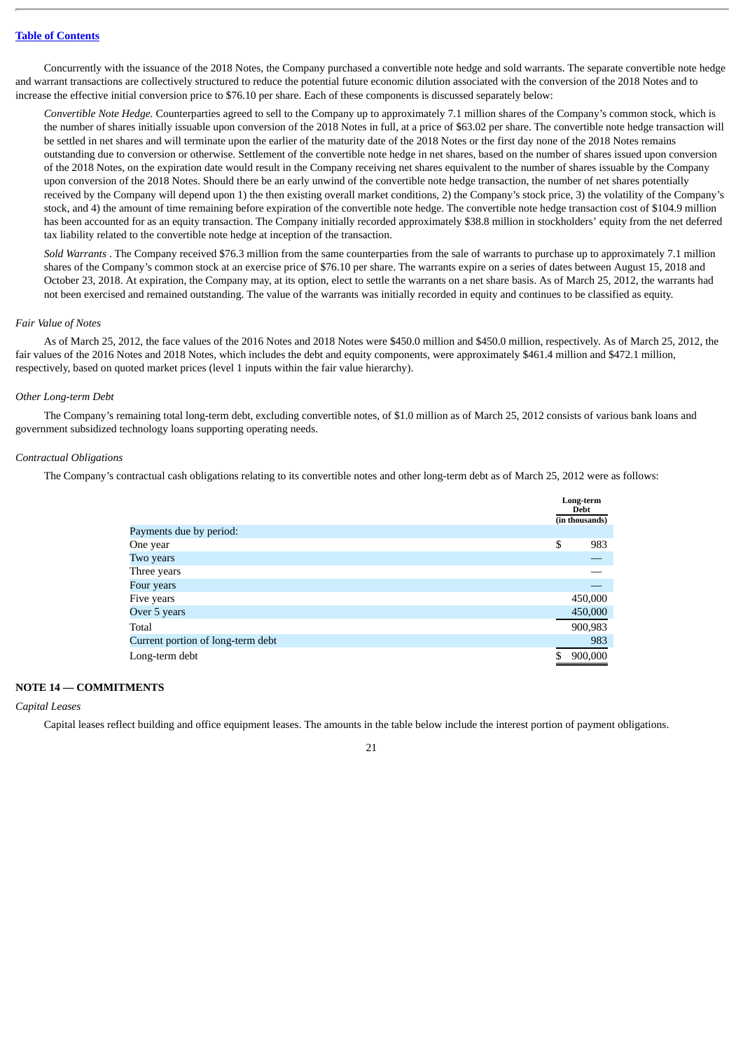Concurrently with the issuance of the 2018 Notes, the Company purchased a convertible note hedge and sold warrants. The separate convertible note hedge and warrant transactions are collectively structured to reduce the potential future economic dilution associated with the conversion of the 2018 Notes and to increase the effective initial conversion price to \$76.10 per share. Each of these components is discussed separately below:

*Convertible Note Hedge.* Counterparties agreed to sell to the Company up to approximately 7.1 million shares of the Company's common stock, which is the number of shares initially issuable upon conversion of the 2018 Notes in full, at a price of \$63.02 per share. The convertible note hedge transaction will be settled in net shares and will terminate upon the earlier of the maturity date of the 2018 Notes or the first day none of the 2018 Notes remains outstanding due to conversion or otherwise. Settlement of the convertible note hedge in net shares, based on the number of shares issued upon conversion of the 2018 Notes, on the expiration date would result in the Company receiving net shares equivalent to the number of shares issuable by the Company upon conversion of the 2018 Notes. Should there be an early unwind of the convertible note hedge transaction, the number of net shares potentially received by the Company will depend upon 1) the then existing overall market conditions, 2) the Company's stock price, 3) the volatility of the Company's stock, and 4) the amount of time remaining before expiration of the convertible note hedge. The convertible note hedge transaction cost of \$104.9 million has been accounted for as an equity transaction. The Company initially recorded approximately \$38.8 million in stockholders' equity from the net deferred tax liability related to the convertible note hedge at inception of the transaction.

*Sold Warrants* . The Company received \$76.3 million from the same counterparties from the sale of warrants to purchase up to approximately 7.1 million shares of the Company's common stock at an exercise price of \$76.10 per share. The warrants expire on a series of dates between August 15, 2018 and October 23, 2018. At expiration, the Company may, at its option, elect to settle the warrants on a net share basis. As of March 25, 2012, the warrants had not been exercised and remained outstanding. The value of the warrants was initially recorded in equity and continues to be classified as equity.

## *Fair Value of Notes*

As of March 25, 2012, the face values of the 2016 Notes and 2018 Notes were \$450.0 million and \$450.0 million, respectively. As of March 25, 2012, the fair values of the 2016 Notes and 2018 Notes, which includes the debt and equity components, were approximately \$461.4 million and \$472.1 million, respectively, based on quoted market prices (level 1 inputs within the fair value hierarchy).

#### *Other Long-term Debt*

The Company's remaining total long-term debt, excluding convertible notes, of \$1.0 million as of March 25, 2012 consists of various bank loans and government subsidized technology loans supporting operating needs.

#### *Contractual Obligations*

The Company's contractual cash obligations relating to its convertible notes and other long-term debt as of March 25, 2012 were as follows:

|                                   |    | Long-term<br>Debt<br>(in thousands) |
|-----------------------------------|----|-------------------------------------|
| Payments due by period:           |    |                                     |
| One year                          | \$ | 983                                 |
| Two years                         |    |                                     |
| Three years                       |    |                                     |
| Four years                        |    |                                     |
| Five years                        |    | 450,000                             |
| Over 5 years                      |    | 450,000                             |
| Total                             |    | 900,983                             |
| Current portion of long-term debt |    | 983                                 |
| Long-term debt                    | ፍ  | 900,000                             |

## **NOTE 14 — COMMITMENTS**

#### *Capital Leases*

Capital leases reflect building and office equipment leases. The amounts in the table below include the interest portion of payment obligations.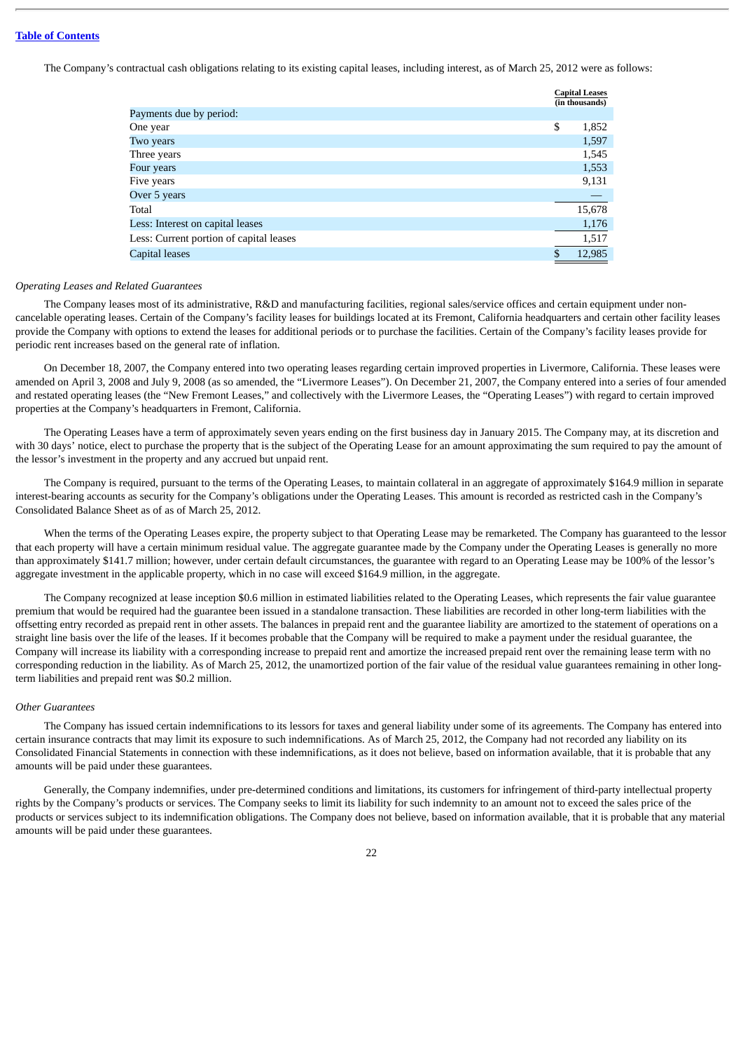The Company's contractual cash obligations relating to its existing capital leases, including interest, as of March 25, 2012 were as follows:

|                                         |    | <b>Capital Leases</b><br>(in thousands) |
|-----------------------------------------|----|-----------------------------------------|
| Payments due by period:                 |    |                                         |
| One year                                | \$ | 1,852                                   |
| Two years                               |    | 1,597                                   |
| Three years                             |    | 1,545                                   |
| Four years                              |    | 1,553                                   |
| Five years                              |    | 9,131                                   |
| Over 5 years                            |    |                                         |
| Total                                   |    | 15,678                                  |
| Less: Interest on capital leases        |    | 1,176                                   |
| Less: Current portion of capital leases |    | 1,517                                   |
| Capital leases                          | S  | 12,985                                  |

#### *Operating Leases and Related Guarantees*

The Company leases most of its administrative, R&D and manufacturing facilities, regional sales/service offices and certain equipment under noncancelable operating leases. Certain of the Company's facility leases for buildings located at its Fremont, California headquarters and certain other facility leases provide the Company with options to extend the leases for additional periods or to purchase the facilities. Certain of the Company's facility leases provide for periodic rent increases based on the general rate of inflation.

On December 18, 2007, the Company entered into two operating leases regarding certain improved properties in Livermore, California. These leases were amended on April 3, 2008 and July 9, 2008 (as so amended, the "Livermore Leases"). On December 21, 2007, the Company entered into a series of four amended and restated operating leases (the "New Fremont Leases," and collectively with the Livermore Leases, the "Operating Leases") with regard to certain improved properties at the Company's headquarters in Fremont, California.

The Operating Leases have a term of approximately seven years ending on the first business day in January 2015. The Company may, at its discretion and with 30 days' notice, elect to purchase the property that is the subject of the Operating Lease for an amount approximating the sum required to pay the amount of the lessor's investment in the property and any accrued but unpaid rent.

The Company is required, pursuant to the terms of the Operating Leases, to maintain collateral in an aggregate of approximately \$164.9 million in separate interest-bearing accounts as security for the Company's obligations under the Operating Leases. This amount is recorded as restricted cash in the Company's Consolidated Balance Sheet as of as of March 25, 2012.

When the terms of the Operating Leases expire, the property subject to that Operating Lease may be remarketed. The Company has guaranteed to the lessor that each property will have a certain minimum residual value. The aggregate guarantee made by the Company under the Operating Leases is generally no more than approximately \$141.7 million; however, under certain default circumstances, the guarantee with regard to an Operating Lease may be 100% of the lessor's aggregate investment in the applicable property, which in no case will exceed \$164.9 million, in the aggregate.

The Company recognized at lease inception \$0.6 million in estimated liabilities related to the Operating Leases, which represents the fair value guarantee premium that would be required had the guarantee been issued in a standalone transaction. These liabilities are recorded in other long-term liabilities with the offsetting entry recorded as prepaid rent in other assets. The balances in prepaid rent and the guarantee liability are amortized to the statement of operations on a straight line basis over the life of the leases. If it becomes probable that the Company will be required to make a payment under the residual guarantee, the Company will increase its liability with a corresponding increase to prepaid rent and amortize the increased prepaid rent over the remaining lease term with no corresponding reduction in the liability. As of March 25, 2012, the unamortized portion of the fair value of the residual value guarantees remaining in other longterm liabilities and prepaid rent was \$0.2 million.

#### *Other Guarantees*

The Company has issued certain indemnifications to its lessors for taxes and general liability under some of its agreements. The Company has entered into certain insurance contracts that may limit its exposure to such indemnifications. As of March 25, 2012, the Company had not recorded any liability on its Consolidated Financial Statements in connection with these indemnifications, as it does not believe, based on information available, that it is probable that any amounts will be paid under these guarantees.

Generally, the Company indemnifies, under pre-determined conditions and limitations, its customers for infringement of third-party intellectual property rights by the Company's products or services. The Company seeks to limit its liability for such indemnity to an amount not to exceed the sales price of the products or services subject to its indemnification obligations. The Company does not believe, based on information available, that it is probable that any material amounts will be paid under these guarantees.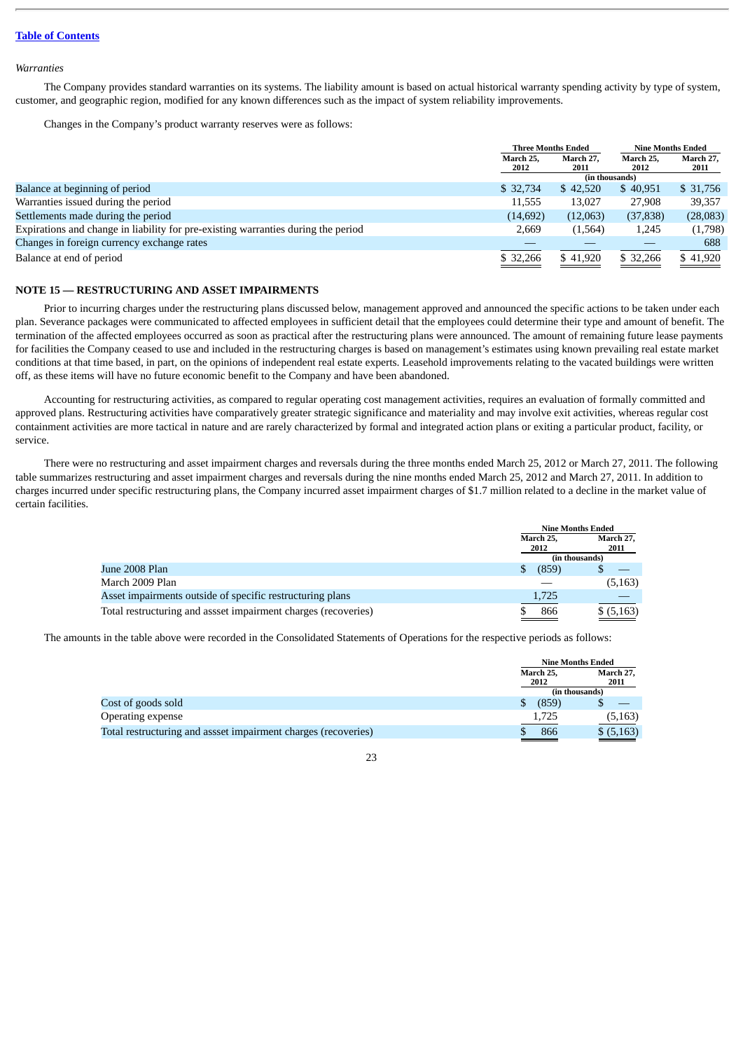#### *Warranties*

The Company provides standard warranties on its systems. The liability amount is based on actual historical warranty spending activity by type of system, customer, and geographic region, modified for any known differences such as the impact of system reliability improvements.

Changes in the Company's product warranty reserves were as follows:

|                                                                                   | <b>Three Months Ended</b> |                | <b>Nine Months Ended</b> |           |  |
|-----------------------------------------------------------------------------------|---------------------------|----------------|--------------------------|-----------|--|
|                                                                                   | March 27,<br>March 25,    |                | March 25,                | March 27, |  |
|                                                                                   | 2012                      | 2011           | 2012                     | 2011      |  |
|                                                                                   |                           | (in thousands) |                          |           |  |
| Balance at beginning of period                                                    | \$32,734                  | \$42,520       | \$40,951                 | \$ 31,756 |  |
| Warranties issued during the period                                               | 11,555                    | 13,027         | 27,908                   | 39,357    |  |
| Settlements made during the period                                                | (14, 692)                 | (12,063)       | (37, 838)                | (28,083)  |  |
| Expirations and change in liability for pre-existing warranties during the period | 2,669                     | (1, 564)       | 1,245                    | (1,798)   |  |
| Changes in foreign currency exchange rates                                        |                           |                |                          | 688       |  |
| Balance at end of period                                                          | \$ 32,266                 | \$41,920       | \$32,266                 | \$41,920  |  |

#### **NOTE 15 — RESTRUCTURING AND ASSET IMPAIRMENTS**

Prior to incurring charges under the restructuring plans discussed below, management approved and announced the specific actions to be taken under each plan. Severance packages were communicated to affected employees in sufficient detail that the employees could determine their type and amount of benefit. The termination of the affected employees occurred as soon as practical after the restructuring plans were announced. The amount of remaining future lease payments for facilities the Company ceased to use and included in the restructuring charges is based on management's estimates using known prevailing real estate market conditions at that time based, in part, on the opinions of independent real estate experts. Leasehold improvements relating to the vacated buildings were written off, as these items will have no future economic benefit to the Company and have been abandoned.

Accounting for restructuring activities, as compared to regular operating cost management activities, requires an evaluation of formally committed and approved plans. Restructuring activities have comparatively greater strategic significance and materiality and may involve exit activities, whereas regular cost containment activities are more tactical in nature and are rarely characterized by formal and integrated action plans or exiting a particular product, facility, or service.

There were no restructuring and asset impairment charges and reversals during the three months ended March 25, 2012 or March 27, 2011. The following table summarizes restructuring and asset impairment charges and reversals during the nine months ended March 25, 2012 and March 27, 2011. In addition to charges incurred under specific restructuring plans, the Company incurred asset impairment charges of \$1.7 million related to a decline in the market value of certain facilities.

|                                                                |                   | <b>Nine Months Ended</b> |
|----------------------------------------------------------------|-------------------|--------------------------|
|                                                                | March 25,<br>2012 | March 27.<br>2011        |
|                                                                |                   | (in thousands)           |
| June 2008 Plan                                                 | S<br>(859)        |                          |
| March 2009 Plan                                                |                   | (5, 163)                 |
| Asset impairments outside of specific restructuring plans      | 1,725             |                          |
| Total restructuring and assset impairment charges (recoveries) | 866               | \$ (5,163)               |

The amounts in the table above were recorded in the Consolidated Statements of Operations for the respective periods as follows:

|                                                                | <b>Nine Months Ended</b> |                   |
|----------------------------------------------------------------|--------------------------|-------------------|
|                                                                | March 25,<br>2012        | March 27,<br>2011 |
|                                                                | (in thousands)           |                   |
| Cost of goods sold                                             | (859)                    |                   |
| Operating expense                                              | 1,725                    | (5, 163)          |
| Total restructuring and assset impairment charges (recoveries) | 866                      | \$ (5,163)        |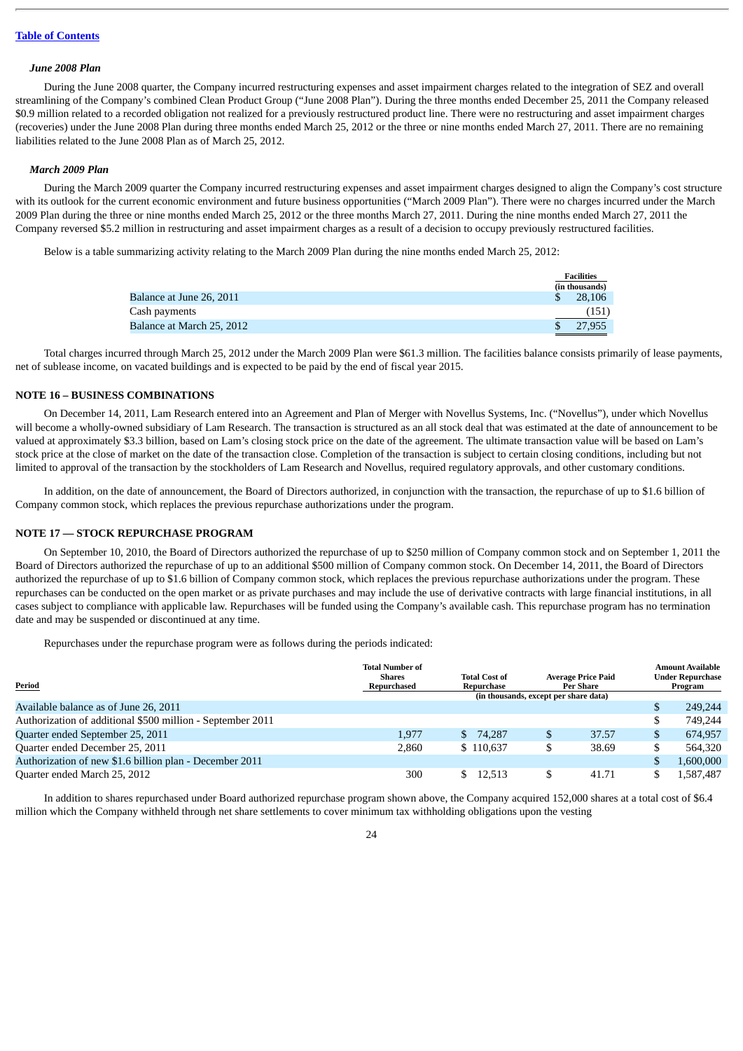#### *June 2008 Plan*

During the June 2008 quarter, the Company incurred restructuring expenses and asset impairment charges related to the integration of SEZ and overall streamlining of the Company's combined Clean Product Group ("June 2008 Plan"). During the three months ended December 25, 2011 the Company released \$0.9 million related to a recorded obligation not realized for a previously restructured product line. There were no restructuring and asset impairment charges (recoveries) under the June 2008 Plan during three months ended March 25, 2012 or the three or nine months ended March 27, 2011. There are no remaining liabilities related to the June 2008 Plan as of March 25, 2012.

#### *March 2009 Plan*

During the March 2009 quarter the Company incurred restructuring expenses and asset impairment charges designed to align the Company's cost structure with its outlook for the current economic environment and future business opportunities ("March 2009 Plan"). There were no charges incurred under the March 2009 Plan during the three or nine months ended March 25, 2012 or the three months March 27, 2011. During the nine months ended March 27, 2011 the Company reversed \$5.2 million in restructuring and asset impairment charges as a result of a decision to occupy previously restructured facilities.

Below is a table summarizing activity relating to the March 2009 Plan during the nine months ended March 25, 2012:

|                           | <b>Facilities</b> |
|---------------------------|-------------------|
|                           | (in thousands)    |
| Balance at June 26, 2011  | 28.106            |
| Cash payments             | (151,             |
| Balance at March 25, 2012 | 27,955            |

Total charges incurred through March 25, 2012 under the March 2009 Plan were \$61.3 million. The facilities balance consists primarily of lease payments, net of sublease income, on vacated buildings and is expected to be paid by the end of fiscal year 2015.

#### **NOTE 16 – BUSINESS COMBINATIONS**

On December 14, 2011, Lam Research entered into an Agreement and Plan of Merger with Novellus Systems, Inc. ("Novellus"), under which Novellus will become a wholly-owned subsidiary of Lam Research. The transaction is structured as an all stock deal that was estimated at the date of announcement to be valued at approximately \$3.3 billion, based on Lam's closing stock price on the date of the agreement. The ultimate transaction value will be based on Lam's stock price at the close of market on the date of the transaction close. Completion of the transaction is subject to certain closing conditions, including but not limited to approval of the transaction by the stockholders of Lam Research and Novellus, required regulatory approvals, and other customary conditions.

In addition, on the date of announcement, the Board of Directors authorized, in conjunction with the transaction, the repurchase of up to \$1.6 billion of Company common stock, which replaces the previous repurchase authorizations under the program.

#### **NOTE 17 — STOCK REPURCHASE PROGRAM**

On September 10, 2010, the Board of Directors authorized the repurchase of up to \$250 million of Company common stock and on September 1, 2011 the Board of Directors authorized the repurchase of up to an additional \$500 million of Company common stock. On December 14, 2011, the Board of Directors authorized the repurchase of up to \$1.6 billion of Company common stock, which replaces the previous repurchase authorizations under the program. These repurchases can be conducted on the open market or as private purchases and may include the use of derivative contracts with large financial institutions, in all cases subject to compliance with applicable law. Repurchases will be funded using the Company's available cash. This repurchase program has no termination date and may be suspended or discontinued at any time.

Repurchases under the repurchase program were as follows during the periods indicated:

| <b>Period</b>                                              | <b>Total Number of</b><br><b>Shares</b><br>Repurchased | <b>Total Cost of</b><br>Repurchase    | <b>Average Price Paid</b><br>Per Share |       | <b>Amount Available</b><br><b>Under Repurchase</b><br>Program |           |
|------------------------------------------------------------|--------------------------------------------------------|---------------------------------------|----------------------------------------|-------|---------------------------------------------------------------|-----------|
|                                                            |                                                        | (in thousands, except per share data) |                                        |       |                                                               |           |
| Available balance as of June 26, 2011                      |                                                        |                                       |                                        |       | S                                                             | 249,244   |
| Authorization of additional \$500 million - September 2011 |                                                        |                                       |                                        |       |                                                               | 749.244   |
| Quarter ended September 25, 2011                           | 1,977                                                  | 74.287<br>S.                          | \$                                     | 37.57 | \$                                                            | 674.957   |
| Quarter ended December 25, 2011                            | 2.860                                                  | \$110,637                             | \$                                     | 38.69 |                                                               | 564,320   |
| Authorization of new \$1.6 billion plan - December 2011    |                                                        |                                       |                                        |       |                                                               | 1,600,000 |
| Quarter ended March 25, 2012                               | 300                                                    | 12.513                                |                                        | 41.71 |                                                               | 1,587,487 |

In addition to shares repurchased under Board authorized repurchase program shown above, the Company acquired 152,000 shares at a total cost of \$6.4 million which the Company withheld through net share settlements to cover minimum tax withholding obligations upon the vesting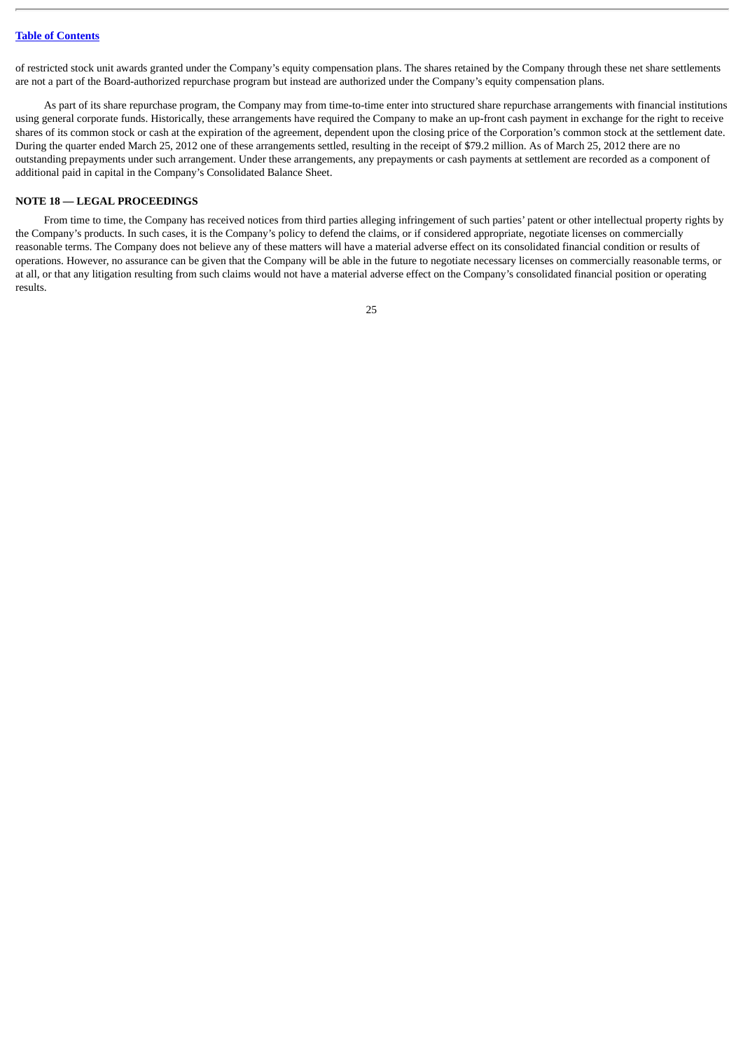of restricted stock unit awards granted under the Company's equity compensation plans. The shares retained by the Company through these net share settlements are not a part of the Board-authorized repurchase program but instead are authorized under the Company's equity compensation plans.

As part of its share repurchase program, the Company may from time-to-time enter into structured share repurchase arrangements with financial institutions using general corporate funds. Historically, these arrangements have required the Company to make an up-front cash payment in exchange for the right to receive shares of its common stock or cash at the expiration of the agreement, dependent upon the closing price of the Corporation's common stock at the settlement date. During the quarter ended March 25, 2012 one of these arrangements settled, resulting in the receipt of \$79.2 million. As of March 25, 2012 there are no outstanding prepayments under such arrangement. Under these arrangements, any prepayments or cash payments at settlement are recorded as a component of additional paid in capital in the Company's Consolidated Balance Sheet.

## **NOTE 18 — LEGAL PROCEEDINGS**

From time to time, the Company has received notices from third parties alleging infringement of such parties' patent or other intellectual property rights by the Company's products. In such cases, it is the Company's policy to defend the claims, or if considered appropriate, negotiate licenses on commercially reasonable terms. The Company does not believe any of these matters will have a material adverse effect on its consolidated financial condition or results of operations. However, no assurance can be given that the Company will be able in the future to negotiate necessary licenses on commercially reasonable terms, or at all, or that any litigation resulting from such claims would not have a material adverse effect on the Company's consolidated financial position or operating results.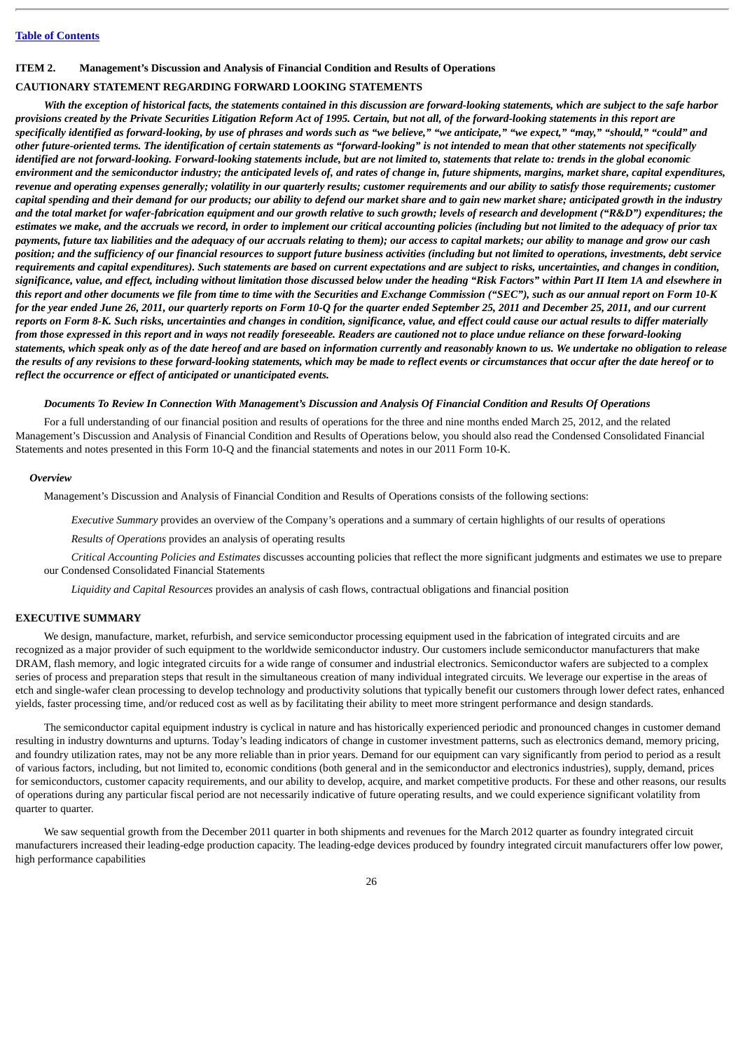#### <span id="page-25-0"></span>**ITEM 2. Management's Discussion and Analysis of Financial Condition and Results of Operations**

#### **CAUTIONARY STATEMENT REGARDING FORWARD LOOKING STATEMENTS**

*With the exception of historical facts, the statements contained in this discussion are forward-looking statements, which are subject to the safe harbor provisions created by the Private Securities Litigation Reform Act of 1995. Certain, but not all, of the forward-looking statements in this report are specifically identified as forward-looking, by use of phrases and words such as "we believe," "we anticipate," "we expect," "may," "should," "could" and other future-oriented terms. The identification of certain statements as "forward-looking" is not intended to mean that other statements not specifically identified are not forward-looking. Forward-looking statements include, but are not limited to, statements that relate to: trends in the global economic environment and the semiconductor industry; the anticipated levels of, and rates of change in, future shipments, margins, market share, capital expenditures, revenue and operating expenses generally; volatility in our quarterly results; customer requirements and our ability to satisfy those requirements; customer capital spending and their demand for our products; our ability to defend our market share and to gain new market share; anticipated growth in the industry and the total market for wafer-fabrication equipment and our growth relative to such growth; levels of research and development ("R&D") expenditures; the estimates we make, and the accruals we record, in order to implement our critical accounting policies (including but not limited to the adequacy of prior tax payments, future tax liabilities and the adequacy of our accruals relating to them); our access to capital markets; our ability to manage and grow our cash position; and the sufficiency of our financial resources to support future business activities (including but not limited to operations, investments, debt service requirements and capital expenditures). Such statements are based on current expectations and are subject to risks, uncertainties, and changes in condition, significance, value, and effect, including without limitation those discussed below under the heading "Risk Factors" within Part II Item 1A and elsewhere in this report and other documents we file from time to time with the Securities and Exchange Commission ("SEC"), such as our annual report on Form 10-K for the year ended June 26, 2011, our quarterly reports on Form 10-Q for the quarter ended September 25, 2011 and December 25, 2011, and our current reports on Form 8-K. Such risks, uncertainties and changes in condition, significance, value, and effect could cause our actual results to differ materially from those expressed in this report and in ways not readily foreseeable. Readers are cautioned not to place undue reliance on these forward-looking statements, which speak only as of the date hereof and are based on information currently and reasonably known to us. We undertake no obligation to release the results of any revisions to these forward-looking statements, which may be made to reflect events or circumstances that occur after the date hereof or to reflect the occurrence or effect of anticipated or unanticipated events.*

#### *Documents To Review In Connection With Management's Discussion and Analysis Of Financial Condition and Results Of Operations*

For a full understanding of our financial position and results of operations for the three and nine months ended March 25, 2012, and the related Management's Discussion and Analysis of Financial Condition and Results of Operations below, you should also read the Condensed Consolidated Financial Statements and notes presented in this Form 10-Q and the financial statements and notes in our 2011 Form 10-K.

#### *Overview*

Management's Discussion and Analysis of Financial Condition and Results of Operations consists of the following sections:

*Executive Summary* provides an overview of the Company's operations and a summary of certain highlights of our results of operations

*Results of Operations* provides an analysis of operating results

*Critical Accounting Policies and Estimates* discusses accounting policies that reflect the more significant judgments and estimates we use to prepare our Condensed Consolidated Financial Statements

*Liquidity and Capital Resources* provides an analysis of cash flows, contractual obligations and financial position

#### **EXECUTIVE SUMMARY**

We design, manufacture, market, refurbish, and service semiconductor processing equipment used in the fabrication of integrated circuits and are recognized as a major provider of such equipment to the worldwide semiconductor industry. Our customers include semiconductor manufacturers that make DRAM, flash memory, and logic integrated circuits for a wide range of consumer and industrial electronics. Semiconductor wafers are subjected to a complex series of process and preparation steps that result in the simultaneous creation of many individual integrated circuits. We leverage our expertise in the areas of etch and single-wafer clean processing to develop technology and productivity solutions that typically benefit our customers through lower defect rates, enhanced yields, faster processing time, and/or reduced cost as well as by facilitating their ability to meet more stringent performance and design standards.

The semiconductor capital equipment industry is cyclical in nature and has historically experienced periodic and pronounced changes in customer demand resulting in industry downturns and upturns. Today's leading indicators of change in customer investment patterns, such as electronics demand, memory pricing, and foundry utilization rates, may not be any more reliable than in prior years. Demand for our equipment can vary significantly from period to period as a result of various factors, including, but not limited to, economic conditions (both general and in the semiconductor and electronics industries), supply, demand, prices for semiconductors, customer capacity requirements, and our ability to develop, acquire, and market competitive products. For these and other reasons, our results of operations during any particular fiscal period are not necessarily indicative of future operating results, and we could experience significant volatility from quarter to quarter.

We saw sequential growth from the December 2011 quarter in both shipments and revenues for the March 2012 quarter as foundry integrated circuit manufacturers increased their leading-edge production capacity. The leading-edge devices produced by foundry integrated circuit manufacturers offer low power, high performance capabilities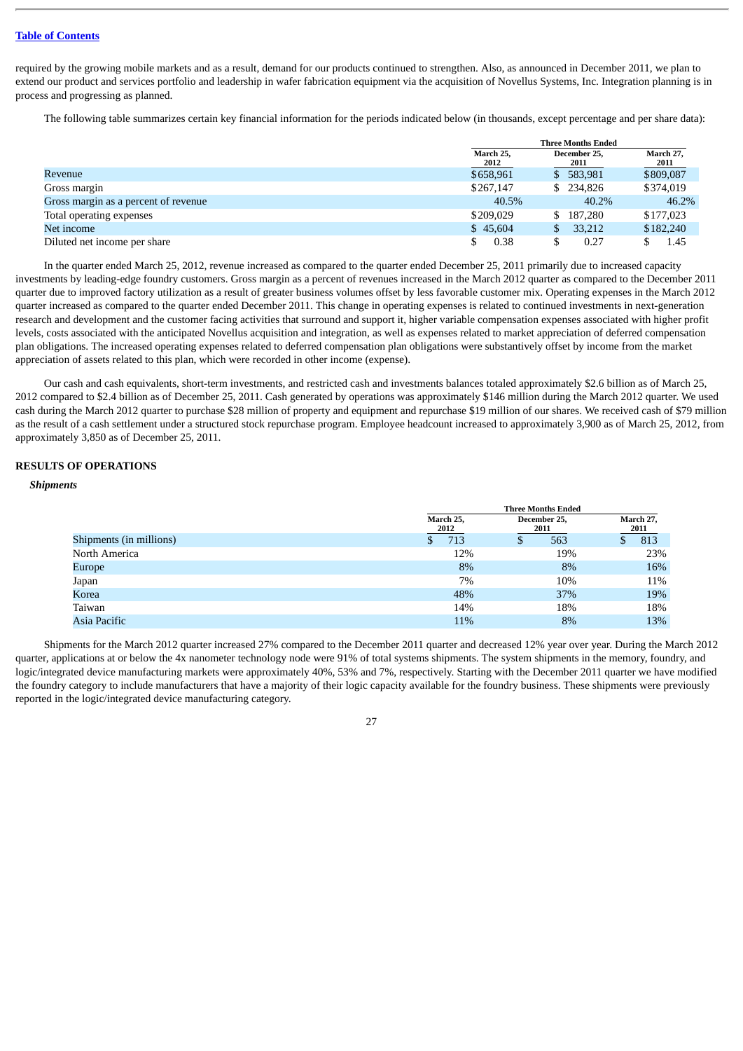required by the growing mobile markets and as a result, demand for our products continued to strengthen. Also, as announced in December 2011, we plan to extend our product and services portfolio and leadership in wafer fabrication equipment via the acquisition of Novellus Systems, Inc. Integration planning is in process and progressing as planned.

The following table summarizes certain key financial information for the periods indicated below (in thousands, except percentage and per share data):

|                                      |                   | <b>Three Months Ended</b> |                   |  |  |  |
|--------------------------------------|-------------------|---------------------------|-------------------|--|--|--|
|                                      | March 25,<br>2012 | December 25,<br>2011      | March 27,<br>2011 |  |  |  |
| Revenue                              | \$658,961         | \$583,981                 | \$809,087         |  |  |  |
| Gross margin                         | \$267,147         | \$234,826                 | \$374,019         |  |  |  |
| Gross margin as a percent of revenue | 40.5%             | 40.2%                     | 46.2%             |  |  |  |
| Total operating expenses             | \$209,029         | 187.280<br>\$             | \$177,023         |  |  |  |
| Net income                           | \$45,604          | 33,212<br>S               | \$182,240         |  |  |  |
| Diluted net income per share         | 0.38              | 0.27                      | 1.45              |  |  |  |

In the quarter ended March 25, 2012, revenue increased as compared to the quarter ended December 25, 2011 primarily due to increased capacity investments by leading-edge foundry customers. Gross margin as a percent of revenues increased in the March 2012 quarter as compared to the December 2011 quarter due to improved factory utilization as a result of greater business volumes offset by less favorable customer mix. Operating expenses in the March 2012 quarter increased as compared to the quarter ended December 2011. This change in operating expenses is related to continued investments in next-generation research and development and the customer facing activities that surround and support it, higher variable compensation expenses associated with higher profit levels, costs associated with the anticipated Novellus acquisition and integration, as well as expenses related to market appreciation of deferred compensation plan obligations. The increased operating expenses related to deferred compensation plan obligations were substantively offset by income from the market appreciation of assets related to this plan, which were recorded in other income (expense).

Our cash and cash equivalents, short-term investments, and restricted cash and investments balances totaled approximately \$2.6 billion as of March 25, 2012 compared to \$2.4 billion as of December 25, 2011. Cash generated by operations was approximately \$146 million during the March 2012 quarter. We used cash during the March 2012 quarter to purchase \$28 million of property and equipment and repurchase \$19 million of our shares. We received cash of \$79 million as the result of a cash settlement under a structured stock repurchase program. Employee headcount increased to approximately 3,900 as of March 25, 2012, from approximately 3,850 as of December 25, 2011.

## **RESULTS OF OPERATIONS**

## *Shipments*

|                         | <b>Three Months Ended</b> |                      |                   |  |  |
|-------------------------|---------------------------|----------------------|-------------------|--|--|
|                         | March 25,<br>2012         | December 25,<br>2011 | March 27,<br>2011 |  |  |
| Shipments (in millions) | 713                       | 563<br>Φ             | 813<br>S          |  |  |
| North America           | 12%                       | 19%                  | 23%               |  |  |
| Europe                  | 8%                        | 8%                   | 16%               |  |  |
| Japan                   | 7%                        | 10%                  | 11%               |  |  |
| Korea                   | 48%                       | 37%                  | 19%               |  |  |
| Taiwan                  | 14%                       | 18%                  | 18%               |  |  |
| Asia Pacific            | 11%                       | 8%                   | 13%               |  |  |

Shipments for the March 2012 quarter increased 27% compared to the December 2011 quarter and decreased 12% year over year. During the March 2012 quarter, applications at or below the 4x nanometer technology node were 91% of total systems shipments. The system shipments in the memory, foundry, and logic/integrated device manufacturing markets were approximately 40%, 53% and 7%, respectively. Starting with the December 2011 quarter we have modified the foundry category to include manufacturers that have a majority of their logic capacity available for the foundry business. These shipments were previously reported in the logic/integrated device manufacturing category.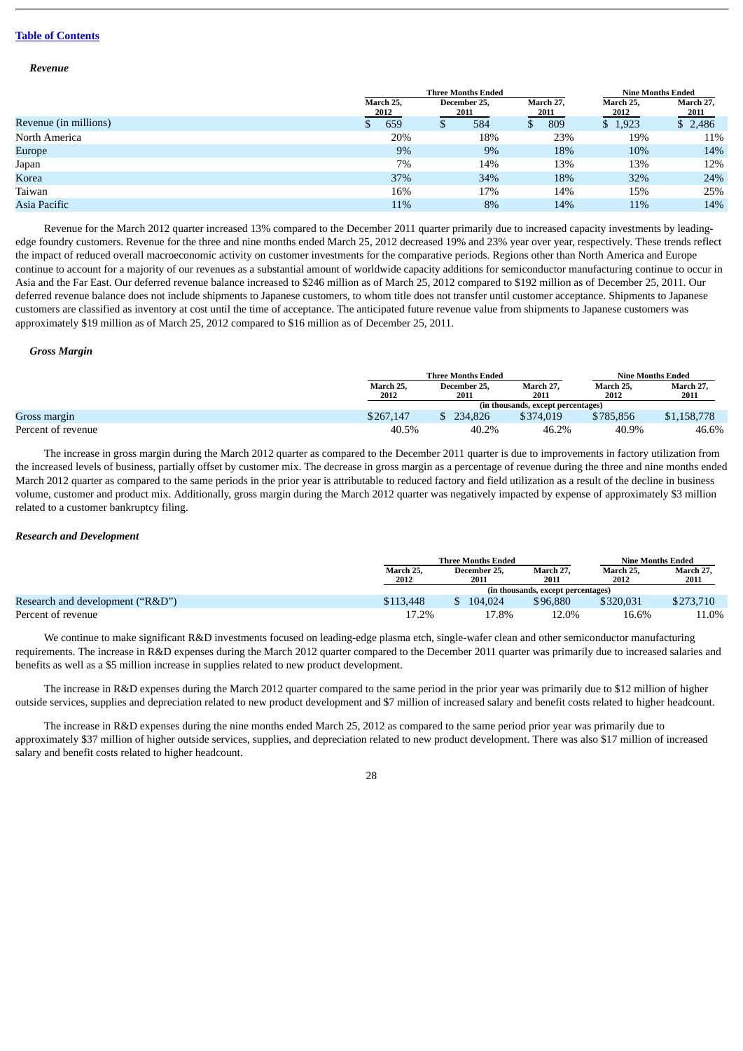#### *Revenue*

|                       | <b>Three Months Ended</b> |     |                      |       |                   | <b>Nine Months Ended</b> |                   |         |                          |         |
|-----------------------|---------------------------|-----|----------------------|-------|-------------------|--------------------------|-------------------|---------|--------------------------|---------|
|                       | March 25,<br>2012         |     | December 25,<br>2011 |       | March 27,<br>2011 |                          | March 25,<br>2012 |         | March 27,<br><b>2011</b> |         |
| Revenue (in millions) |                           | 659 | D                    | 584   |                   | 809                      |                   | \$1,923 |                          | \$2,486 |
| North America         |                           | 20% |                      | 18%   |                   | 23%                      |                   | 19%     |                          | 11%     |
| Europe                |                           | 9%  |                      | $9\%$ |                   | 18%                      |                   | 10%     |                          | 14%     |
| Japan                 |                           | 7%  |                      | 14%   |                   | 13%                      |                   | 13%     |                          | 12%     |
| Korea                 |                           | 37% |                      | 34%   |                   | 18%                      |                   | 32%     |                          | 24%     |
| Taiwan                |                           | 16% |                      | 17%   |                   | 14%                      |                   | 15%     |                          | 25%     |
| Asia Pacific          |                           | 11% |                      | 8%    |                   | 14%                      |                   | 11%     |                          | 14%     |

Revenue for the March 2012 quarter increased 13% compared to the December 2011 quarter primarily due to increased capacity investments by leadingedge foundry customers. Revenue for the three and nine months ended March 25, 2012 decreased 19% and 23% year over year, respectively. These trends reflect the impact of reduced overall macroeconomic activity on customer investments for the comparative periods. Regions other than North America and Europe continue to account for a majority of our revenues as a substantial amount of worldwide capacity additions for semiconductor manufacturing continue to occur in Asia and the Far East. Our deferred revenue balance increased to \$246 million as of March 25, 2012 compared to \$192 million as of December 25, 2011. Our deferred revenue balance does not include shipments to Japanese customers, to whom title does not transfer until customer acceptance. Shipments to Japanese customers are classified as inventory at cost until the time of acceptance. The anticipated future revenue value from shipments to Japanese customers was approximately \$19 million as of March 25, 2012 compared to \$16 million as of December 25, 2011.

#### *Gross Margin*

|                    |                   | Three Months Ended                 |                   |                   | <b>Nine Months Ended</b> |  |  |
|--------------------|-------------------|------------------------------------|-------------------|-------------------|--------------------------|--|--|
|                    | March 25.<br>2012 | December 25.<br>2011               | March 27.<br>2011 | March 25.<br>2012 | March 27.<br>2011        |  |  |
|                    |                   | (in thousands, except percentages) |                   |                   |                          |  |  |
| Gross margin       | \$267,147         | 234,826                            | \$374,019         | \$785.856         | \$1,158,778              |  |  |
| Percent of revenue | 40.5%             | 40.2%                              | 46.2%             | 40.9%             | 46.6%                    |  |  |

The increase in gross margin during the March 2012 quarter as compared to the December 2011 quarter is due to improvements in factory utilization from the increased levels of business, partially offset by customer mix. The decrease in gross margin as a percentage of revenue during the three and nine months ended March 2012 quarter as compared to the same periods in the prior year is attributable to reduced factory and field utilization as a result of the decline in business volume, customer and product mix. Additionally, gross margin during the March 2012 quarter was negatively impacted by expense of approximately \$3 million related to a customer bankruptcy filing.

#### *Research and Development*

|                                  |                   | <b>Three Months Ended</b>          |                   |                   | <b>Nine Months Ended</b> |  |  |
|----------------------------------|-------------------|------------------------------------|-------------------|-------------------|--------------------------|--|--|
|                                  | March 25,<br>2012 | December 25,<br>2011               | March 27.<br>2011 | March 25.<br>2012 | March 27.<br>2011        |  |  |
|                                  |                   | (in thousands, except percentages) |                   |                   |                          |  |  |
| Research and development ("R&D") | \$113,448         | 104.024                            | \$96,880          | \$320,031         | \$273,710                |  |  |
| Percent of revenue               | 17.2%             | $17.8\%$                           | 12.0%             | 16.6%             | l1.0%                    |  |  |

We continue to make significant R&D investments focused on leading-edge plasma etch, single-wafer clean and other semiconductor manufacturing requirements. The increase in R&D expenses during the March 2012 quarter compared to the December 2011 quarter was primarily due to increased salaries and benefits as well as a \$5 million increase in supplies related to new product development.

The increase in R&D expenses during the March 2012 quarter compared to the same period in the prior year was primarily due to \$12 million of higher outside services, supplies and depreciation related to new product development and \$7 million of increased salary and benefit costs related to higher headcount.

The increase in R&D expenses during the nine months ended March 25, 2012 as compared to the same period prior year was primarily due to approximately \$37 million of higher outside services, supplies, and depreciation related to new product development. There was also \$17 million of increased salary and benefit costs related to higher headcount.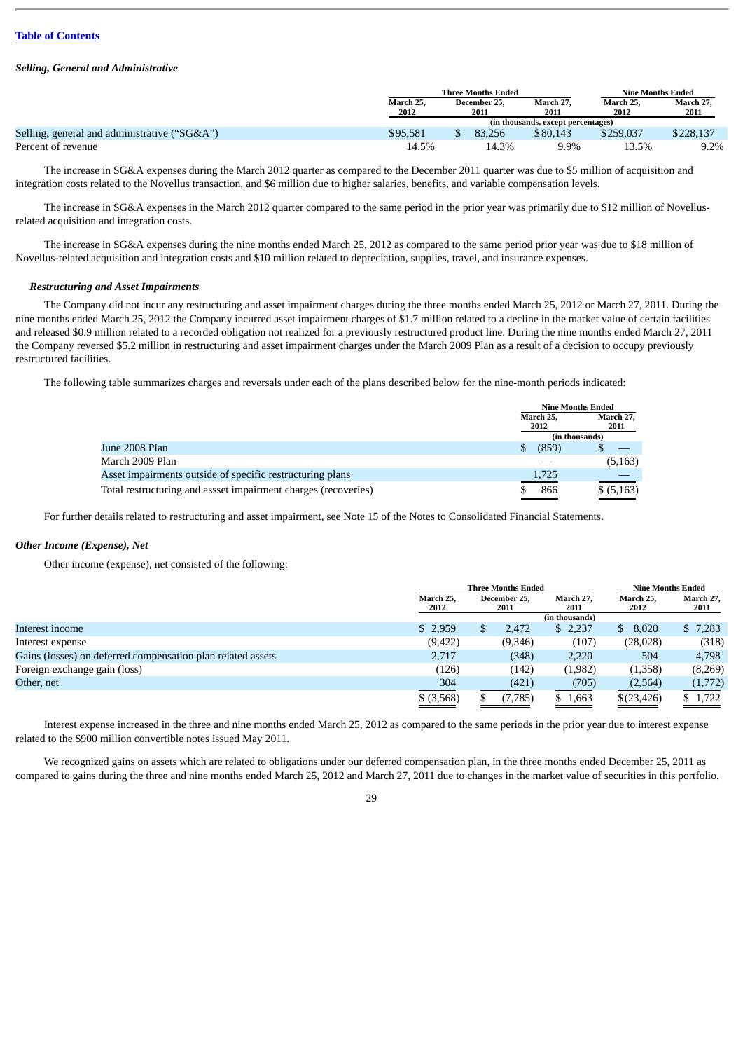#### *Selling, General and Administrative*

|                                              | <b>Three Months Ended</b>          |      |        |          | Nine Months Ended |              |  |  |  |                   |                   |                   |
|----------------------------------------------|------------------------------------|------|--------|----------|-------------------|--------------|--|--|--|-------------------|-------------------|-------------------|
|                                              | March 25.<br>2012                  | 2011 |        |          |                   | December 25. |  |  |  | March 27.<br>2011 | March 25.<br>2012 | March 27.<br>2011 |
|                                              | (in thousands, except percentages) |      |        |          |                   |              |  |  |  |                   |                   |                   |
| Selling, general and administrative ("SG&A") | \$95.581                           |      | 83.256 | \$80,143 | \$259,037         | \$228,137    |  |  |  |                   |                   |                   |
| Percent of revenue                           | 14.5%                              |      | 14.3%  | 9.9%     | 13.5%             | 9.2%         |  |  |  |                   |                   |                   |

The increase in SG&A expenses during the March 2012 quarter as compared to the December 2011 quarter was due to \$5 million of acquisition and integration costs related to the Novellus transaction, and \$6 million due to higher salaries, benefits, and variable compensation levels.

The increase in SG&A expenses in the March 2012 quarter compared to the same period in the prior year was primarily due to \$12 million of Novellusrelated acquisition and integration costs.

The increase in SG&A expenses during the nine months ended March 25, 2012 as compared to the same period prior year was due to \$18 million of Novellus-related acquisition and integration costs and \$10 million related to depreciation, supplies, travel, and insurance expenses.

#### *Restructuring and Asset Impairments*

The Company did not incur any restructuring and asset impairment charges during the three months ended March 25, 2012 or March 27, 2011. During the nine months ended March 25, 2012 the Company incurred asset impairment charges of \$1.7 million related to a decline in the market value of certain facilities and released \$0.9 million related to a recorded obligation not realized for a previously restructured product line. During the nine months ended March 27, 2011 the Company reversed \$5.2 million in restructuring and asset impairment charges under the March 2009 Plan as a result of a decision to occupy previously restructured facilities.

The following table summarizes charges and reversals under each of the plans described below for the nine-month periods indicated:

|                                                                | <b>Nine Months Ended</b> |                   |
|----------------------------------------------------------------|--------------------------|-------------------|
|                                                                | March 25,<br>2012        | March 27.<br>2011 |
|                                                                | (in thousands)           |                   |
| June 2008 Plan                                                 | S<br>(859)               |                   |
| March 2009 Plan                                                |                          | (5, 163)          |
| Asset impairments outside of specific restructuring plans      | 1,725                    |                   |
| Total restructuring and assset impairment charges (recoveries) | 866                      | \$ (5,163)        |

For further details related to restructuring and asset impairment, see Note 15 of the Notes to Consolidated Financial Statements.

#### *Other Income (Expense), Net*

Other income (expense), net consisted of the following:

|                                                             | <b>Three Months Ended</b> | <b>Nine Months Ended</b> |                   |                   |                   |
|-------------------------------------------------------------|---------------------------|--------------------------|-------------------|-------------------|-------------------|
|                                                             | March 25.<br>2012         | December 25.<br>2011     | March 27.<br>2011 | March 25.<br>2012 | March 27,<br>2011 |
|                                                             |                           |                          | (in thousands)    |                   |                   |
| Interest income                                             | \$2,959                   | 2,472                    | \$2,237           | 8,020<br>S        | \$7,283           |
| Interest expense                                            | (9,422)                   | (9,346)                  | (107)             | (28,028)          | (318)             |
| Gains (losses) on deferred compensation plan related assets | 2,717                     | (348)                    | 2,220             | 504               | 4,798             |
| Foreign exchange gain (loss)                                | (126)                     | (142)                    | (1, 982)          | (1,358)           | (8,269)           |
| Other, net                                                  | 304                       | (421)                    | (705)             | (2,564)           | (1,772)           |
|                                                             | $$$ (3,568)               | (7,785)                  | \$1,663           | \$(23, 426)       | \$1,722           |

Interest expense increased in the three and nine months ended March 25, 2012 as compared to the same periods in the prior year due to interest expense related to the \$900 million convertible notes issued May 2011.

We recognized gains on assets which are related to obligations under our deferred compensation plan, in the three months ended December 25, 2011 as compared to gains during the three and nine months ended March 25, 2012 and March 27, 2011 due to changes in the market value of securities in this portfolio.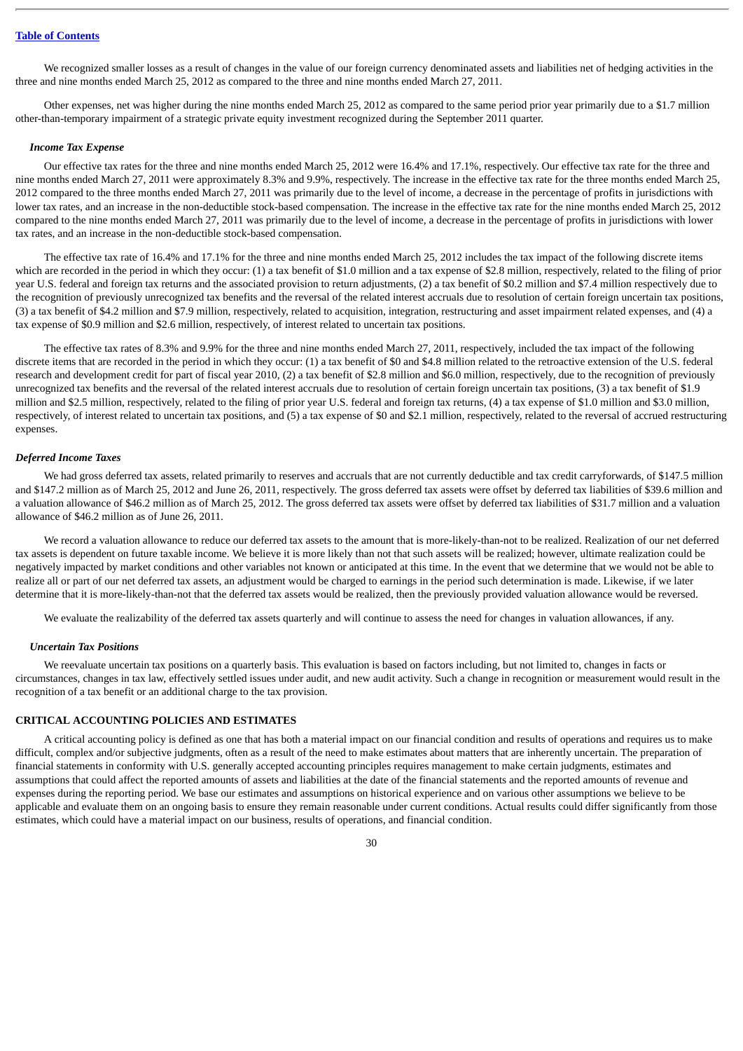We recognized smaller losses as a result of changes in the value of our foreign currency denominated assets and liabilities net of hedging activities in the three and nine months ended March 25, 2012 as compared to the three and nine months ended March 27, 2011.

Other expenses, net was higher during the nine months ended March 25, 2012 as compared to the same period prior year primarily due to a \$1.7 million other-than-temporary impairment of a strategic private equity investment recognized during the September 2011 quarter.

#### *Income Tax Expense*

Our effective tax rates for the three and nine months ended March 25, 2012 were 16.4% and 17.1%, respectively. Our effective tax rate for the three and nine months ended March 27, 2011 were approximately 8.3% and 9.9%, respectively. The increase in the effective tax rate for the three months ended March 25, 2012 compared to the three months ended March 27, 2011 was primarily due to the level of income, a decrease in the percentage of profits in jurisdictions with lower tax rates, and an increase in the non-deductible stock-based compensation. The increase in the effective tax rate for the nine months ended March 25, 2012 compared to the nine months ended March 27, 2011 was primarily due to the level of income, a decrease in the percentage of profits in jurisdictions with lower tax rates, and an increase in the non-deductible stock-based compensation.

The effective tax rate of 16.4% and 17.1% for the three and nine months ended March 25, 2012 includes the tax impact of the following discrete items which are recorded in the period in which they occur: (1) a tax benefit of \$1.0 million and a tax expense of \$2.8 million, respectively, related to the filing of prior year U.S. federal and foreign tax returns and the associated provision to return adjustments, (2) a tax benefit of \$0.2 million and \$7.4 million respectively due to the recognition of previously unrecognized tax benefits and the reversal of the related interest accruals due to resolution of certain foreign uncertain tax positions, (3) a tax benefit of \$4.2 million and \$7.9 million, respectively, related to acquisition, integration, restructuring and asset impairment related expenses, and (4) a tax expense of \$0.9 million and \$2.6 million, respectively, of interest related to uncertain tax positions.

The effective tax rates of 8.3% and 9.9% for the three and nine months ended March 27, 2011, respectively, included the tax impact of the following discrete items that are recorded in the period in which they occur: (1) a tax benefit of \$0 and \$4.8 million related to the retroactive extension of the U.S. federal research and development credit for part of fiscal year 2010, (2) a tax benefit of \$2.8 million and \$6.0 million, respectively, due to the recognition of previously unrecognized tax benefits and the reversal of the related interest accruals due to resolution of certain foreign uncertain tax positions, (3) a tax benefit of \$1.9 million and \$2.5 million, respectively, related to the filing of prior year U.S. federal and foreign tax returns, (4) a tax expense of \$1.0 million and \$3.0 million, respectively, of interest related to uncertain tax positions, and (5) a tax expense of \$0 and \$2.1 million, respectively, related to the reversal of accrued restructuring expenses.

#### *Deferred Income Taxes*

We had gross deferred tax assets, related primarily to reserves and accruals that are not currently deductible and tax credit carryforwards, of \$147.5 million and \$147.2 million as of March 25, 2012 and June 26, 2011, respectively. The gross deferred tax assets were offset by deferred tax liabilities of \$39.6 million and a valuation allowance of \$46.2 million as of March 25, 2012. The gross deferred tax assets were offset by deferred tax liabilities of \$31.7 million and a valuation allowance of \$46.2 million as of June 26, 2011.

We record a valuation allowance to reduce our deferred tax assets to the amount that is more-likely-than-not to be realized. Realization of our net deferred tax assets is dependent on future taxable income. We believe it is more likely than not that such assets will be realized; however, ultimate realization could be negatively impacted by market conditions and other variables not known or anticipated at this time. In the event that we determine that we would not be able to realize all or part of our net deferred tax assets, an adjustment would be charged to earnings in the period such determination is made. Likewise, if we later determine that it is more-likely-than-not that the deferred tax assets would be realized, then the previously provided valuation allowance would be reversed.

We evaluate the realizability of the deferred tax assets quarterly and will continue to assess the need for changes in valuation allowances, if any.

#### *Uncertain Tax Positions*

We reevaluate uncertain tax positions on a quarterly basis. This evaluation is based on factors including, but not limited to, changes in facts or circumstances, changes in tax law, effectively settled issues under audit, and new audit activity. Such a change in recognition or measurement would result in the recognition of a tax benefit or an additional charge to the tax provision.

#### **CRITICAL ACCOUNTING POLICIES AND ESTIMATES**

A critical accounting policy is defined as one that has both a material impact on our financial condition and results of operations and requires us to make difficult, complex and/or subjective judgments, often as a result of the need to make estimates about matters that are inherently uncertain. The preparation of financial statements in conformity with U.S. generally accepted accounting principles requires management to make certain judgments, estimates and assumptions that could affect the reported amounts of assets and liabilities at the date of the financial statements and the reported amounts of revenue and expenses during the reporting period. We base our estimates and assumptions on historical experience and on various other assumptions we believe to be applicable and evaluate them on an ongoing basis to ensure they remain reasonable under current conditions. Actual results could differ significantly from those estimates, which could have a material impact on our business, results of operations, and financial condition.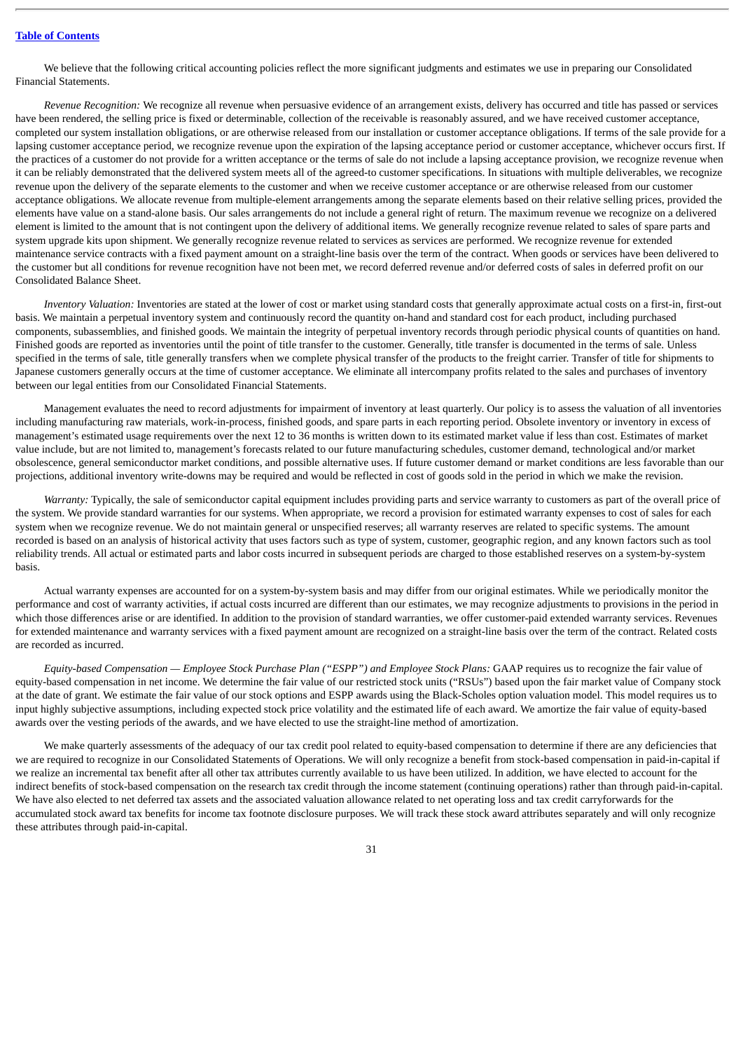We believe that the following critical accounting policies reflect the more significant judgments and estimates we use in preparing our Consolidated Financial Statements.

*Revenue Recognition:* We recognize all revenue when persuasive evidence of an arrangement exists, delivery has occurred and title has passed or services have been rendered, the selling price is fixed or determinable, collection of the receivable is reasonably assured, and we have received customer acceptance, completed our system installation obligations, or are otherwise released from our installation or customer acceptance obligations. If terms of the sale provide for a lapsing customer acceptance period, we recognize revenue upon the expiration of the lapsing acceptance period or customer acceptance, whichever occurs first. If the practices of a customer do not provide for a written acceptance or the terms of sale do not include a lapsing acceptance provision, we recognize revenue when it can be reliably demonstrated that the delivered system meets all of the agreed-to customer specifications. In situations with multiple deliverables, we recognize revenue upon the delivery of the separate elements to the customer and when we receive customer acceptance or are otherwise released from our customer acceptance obligations. We allocate revenue from multiple-element arrangements among the separate elements based on their relative selling prices, provided the elements have value on a stand-alone basis. Our sales arrangements do not include a general right of return. The maximum revenue we recognize on a delivered element is limited to the amount that is not contingent upon the delivery of additional items. We generally recognize revenue related to sales of spare parts and system upgrade kits upon shipment. We generally recognize revenue related to services as services are performed. We recognize revenue for extended maintenance service contracts with a fixed payment amount on a straight-line basis over the term of the contract. When goods or services have been delivered to the customer but all conditions for revenue recognition have not been met, we record deferred revenue and/or deferred costs of sales in deferred profit on our Consolidated Balance Sheet.

*Inventory Valuation:* Inventories are stated at the lower of cost or market using standard costs that generally approximate actual costs on a first-in, first-out basis. We maintain a perpetual inventory system and continuously record the quantity on-hand and standard cost for each product, including purchased components, subassemblies, and finished goods. We maintain the integrity of perpetual inventory records through periodic physical counts of quantities on hand. Finished goods are reported as inventories until the point of title transfer to the customer. Generally, title transfer is documented in the terms of sale. Unless specified in the terms of sale, title generally transfers when we complete physical transfer of the products to the freight carrier. Transfer of title for shipments to Japanese customers generally occurs at the time of customer acceptance. We eliminate all intercompany profits related to the sales and purchases of inventory between our legal entities from our Consolidated Financial Statements.

Management evaluates the need to record adjustments for impairment of inventory at least quarterly. Our policy is to assess the valuation of all inventories including manufacturing raw materials, work-in-process, finished goods, and spare parts in each reporting period. Obsolete inventory or inventory in excess of management's estimated usage requirements over the next 12 to 36 months is written down to its estimated market value if less than cost. Estimates of market value include, but are not limited to, management's forecasts related to our future manufacturing schedules, customer demand, technological and/or market obsolescence, general semiconductor market conditions, and possible alternative uses. If future customer demand or market conditions are less favorable than our projections, additional inventory write-downs may be required and would be reflected in cost of goods sold in the period in which we make the revision.

*Warranty:* Typically, the sale of semiconductor capital equipment includes providing parts and service warranty to customers as part of the overall price of the system. We provide standard warranties for our systems. When appropriate, we record a provision for estimated warranty expenses to cost of sales for each system when we recognize revenue. We do not maintain general or unspecified reserves; all warranty reserves are related to specific systems. The amount recorded is based on an analysis of historical activity that uses factors such as type of system, customer, geographic region, and any known factors such as tool reliability trends. All actual or estimated parts and labor costs incurred in subsequent periods are charged to those established reserves on a system-by-system basis.

Actual warranty expenses are accounted for on a system-by-system basis and may differ from our original estimates. While we periodically monitor the performance and cost of warranty activities, if actual costs incurred are different than our estimates, we may recognize adjustments to provisions in the period in which those differences arise or are identified. In addition to the provision of standard warranties, we offer customer-paid extended warranty services. Revenues for extended maintenance and warranty services with a fixed payment amount are recognized on a straight-line basis over the term of the contract. Related costs are recorded as incurred.

*Equity-based Compensation — Employee Stock Purchase Plan ("ESPP") and Employee Stock Plans:* GAAP requires us to recognize the fair value of equity-based compensation in net income. We determine the fair value of our restricted stock units ("RSUs") based upon the fair market value of Company stock at the date of grant. We estimate the fair value of our stock options and ESPP awards using the Black-Scholes option valuation model. This model requires us to input highly subjective assumptions, including expected stock price volatility and the estimated life of each award. We amortize the fair value of equity-based awards over the vesting periods of the awards, and we have elected to use the straight-line method of amortization.

We make quarterly assessments of the adequacy of our tax credit pool related to equity-based compensation to determine if there are any deficiencies that we are required to recognize in our Consolidated Statements of Operations. We will only recognize a benefit from stock-based compensation in paid-in-capital if we realize an incremental tax benefit after all other tax attributes currently available to us have been utilized. In addition, we have elected to account for the indirect benefits of stock-based compensation on the research tax credit through the income statement (continuing operations) rather than through paid-in-capital. We have also elected to net deferred tax assets and the associated valuation allowance related to net operating loss and tax credit carryforwards for the accumulated stock award tax benefits for income tax footnote disclosure purposes. We will track these stock award attributes separately and will only recognize these attributes through paid-in-capital.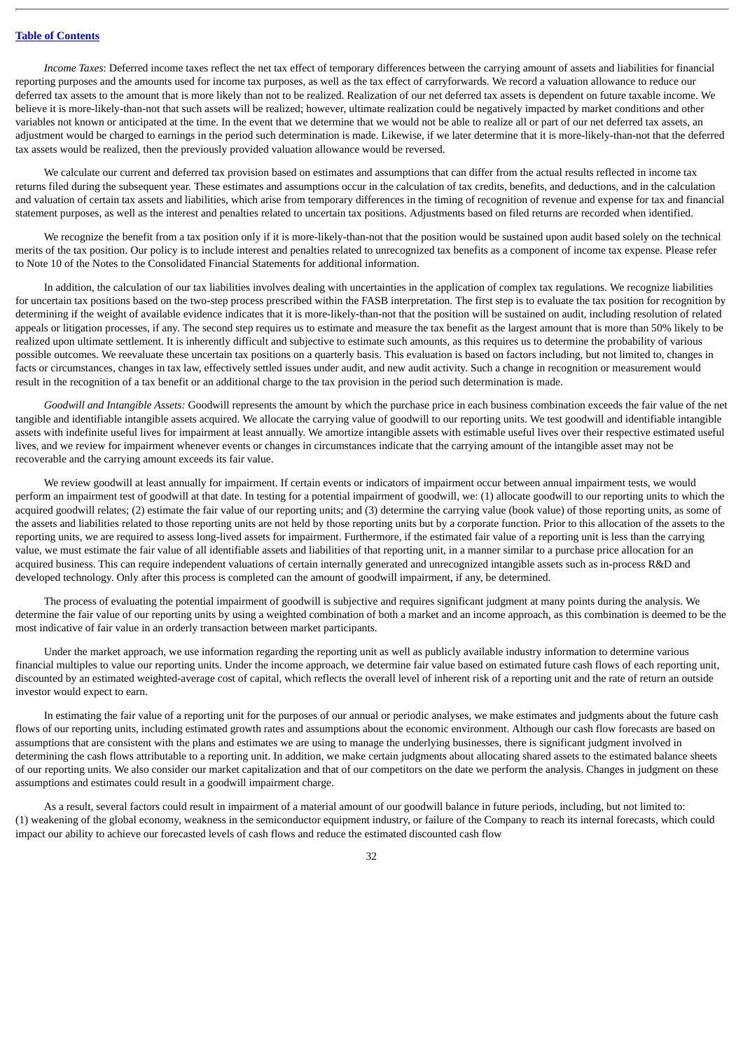*Income Taxes*: Deferred income taxes reflect the net tax effect of temporary differences between the carrying amount of assets and liabilities for financial reporting purposes and the amounts used for income tax purposes, as well as the tax effect of carryforwards. We record a valuation allowance to reduce our deferred tax assets to the amount that is more likely than not to be realized. Realization of our net deferred tax assets is dependent on future taxable income. We believe it is more-likely-than-not that such assets will be realized; however, ultimate realization could be negatively impacted by market conditions and other variables not known or anticipated at the time. In the event that we determine that we would not be able to realize all or part of our net deferred tax assets, an adjustment would be charged to earnings in the period such determination is made. Likewise, if we later determine that it is more-likely-than-not that the deferred tax assets would be realized, then the previously provided valuation allowance would be reversed.

We calculate our current and deferred tax provision based on estimates and assumptions that can differ from the actual results reflected in income tax returns filed during the subsequent year. These estimates and assumptions occur in the calculation of tax credits, benefits, and deductions, and in the calculation and valuation of certain tax assets and liabilities, which arise from temporary differences in the timing of recognition of revenue and expense for tax and financial statement purposes, as well as the interest and penalties related to uncertain tax positions. Adjustments based on filed returns are recorded when identified.

We recognize the benefit from a tax position only if it is more-likely-than-not that the position would be sustained upon audit based solely on the technical merits of the tax position. Our policy is to include interest and penalties related to unrecognized tax benefits as a component of income tax expense. Please refer to Note 10 of the Notes to the Consolidated Financial Statements for additional information.

In addition, the calculation of our tax liabilities involves dealing with uncertainties in the application of complex tax regulations. We recognize liabilities for uncertain tax positions based on the two-step process prescribed within the FASB interpretation. The first step is to evaluate the tax position for recognition by determining if the weight of available evidence indicates that it is more-likely-than-not that the position will be sustained on audit, including resolution of related appeals or litigation processes, if any. The second step requires us to estimate and measure the tax benefit as the largest amount that is more than 50% likely to be realized upon ultimate settlement. It is inherently difficult and subjective to estimate such amounts, as this requires us to determine the probability of various possible outcomes. We reevaluate these uncertain tax positions on a quarterly basis. This evaluation is based on factors including, but not limited to, changes in facts or circumstances, changes in tax law, effectively settled issues under audit, and new audit activity. Such a change in recognition or measurement would result in the recognition of a tax benefit or an additional charge to the tax provision in the period such determination is made.

*Goodwill and Intangible Assets:* Goodwill represents the amount by which the purchase price in each business combination exceeds the fair value of the net tangible and identifiable intangible assets acquired. We allocate the carrying value of goodwill to our reporting units. We test goodwill and identifiable intangible assets with indefinite useful lives for impairment at least annually. We amortize intangible assets with estimable useful lives over their respective estimated useful lives, and we review for impairment whenever events or changes in circumstances indicate that the carrying amount of the intangible asset may not be recoverable and the carrying amount exceeds its fair value.

We review goodwill at least annually for impairment. If certain events or indicators of impairment occur between annual impairment tests, we would perform an impairment test of goodwill at that date. In testing for a potential impairment of goodwill, we: (1) allocate goodwill to our reporting units to which the acquired goodwill relates; (2) estimate the fair value of our reporting units; and (3) determine the carrying value (book value) of those reporting units, as some of the assets and liabilities related to those reporting units are not held by those reporting units but by a corporate function. Prior to this allocation of the assets to the reporting units, we are required to assess long-lived assets for impairment. Furthermore, if the estimated fair value of a reporting unit is less than the carrying value, we must estimate the fair value of all identifiable assets and liabilities of that reporting unit, in a manner similar to a purchase price allocation for an acquired business. This can require independent valuations of certain internally generated and unrecognized intangible assets such as in-process R&D and developed technology. Only after this process is completed can the amount of goodwill impairment, if any, be determined.

The process of evaluating the potential impairment of goodwill is subjective and requires significant judgment at many points during the analysis. We determine the fair value of our reporting units by using a weighted combination of both a market and an income approach, as this combination is deemed to be the most indicative of fair value in an orderly transaction between market participants.

Under the market approach, we use information regarding the reporting unit as well as publicly available industry information to determine various financial multiples to value our reporting units. Under the income approach, we determine fair value based on estimated future cash flows of each reporting unit, discounted by an estimated weighted-average cost of capital, which reflects the overall level of inherent risk of a reporting unit and the rate of return an outside investor would expect to earn.

In estimating the fair value of a reporting unit for the purposes of our annual or periodic analyses, we make estimates and judgments about the future cash flows of our reporting units, including estimated growth rates and assumptions about the economic environment. Although our cash flow forecasts are based on assumptions that are consistent with the plans and estimates we are using to manage the underlying businesses, there is significant judgment involved in determining the cash flows attributable to a reporting unit. In addition, we make certain judgments about allocating shared assets to the estimated balance sheets of our reporting units. We also consider our market capitalization and that of our competitors on the date we perform the analysis. Changes in judgment on these assumptions and estimates could result in a goodwill impairment charge.

As a result, several factors could result in impairment of a material amount of our goodwill balance in future periods, including, but not limited to: (1) weakening of the global economy, weakness in the semiconductor equipment industry, or failure of the Company to reach its internal forecasts, which could impact our ability to achieve our forecasted levels of cash flows and reduce the estimated discounted cash flow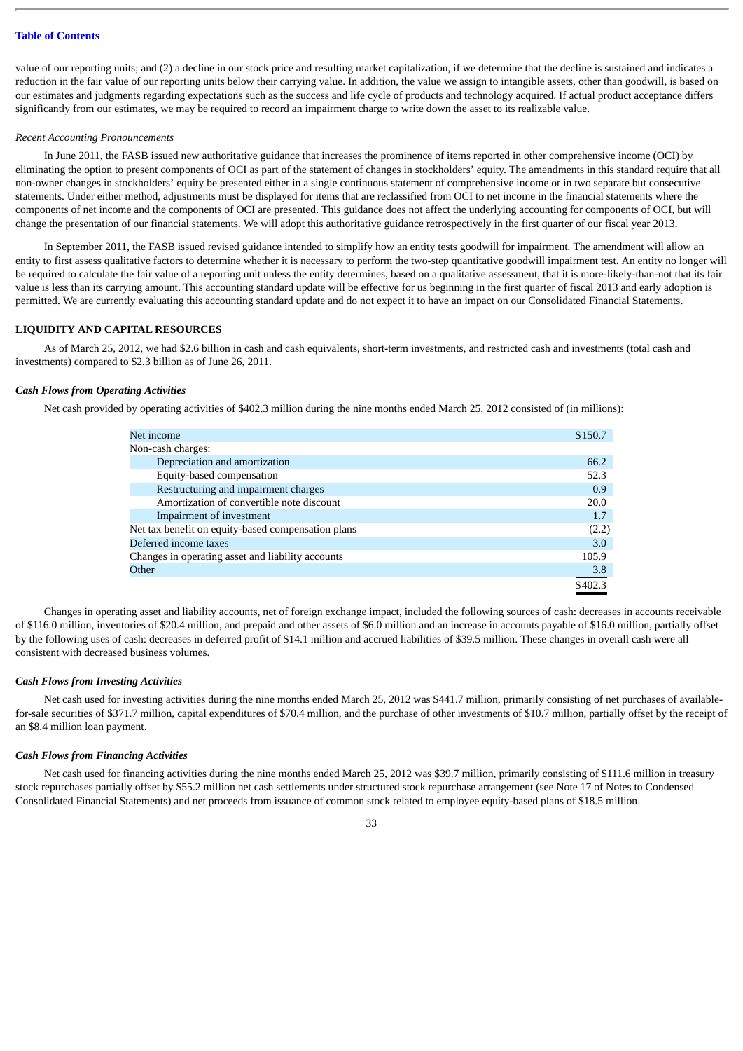value of our reporting units; and (2) a decline in our stock price and resulting market capitalization, if we determine that the decline is sustained and indicates a reduction in the fair value of our reporting units below their carrying value. In addition, the value we assign to intangible assets, other than goodwill, is based on our estimates and judgments regarding expectations such as the success and life cycle of products and technology acquired. If actual product acceptance differs significantly from our estimates, we may be required to record an impairment charge to write down the asset to its realizable value.

#### *Recent Accounting Pronouncements*

In June 2011, the FASB issued new authoritative guidance that increases the prominence of items reported in other comprehensive income (OCI) by eliminating the option to present components of OCI as part of the statement of changes in stockholders' equity. The amendments in this standard require that all non-owner changes in stockholders' equity be presented either in a single continuous statement of comprehensive income or in two separate but consecutive statements. Under either method, adjustments must be displayed for items that are reclassified from OCI to net income in the financial statements where the components of net income and the components of OCI are presented. This guidance does not affect the underlying accounting for components of OCI, but will change the presentation of our financial statements. We will adopt this authoritative guidance retrospectively in the first quarter of our fiscal year 2013.

In September 2011, the FASB issued revised guidance intended to simplify how an entity tests goodwill for impairment. The amendment will allow an entity to first assess qualitative factors to determine whether it is necessary to perform the two-step quantitative goodwill impairment test. An entity no longer will be required to calculate the fair value of a reporting unit unless the entity determines, based on a qualitative assessment, that it is more-likely-than-not that its fair value is less than its carrying amount. This accounting standard update will be effective for us beginning in the first quarter of fiscal 2013 and early adoption is permitted. We are currently evaluating this accounting standard update and do not expect it to have an impact on our Consolidated Financial Statements.

#### **LIQUIDITY AND CAPITAL RESOURCES**

As of March 25, 2012, we had \$2.6 billion in cash and cash equivalents, short-term investments, and restricted cash and investments (total cash and investments) compared to \$2.3 billion as of June 26, 2011.

#### *Cash Flows from Operating Activities*

Net cash provided by operating activities of \$402.3 million during the nine months ended March 25, 2012 consisted of (in millions):

| Net income                                         | \$150.7 |
|----------------------------------------------------|---------|
| Non-cash charges:                                  |         |
| Depreciation and amortization                      | 66.2    |
| Equity-based compensation                          | 52.3    |
| Restructuring and impairment charges               | 0.9     |
| Amortization of convertible note discount          | 20.0    |
| Impairment of investment                           | 1.7     |
| Net tax benefit on equity-based compensation plans | (2.2)   |
| Deferred income taxes                              | 3.0     |
| Changes in operating asset and liability accounts  | 105.9   |
| Other                                              | 3.8     |
|                                                    | \$402.3 |

Changes in operating asset and liability accounts, net of foreign exchange impact, included the following sources of cash: decreases in accounts receivable of \$116.0 million, inventories of \$20.4 million, and prepaid and other assets of \$6.0 million and an increase in accounts payable of \$16.0 million, partially offset by the following uses of cash: decreases in deferred profit of \$14.1 million and accrued liabilities of \$39.5 million. These changes in overall cash were all consistent with decreased business volumes.

#### *Cash Flows from Investing Activities*

Net cash used for investing activities during the nine months ended March 25, 2012 was \$441.7 million, primarily consisting of net purchases of availablefor-sale securities of \$371.7 million, capital expenditures of \$70.4 million, and the purchase of other investments of \$10.7 million, partially offset by the receipt of an \$8.4 million loan payment.

#### *Cash Flows from Financing Activities*

Net cash used for financing activities during the nine months ended March 25, 2012 was \$39.7 million, primarily consisting of \$111.6 million in treasury stock repurchases partially offset by \$55.2 million net cash settlements under structured stock repurchase arrangement (see Note 17 of Notes to Condensed Consolidated Financial Statements) and net proceeds from issuance of common stock related to employee equity-based plans of \$18.5 million.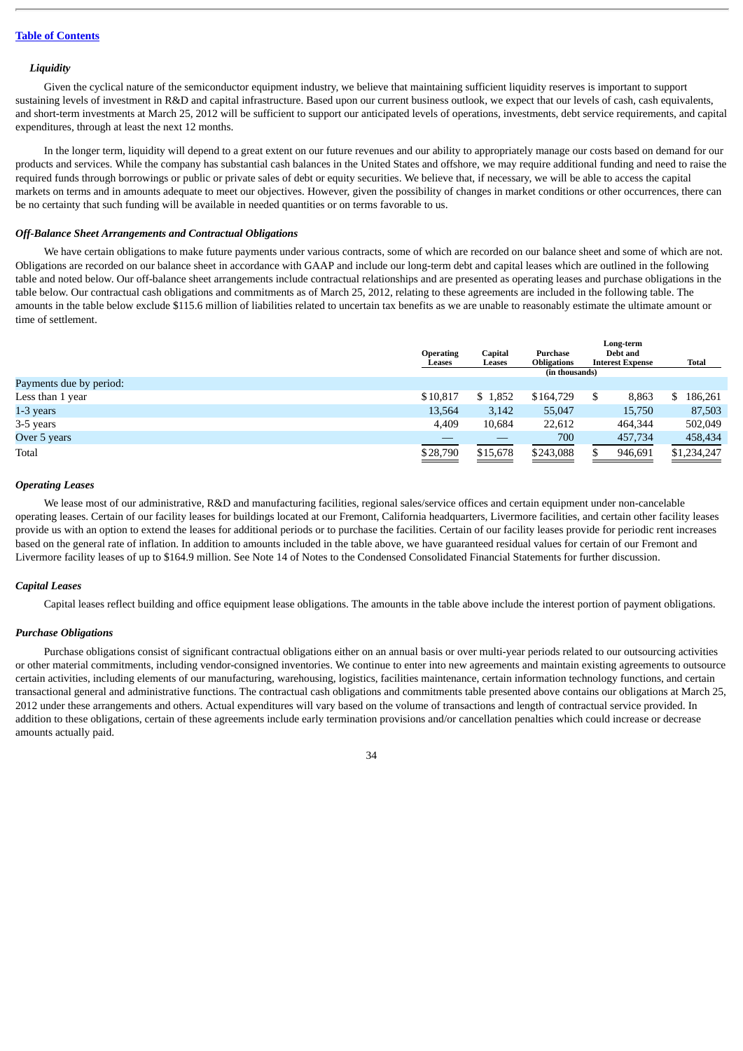#### *Liquidity*

Given the cyclical nature of the semiconductor equipment industry, we believe that maintaining sufficient liquidity reserves is important to support sustaining levels of investment in R&D and capital infrastructure. Based upon our current business outlook, we expect that our levels of cash, cash equivalents, and short-term investments at March 25, 2012 will be sufficient to support our anticipated levels of operations, investments, debt service requirements, and capital expenditures, through at least the next 12 months.

In the longer term, liquidity will depend to a great extent on our future revenues and our ability to appropriately manage our costs based on demand for our products and services. While the company has substantial cash balances in the United States and offshore, we may require additional funding and need to raise the required funds through borrowings or public or private sales of debt or equity securities. We believe that, if necessary, we will be able to access the capital markets on terms and in amounts adequate to meet our objectives. However, given the possibility of changes in market conditions or other occurrences, there can be no certainty that such funding will be available in needed quantities or on terms favorable to us.

#### *Off-Balance Sheet Arrangements and Contractual Obligations*

We have certain obligations to make future payments under various contracts, some of which are recorded on our balance sheet and some of which are not. Obligations are recorded on our balance sheet in accordance with GAAP and include our long-term debt and capital leases which are outlined in the following table and noted below. Our off-balance sheet arrangements include contractual relationships and are presented as operating leases and purchase obligations in the table below. Our contractual cash obligations and commitments as of March 25, 2012, relating to these agreements are included in the following table. The amounts in the table below exclude \$115.6 million of liabilities related to uncertain tax benefits as we are unable to reasonably estimate the ultimate amount or time of settlement.

|                         | <b>Operating</b> | Capital  | Purchase                             | Long-term<br>Debt and<br><b>Interest Expense</b> |         |   |             |
|-------------------------|------------------|----------|--------------------------------------|--------------------------------------------------|---------|---|-------------|
|                         | Leases           | Leases   | <b>Obligations</b><br>(in thousands) |                                                  |         |   | Total       |
| Payments due by period: |                  |          |                                      |                                                  |         |   |             |
| Less than 1 year        | \$10,817         | \$1,852  | \$164,729                            |                                                  | 8,863   | S | 186,261     |
| 1-3 years               | 13,564           | 3,142    | 55,047                               |                                                  | 15,750  |   | 87,503      |
| 3-5 years               | 4,409            | 10,684   | 22,612                               |                                                  | 464,344 |   | 502,049     |
| Over 5 years            |                  |          | 700                                  |                                                  | 457,734 |   | 458,434     |
| Total                   | \$28,790         | \$15,678 | \$243,088                            |                                                  | 946,691 |   | \$1,234,247 |

#### *Operating Leases*

We lease most of our administrative, R&D and manufacturing facilities, regional sales/service offices and certain equipment under non-cancelable operating leases. Certain of our facility leases for buildings located at our Fremont, California headquarters, Livermore facilities, and certain other facility leases provide us with an option to extend the leases for additional periods or to purchase the facilities. Certain of our facility leases provide for periodic rent increases based on the general rate of inflation. In addition to amounts included in the table above, we have guaranteed residual values for certain of our Fremont and Livermore facility leases of up to \$164.9 million. See Note 14 of Notes to the Condensed Consolidated Financial Statements for further discussion.

#### *Capital Leases*

Capital leases reflect building and office equipment lease obligations. The amounts in the table above include the interest portion of payment obligations.

#### *Purchase Obligations*

Purchase obligations consist of significant contractual obligations either on an annual basis or over multi-year periods related to our outsourcing activities or other material commitments, including vendor-consigned inventories. We continue to enter into new agreements and maintain existing agreements to outsource certain activities, including elements of our manufacturing, warehousing, logistics, facilities maintenance, certain information technology functions, and certain transactional general and administrative functions. The contractual cash obligations and commitments table presented above contains our obligations at March 25, 2012 under these arrangements and others. Actual expenditures will vary based on the volume of transactions and length of contractual service provided. In addition to these obligations, certain of these agreements include early termination provisions and/or cancellation penalties which could increase or decrease amounts actually paid.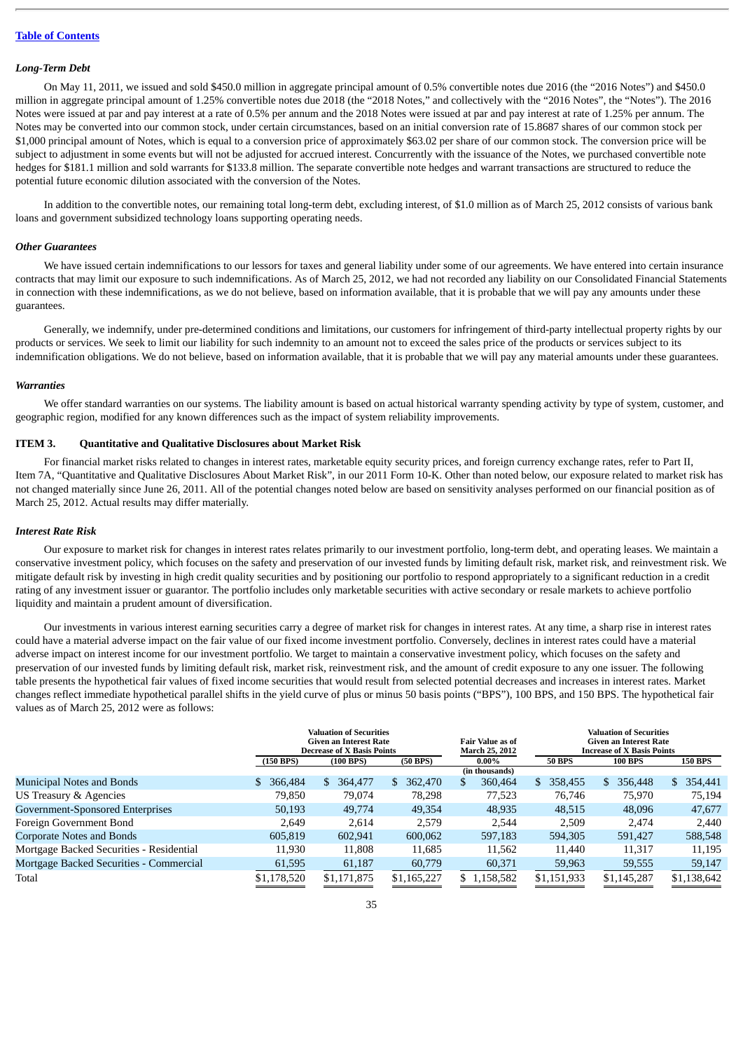#### *Long-Term Debt*

On May 11, 2011, we issued and sold \$450.0 million in aggregate principal amount of 0.5% convertible notes due 2016 (the "2016 Notes") and \$450.0 million in aggregate principal amount of 1.25% convertible notes due 2018 (the "2018 Notes," and collectively with the "2016 Notes", the "Notes"). The 2016 Notes were issued at par and pay interest at a rate of 0.5% per annum and the 2018 Notes were issued at par and pay interest at rate of 1.25% per annum. The Notes may be converted into our common stock, under certain circumstances, based on an initial conversion rate of 15.8687 shares of our common stock per \$1,000 principal amount of Notes, which is equal to a conversion price of approximately \$63.02 per share of our common stock. The conversion price will be subject to adjustment in some events but will not be adjusted for accrued interest. Concurrently with the issuance of the Notes, we purchased convertible note hedges for \$181.1 million and sold warrants for \$133.8 million. The separate convertible note hedges and warrant transactions are structured to reduce the potential future economic dilution associated with the conversion of the Notes.

In addition to the convertible notes, our remaining total long-term debt, excluding interest, of \$1.0 million as of March 25, 2012 consists of various bank loans and government subsidized technology loans supporting operating needs.

#### *Other Guarantees*

We have issued certain indemnifications to our lessors for taxes and general liability under some of our agreements. We have entered into certain insurance contracts that may limit our exposure to such indemnifications. As of March 25, 2012, we had not recorded any liability on our Consolidated Financial Statements in connection with these indemnifications, as we do not believe, based on information available, that it is probable that we will pay any amounts under these guarantees.

Generally, we indemnify, under pre-determined conditions and limitations, our customers for infringement of third-party intellectual property rights by our products or services. We seek to limit our liability for such indemnity to an amount not to exceed the sales price of the products or services subject to its indemnification obligations. We do not believe, based on information available, that it is probable that we will pay any material amounts under these guarantees.

#### *Warranties*

We offer standard warranties on our systems. The liability amount is based on actual historical warranty spending activity by type of system, customer, and geographic region, modified for any known differences such as the impact of system reliability improvements.

#### <span id="page-34-0"></span>**ITEM 3. Quantitative and Qualitative Disclosures about Market Risk**

For financial market risks related to changes in interest rates, marketable equity security prices, and foreign currency exchange rates, refer to Part II, Item 7A, "Quantitative and Qualitative Disclosures About Market Risk", in our 2011 Form 10-K. Other than noted below, our exposure related to market risk has not changed materially since June 26, 2011. All of the potential changes noted below are based on sensitivity analyses performed on our financial position as of March 25, 2012. Actual results may differ materially.

#### *Interest Rate Risk*

Our exposure to market risk for changes in interest rates relates primarily to our investment portfolio, long-term debt, and operating leases. We maintain a conservative investment policy, which focuses on the safety and preservation of our invested funds by limiting default risk, market risk, and reinvestment risk. We mitigate default risk by investing in high credit quality securities and by positioning our portfolio to respond appropriately to a significant reduction in a credit rating of any investment issuer or guarantor. The portfolio includes only marketable securities with active secondary or resale markets to achieve portfolio liquidity and maintain a prudent amount of diversification.

Our investments in various interest earning securities carry a degree of market risk for changes in interest rates. At any time, a sharp rise in interest rates could have a material adverse impact on the fair value of our fixed income investment portfolio. Conversely, declines in interest rates could have a material adverse impact on interest income for our investment portfolio. We target to maintain a conservative investment policy, which focuses on the safety and preservation of our invested funds by limiting default risk, market risk, reinvestment risk, and the amount of credit exposure to any one issuer. The following table presents the hypothetical fair values of fixed income securities that would result from selected potential decreases and increases in interest rates. Market changes reflect immediate hypothetical parallel shifts in the yield curve of plus or minus 50 basis points ("BPS"), 100 BPS, and 150 BPS. The hypothetical fair values as of March 25, 2012 were as follows:

|                                          | <b>Valuation of Securities</b><br><b>Given an Interest Rate</b><br><b>Decrease of X Basis Points</b> |             |               | <b>Fair Value as of</b><br>March 25, 2012 | <b>Valuation of Securities</b><br><b>Given an Interest Rate</b><br><b>Increase of X Basis Points</b> |                |                         |  |
|------------------------------------------|------------------------------------------------------------------------------------------------------|-------------|---------------|-------------------------------------------|------------------------------------------------------------------------------------------------------|----------------|-------------------------|--|
|                                          | $(150$ BPS)                                                                                          | $(100$ BPS) | $(50$ BPS)    | $0.00\%$                                  | <b>50 BPS</b>                                                                                        | <b>100 BPS</b> | <b>150 BPS</b>          |  |
|                                          |                                                                                                      |             |               | (in thousands)                            |                                                                                                      |                |                         |  |
| <b>Municipal Notes and Bonds</b>         | 366,484<br>SS.                                                                                       | \$ 364,477  | 362,470<br>S. | 360,464                                   | 358,455<br>\$.                                                                                       | 356,448<br>\$. | 354,441<br>$\mathbb{S}$ |  |
| US Treasury & Agencies                   | 79,850                                                                                               | 79.074      | 78.298        | 77.523                                    | 76.746                                                                                               | 75.970         | 75.194                  |  |
| Government-Sponsored Enterprises         | 50,193                                                                                               | 49,774      | 49,354        | 48,935                                    | 48,515                                                                                               | 48,096         | 47,677                  |  |
| Foreign Government Bond                  | 2,649                                                                                                | 2.614       | 2.579         | 2.544                                     | 2,509                                                                                                | 2.474          | 2,440                   |  |
| <b>Corporate Notes and Bonds</b>         | 605.819                                                                                              | 602,941     | 600,062       | 597,183                                   | 594.305                                                                                              | 591.427        | 588,548                 |  |
| Mortgage Backed Securities - Residential | 11,930                                                                                               | 11,808      | 11.685        | 11,562                                    | 11.440                                                                                               | 11.317         | 11,195                  |  |
| Mortgage Backed Securities - Commercial  | 61,595                                                                                               | 61,187      | 60,779        | 60,371                                    | 59,963                                                                                               | 59,555         | 59,147                  |  |
| Total                                    | \$1,178,520                                                                                          | \$1,171,875 | \$1,165,227   | 1,158,582                                 | \$1,151,933                                                                                          | \$1,145,287    | \$1,138,642             |  |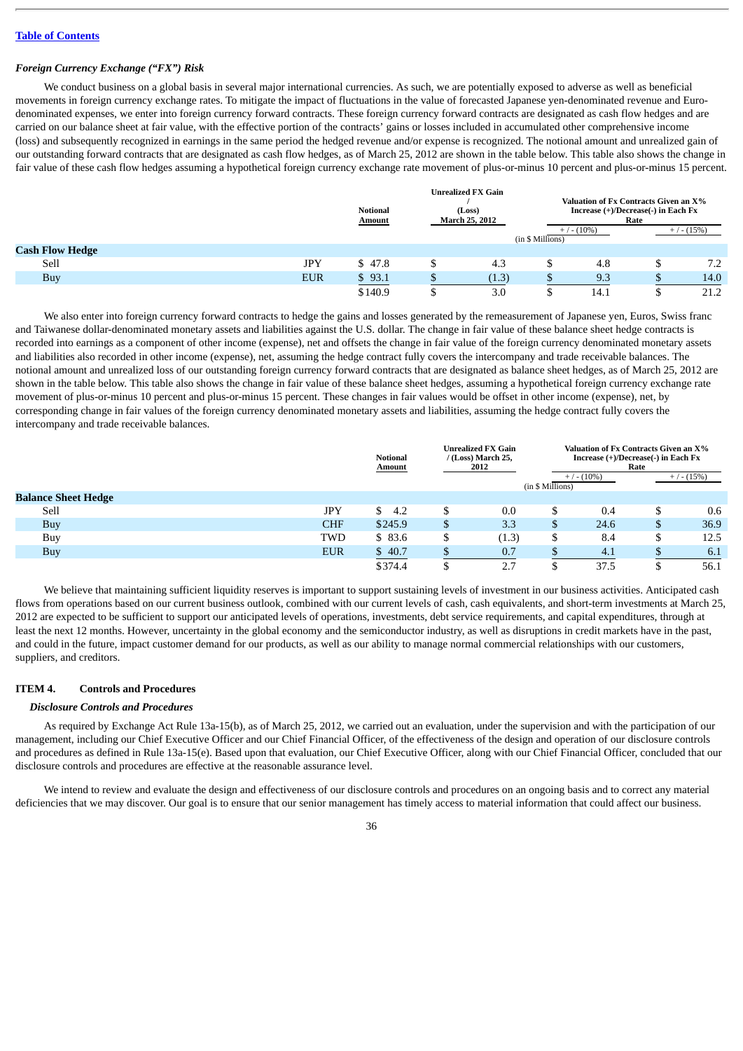#### *Foreign Currency Exchange ("FX") Risk*

We conduct business on a global basis in several major international currencies. As such, we are potentially exposed to adverse as well as beneficial movements in foreign currency exchange rates. To mitigate the impact of fluctuations in the value of forecasted Japanese yen-denominated revenue and Eurodenominated expenses, we enter into foreign currency forward contracts. These foreign currency forward contracts are designated as cash flow hedges and are carried on our balance sheet at fair value, with the effective portion of the contracts' gains or losses included in accumulated other comprehensive income (loss) and subsequently recognized in earnings in the same period the hedged revenue and/or expense is recognized. The notional amount and unrealized gain of our outstanding forward contracts that are designated as cash flow hedges, as of March 25, 2012 are shown in the table below. This table also shows the change in fair value of these cash flow hedges assuming a hypothetical foreign currency exchange rate movement of plus-or-minus 10 percent and plus-or-minus 15 percent.

|                        |            | <b>Notional</b> | <b>Unrealized FX Gain</b><br>(Loss)<br><b>March 25, 2012</b> |                  | Valuation of Fx Contracts Given an X% | Increase (+)/Decrease(-) in Each Fx<br>Rate |               |
|------------------------|------------|-----------------|--------------------------------------------------------------|------------------|---------------------------------------|---------------------------------------------|---------------|
|                        |            | <b>Amount</b>   |                                                              | (in \$ Millions) | $+$ / - (10%)                         |                                             | $+$ / - (15%) |
| <b>Cash Flow Hedge</b> |            |                 |                                                              |                  |                                       |                                             |               |
| Sell                   | <b>JPY</b> | \$47.8          | 4.3                                                          | \$               | 4.8                                   | ╜                                           | 7.2           |
| Buy                    | <b>EUR</b> | \$93.1          | (1.3)                                                        |                  | 9.3                                   |                                             | 14.0          |
|                        |            | \$140.9         | 3.0                                                          |                  | 14.1                                  | ື                                           | 21.2          |

We also enter into foreign currency forward contracts to hedge the gains and losses generated by the remeasurement of Japanese yen, Euros, Swiss franc and Taiwanese dollar-denominated monetary assets and liabilities against the U.S. dollar. The change in fair value of these balance sheet hedge contracts is recorded into earnings as a component of other income (expense), net and offsets the change in fair value of the foreign currency denominated monetary assets and liabilities also recorded in other income (expense), net, assuming the hedge contract fully covers the intercompany and trade receivable balances. The notional amount and unrealized loss of our outstanding foreign currency forward contracts that are designated as balance sheet hedges, as of March 25, 2012 are shown in the table below. This table also shows the change in fair value of these balance sheet hedges, assuming a hypothetical foreign currency exchange rate movement of plus-or-minus 10 percent and plus-or-minus 15 percent. These changes in fair values would be offset in other income (expense), net, by corresponding change in fair values of the foreign currency denominated monetary assets and liabilities, assuming the hedge contract fully covers the intercompany and trade receivable balances.

|                            |            | <b>Notional</b><br>Amount |    | <b>Unrealized FX Gain</b><br>/ (Loss) March 25,<br>2012 | (in \$ Millions) | Valuation of Fx Contracts Given an X%<br>Increase $(+)/$ Decrease $(-)$ in Each Fx<br>$+$ / - (10%) | Rate | $+$ / - (15%) |
|----------------------------|------------|---------------------------|----|---------------------------------------------------------|------------------|-----------------------------------------------------------------------------------------------------|------|---------------|
| <b>Balance Sheet Hedge</b> |            |                           |    |                                                         |                  |                                                                                                     |      |               |
| Sell                       | <b>JPY</b> | \$.<br>4.2                |    | 0.0                                                     |                  | 0.4                                                                                                 |      | 0.6           |
| Buy                        | <b>CHF</b> | \$245.9                   | S  | 3.3                                                     | S                | 24.6                                                                                                | D    | 36.9          |
| Buy                        | TWD        | \$83.6                    | \$ | (1.3)                                                   | ۵D               | 8.4                                                                                                 | \$   | 12.5          |
| <b>Buy</b>                 | <b>EUR</b> | \$40.7                    |    | 0.7                                                     |                  | 4.1                                                                                                 |      | 6.1           |
|                            |            | \$374.4                   |    | 2.7                                                     |                  | 37.5                                                                                                | ╜    | 56.1          |

We believe that maintaining sufficient liquidity reserves is important to support sustaining levels of investment in our business activities. Anticipated cash flows from operations based on our current business outlook, combined with our current levels of cash, cash equivalents, and short-term investments at March 25, 2012 are expected to be sufficient to support our anticipated levels of operations, investments, debt service requirements, and capital expenditures, through at least the next 12 months. However, uncertainty in the global economy and the semiconductor industry, as well as disruptions in credit markets have in the past, and could in the future, impact customer demand for our products, as well as our ability to manage normal commercial relationships with our customers, suppliers, and creditors.

#### <span id="page-35-0"></span>**ITEM 4. Controls and Procedures**

#### *Disclosure Controls and Procedures*

As required by Exchange Act Rule 13a-15(b), as of March 25, 2012, we carried out an evaluation, under the supervision and with the participation of our management, including our Chief Executive Officer and our Chief Financial Officer, of the effectiveness of the design and operation of our disclosure controls and procedures as defined in Rule 13a-15(e). Based upon that evaluation, our Chief Executive Officer, along with our Chief Financial Officer, concluded that our disclosure controls and procedures are effective at the reasonable assurance level.

We intend to review and evaluate the design and effectiveness of our disclosure controls and procedures on an ongoing basis and to correct any material deficiencies that we may discover. Our goal is to ensure that our senior management has timely access to material information that could affect our business.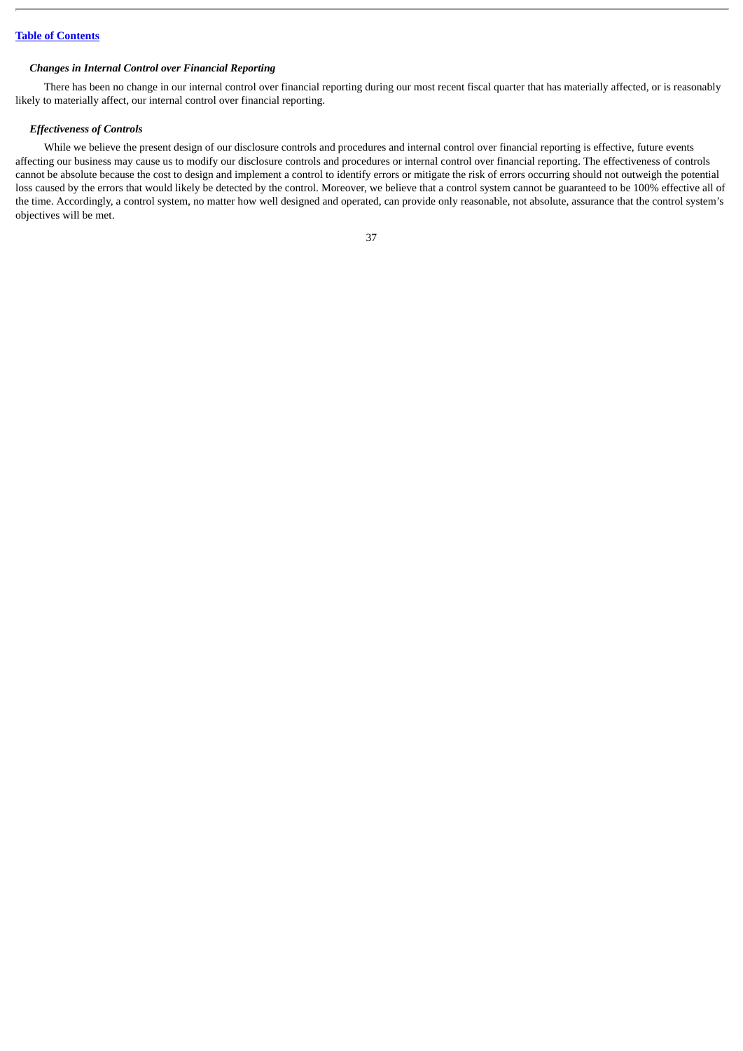## *Changes in Internal Control over Financial Reporting*

There has been no change in our internal control over financial reporting during our most recent fiscal quarter that has materially affected, or is reasonably likely to materially affect, our internal control over financial reporting.

## *Effectiveness of Controls*

While we believe the present design of our disclosure controls and procedures and internal control over financial reporting is effective, future events affecting our business may cause us to modify our disclosure controls and procedures or internal control over financial reporting. The effectiveness of controls cannot be absolute because the cost to design and implement a control to identify errors or mitigate the risk of errors occurring should not outweigh the potential loss caused by the errors that would likely be detected by the control. Moreover, we believe that a control system cannot be guaranteed to be 100% effective all of the time. Accordingly, a control system, no matter how well designed and operated, can provide only reasonable, not absolute, assurance that the control system's objectives will be met.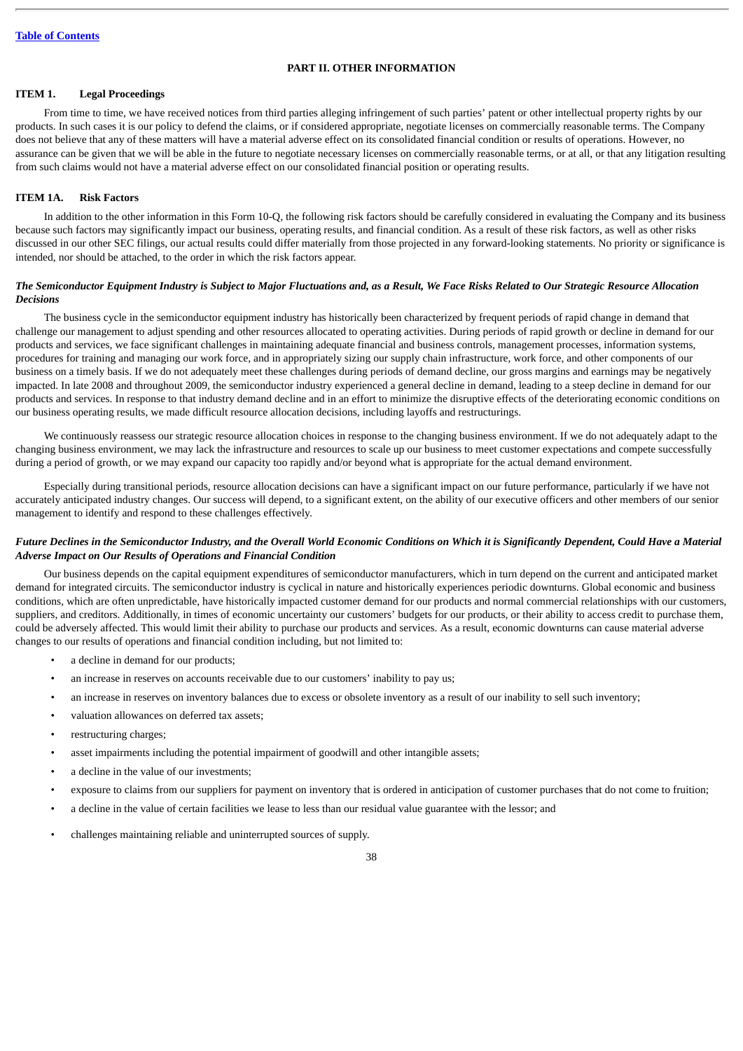#### **PART II. OTHER INFORMATION**

## <span id="page-37-1"></span><span id="page-37-0"></span>**ITEM 1. Legal Proceedings**

From time to time, we have received notices from third parties alleging infringement of such parties' patent or other intellectual property rights by our products. In such cases it is our policy to defend the claims, or if considered appropriate, negotiate licenses on commercially reasonable terms. The Company does not believe that any of these matters will have a material adverse effect on its consolidated financial condition or results of operations. However, no assurance can be given that we will be able in the future to negotiate necessary licenses on commercially reasonable terms, or at all, or that any litigation resulting from such claims would not have a material adverse effect on our consolidated financial position or operating results.

## <span id="page-37-2"></span>**ITEM 1A. Risk Factors**

In addition to the other information in this Form 10-Q, the following risk factors should be carefully considered in evaluating the Company and its business because such factors may significantly impact our business, operating results, and financial condition. As a result of these risk factors, as well as other risks discussed in our other SEC filings, our actual results could differ materially from those projected in any forward-looking statements. No priority or significance is intended, nor should be attached, to the order in which the risk factors appear.

#### *The Semiconductor Equipment Industry is Subject to Major Fluctuations and, as a Result, We Face Risks Related to Our Strategic Resource Allocation Decisions*

The business cycle in the semiconductor equipment industry has historically been characterized by frequent periods of rapid change in demand that challenge our management to adjust spending and other resources allocated to operating activities. During periods of rapid growth or decline in demand for our products and services, we face significant challenges in maintaining adequate financial and business controls, management processes, information systems, procedures for training and managing our work force, and in appropriately sizing our supply chain infrastructure, work force, and other components of our business on a timely basis. If we do not adequately meet these challenges during periods of demand decline, our gross margins and earnings may be negatively impacted. In late 2008 and throughout 2009, the semiconductor industry experienced a general decline in demand, leading to a steep decline in demand for our products and services. In response to that industry demand decline and in an effort to minimize the disruptive effects of the deteriorating economic conditions on our business operating results, we made difficult resource allocation decisions, including layoffs and restructurings.

We continuously reassess our strategic resource allocation choices in response to the changing business environment. If we do not adequately adapt to the changing business environment, we may lack the infrastructure and resources to scale up our business to meet customer expectations and compete successfully during a period of growth, or we may expand our capacity too rapidly and/or beyond what is appropriate for the actual demand environment.

Especially during transitional periods, resource allocation decisions can have a significant impact on our future performance, particularly if we have not accurately anticipated industry changes. Our success will depend, to a significant extent, on the ability of our executive officers and other members of our senior management to identify and respond to these challenges effectively.

#### *Future Declines in the Semiconductor Industry, and the Overall World Economic Conditions on Which it is Significantly Dependent, Could Have a Material Adverse Impact on Our Results of Operations and Financial Condition*

Our business depends on the capital equipment expenditures of semiconductor manufacturers, which in turn depend on the current and anticipated market demand for integrated circuits. The semiconductor industry is cyclical in nature and historically experiences periodic downturns. Global economic and business conditions, which are often unpredictable, have historically impacted customer demand for our products and normal commercial relationships with our customers, suppliers, and creditors. Additionally, in times of economic uncertainty our customers' budgets for our products, or their ability to access credit to purchase them, could be adversely affected. This would limit their ability to purchase our products and services. As a result, economic downturns can cause material adverse changes to our results of operations and financial condition including, but not limited to:

- a decline in demand for our products;
- an increase in reserves on accounts receivable due to our customers' inability to pay us;
- an increase in reserves on inventory balances due to excess or obsolete inventory as a result of our inability to sell such inventory;
- valuation allowances on deferred tax assets;
- restructuring charges;
- asset impairments including the potential impairment of goodwill and other intangible assets;
- a decline in the value of our investments;
- exposure to claims from our suppliers for payment on inventory that is ordered in anticipation of customer purchases that do not come to fruition;
- a decline in the value of certain facilities we lease to less than our residual value guarantee with the lessor; and
- challenges maintaining reliable and uninterrupted sources of supply.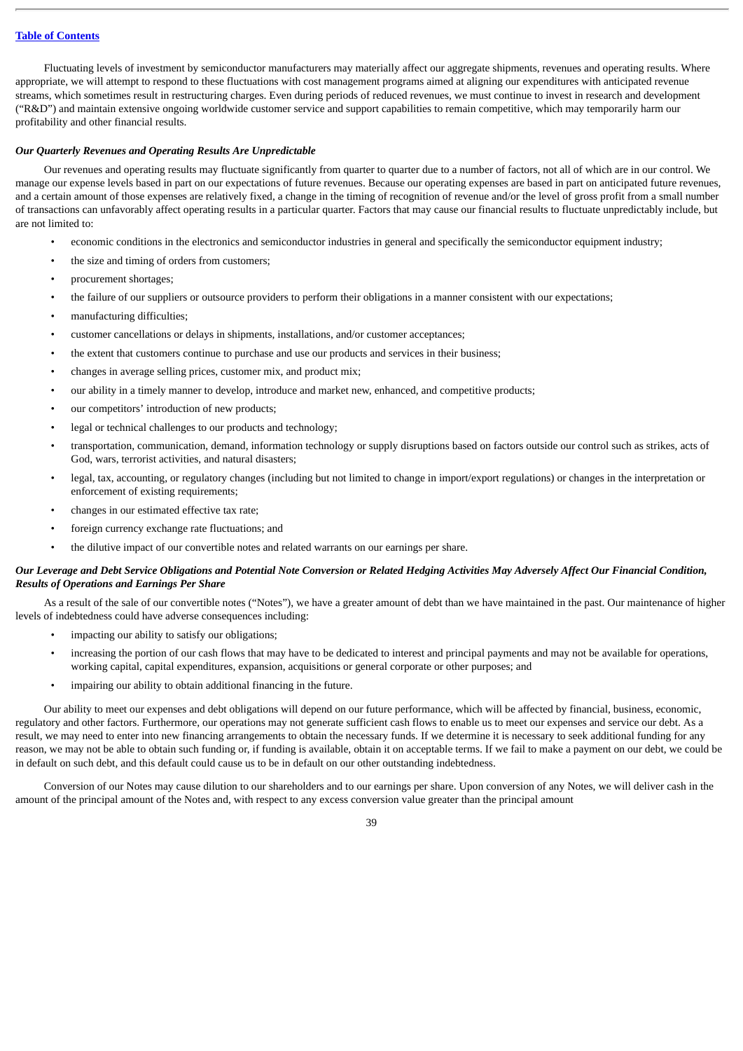Fluctuating levels of investment by semiconductor manufacturers may materially affect our aggregate shipments, revenues and operating results. Where appropriate, we will attempt to respond to these fluctuations with cost management programs aimed at aligning our expenditures with anticipated revenue streams, which sometimes result in restructuring charges. Even during periods of reduced revenues, we must continue to invest in research and development ("R&D") and maintain extensive ongoing worldwide customer service and support capabilities to remain competitive, which may temporarily harm our profitability and other financial results.

#### *Our Quarterly Revenues and Operating Results Are Unpredictable*

Our revenues and operating results may fluctuate significantly from quarter to quarter due to a number of factors, not all of which are in our control. We manage our expense levels based in part on our expectations of future revenues. Because our operating expenses are based in part on anticipated future revenues, and a certain amount of those expenses are relatively fixed, a change in the timing of recognition of revenue and/or the level of gross profit from a small number of transactions can unfavorably affect operating results in a particular quarter. Factors that may cause our financial results to fluctuate unpredictably include, but are not limited to:

- economic conditions in the electronics and semiconductor industries in general and specifically the semiconductor equipment industry;
- the size and timing of orders from customers;
- procurement shortages;
- the failure of our suppliers or outsource providers to perform their obligations in a manner consistent with our expectations;
- manufacturing difficulties;
- customer cancellations or delays in shipments, installations, and/or customer acceptances;
- the extent that customers continue to purchase and use our products and services in their business;
- changes in average selling prices, customer mix, and product mix;
- our ability in a timely manner to develop, introduce and market new, enhanced, and competitive products;
- our competitors' introduction of new products;
- legal or technical challenges to our products and technology;
- transportation, communication, demand, information technology or supply disruptions based on factors outside our control such as strikes, acts of God, wars, terrorist activities, and natural disasters;
- legal, tax, accounting, or regulatory changes (including but not limited to change in import/export regulations) or changes in the interpretation or enforcement of existing requirements;
- changes in our estimated effective tax rate;
- foreign currency exchange rate fluctuations; and
- the dilutive impact of our convertible notes and related warrants on our earnings per share.

## *Our Leverage and Debt Service Obligations and Potential Note Conversion or Related Hedging Activities May Adversely Affect Our Financial Condition, Results of Operations and Earnings Per Share*

As a result of the sale of our convertible notes ("Notes"), we have a greater amount of debt than we have maintained in the past. Our maintenance of higher levels of indebtedness could have adverse consequences including:

- impacting our ability to satisfy our obligations;
- increasing the portion of our cash flows that may have to be dedicated to interest and principal payments and may not be available for operations, working capital, capital expenditures, expansion, acquisitions or general corporate or other purposes; and
- impairing our ability to obtain additional financing in the future.

Our ability to meet our expenses and debt obligations will depend on our future performance, which will be affected by financial, business, economic, regulatory and other factors. Furthermore, our operations may not generate sufficient cash flows to enable us to meet our expenses and service our debt. As a result, we may need to enter into new financing arrangements to obtain the necessary funds. If we determine it is necessary to seek additional funding for any reason, we may not be able to obtain such funding or, if funding is available, obtain it on acceptable terms. If we fail to make a payment on our debt, we could be in default on such debt, and this default could cause us to be in default on our other outstanding indebtedness.

Conversion of our Notes may cause dilution to our shareholders and to our earnings per share. Upon conversion of any Notes, we will deliver cash in the amount of the principal amount of the Notes and, with respect to any excess conversion value greater than the principal amount

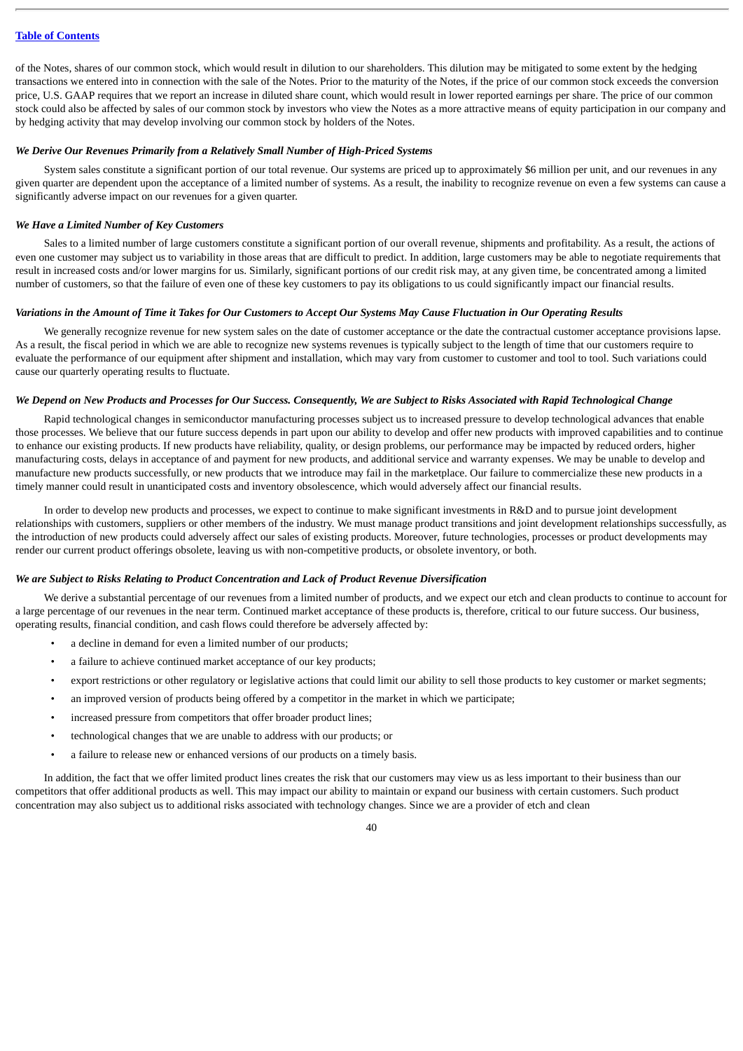of the Notes, shares of our common stock, which would result in dilution to our shareholders. This dilution may be mitigated to some extent by the hedging transactions we entered into in connection with the sale of the Notes. Prior to the maturity of the Notes, if the price of our common stock exceeds the conversion price, U.S. GAAP requires that we report an increase in diluted share count, which would result in lower reported earnings per share. The price of our common stock could also be affected by sales of our common stock by investors who view the Notes as a more attractive means of equity participation in our company and by hedging activity that may develop involving our common stock by holders of the Notes.

#### *We Derive Our Revenues Primarily from a Relatively Small Number of High-Priced Systems*

System sales constitute a significant portion of our total revenue. Our systems are priced up to approximately \$6 million per unit, and our revenues in any given quarter are dependent upon the acceptance of a limited number of systems. As a result, the inability to recognize revenue on even a few systems can cause a significantly adverse impact on our revenues for a given quarter.

#### *We Have a Limited Number of Key Customers*

Sales to a limited number of large customers constitute a significant portion of our overall revenue, shipments and profitability. As a result, the actions of even one customer may subject us to variability in those areas that are difficult to predict. In addition, large customers may be able to negotiate requirements that result in increased costs and/or lower margins for us. Similarly, significant portions of our credit risk may, at any given time, be concentrated among a limited number of customers, so that the failure of even one of these key customers to pay its obligations to us could significantly impact our financial results.

#### *Variations in the Amount of Time it Takes for Our Customers to Accept Our Systems May Cause Fluctuation in Our Operating Results*

We generally recognize revenue for new system sales on the date of customer acceptance or the date the contractual customer acceptance provisions lapse. As a result, the fiscal period in which we are able to recognize new systems revenues is typically subject to the length of time that our customers require to evaluate the performance of our equipment after shipment and installation, which may vary from customer to customer and tool to tool. Such variations could cause our quarterly operating results to fluctuate.

#### *We Depend on New Products and Processes for Our Success. Consequently, We are Subject to Risks Associated with Rapid Technological Change*

Rapid technological changes in semiconductor manufacturing processes subject us to increased pressure to develop technological advances that enable those processes. We believe that our future success depends in part upon our ability to develop and offer new products with improved capabilities and to continue to enhance our existing products. If new products have reliability, quality, or design problems, our performance may be impacted by reduced orders, higher manufacturing costs, delays in acceptance of and payment for new products, and additional service and warranty expenses. We may be unable to develop and manufacture new products successfully, or new products that we introduce may fail in the marketplace. Our failure to commercialize these new products in a timely manner could result in unanticipated costs and inventory obsolescence, which would adversely affect our financial results.

In order to develop new products and processes, we expect to continue to make significant investments in R&D and to pursue joint development relationships with customers, suppliers or other members of the industry. We must manage product transitions and joint development relationships successfully, as the introduction of new products could adversely affect our sales of existing products. Moreover, future technologies, processes or product developments may render our current product offerings obsolete, leaving us with non-competitive products, or obsolete inventory, or both.

#### *We are Subject to Risks Relating to Product Concentration and Lack of Product Revenue Diversification*

We derive a substantial percentage of our revenues from a limited number of products, and we expect our etch and clean products to continue to account for a large percentage of our revenues in the near term. Continued market acceptance of these products is, therefore, critical to our future success. Our business, operating results, financial condition, and cash flows could therefore be adversely affected by:

- a decline in demand for even a limited number of our products;
- a failure to achieve continued market acceptance of our key products;
- export restrictions or other regulatory or legislative actions that could limit our ability to sell those products to key customer or market segments;
- an improved version of products being offered by a competitor in the market in which we participate;
- increased pressure from competitors that offer broader product lines;
- technological changes that we are unable to address with our products; or
- a failure to release new or enhanced versions of our products on a timely basis.

In addition, the fact that we offer limited product lines creates the risk that our customers may view us as less important to their business than our competitors that offer additional products as well. This may impact our ability to maintain or expand our business with certain customers. Such product concentration may also subject us to additional risks associated with technology changes. Since we are a provider of etch and clean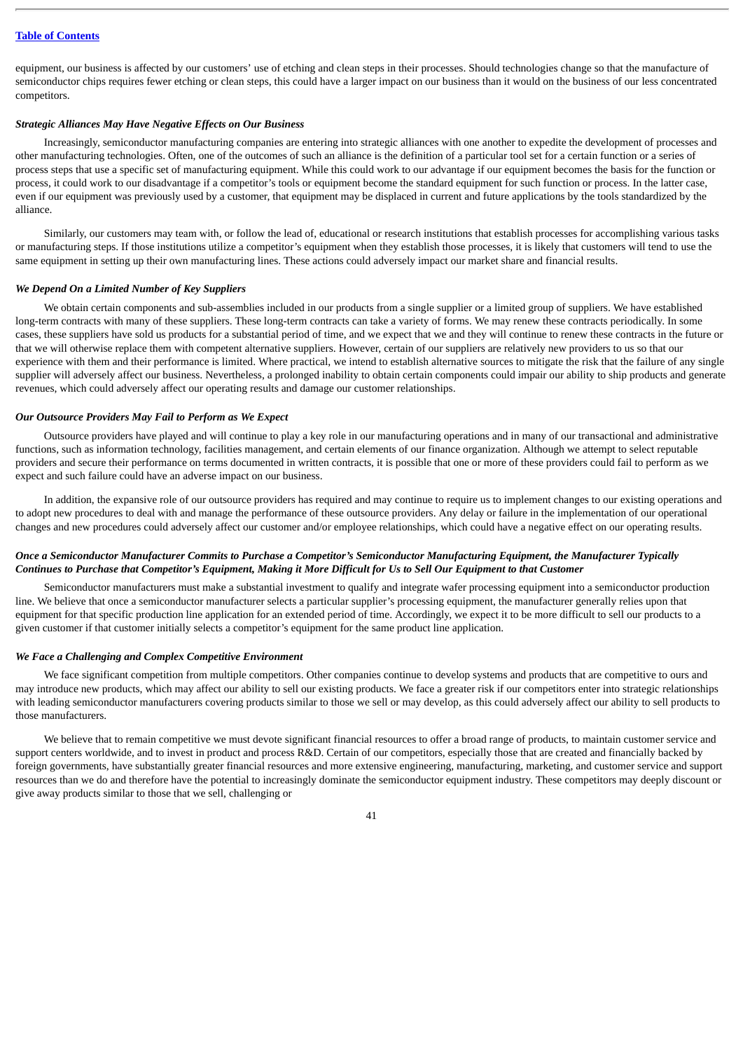equipment, our business is affected by our customers' use of etching and clean steps in their processes. Should technologies change so that the manufacture of semiconductor chips requires fewer etching or clean steps, this could have a larger impact on our business than it would on the business of our less concentrated competitors.

#### *Strategic Alliances May Have Negative Effects on Our Business*

Increasingly, semiconductor manufacturing companies are entering into strategic alliances with one another to expedite the development of processes and other manufacturing technologies. Often, one of the outcomes of such an alliance is the definition of a particular tool set for a certain function or a series of process steps that use a specific set of manufacturing equipment. While this could work to our advantage if our equipment becomes the basis for the function or process, it could work to our disadvantage if a competitor's tools or equipment become the standard equipment for such function or process. In the latter case, even if our equipment was previously used by a customer, that equipment may be displaced in current and future applications by the tools standardized by the alliance.

Similarly, our customers may team with, or follow the lead of, educational or research institutions that establish processes for accomplishing various tasks or manufacturing steps. If those institutions utilize a competitor's equipment when they establish those processes, it is likely that customers will tend to use the same equipment in setting up their own manufacturing lines. These actions could adversely impact our market share and financial results.

#### *We Depend On a Limited Number of Key Suppliers*

We obtain certain components and sub-assemblies included in our products from a single supplier or a limited group of suppliers. We have established long-term contracts with many of these suppliers. These long-term contracts can take a variety of forms. We may renew these contracts periodically. In some cases, these suppliers have sold us products for a substantial period of time, and we expect that we and they will continue to renew these contracts in the future or that we will otherwise replace them with competent alternative suppliers. However, certain of our suppliers are relatively new providers to us so that our experience with them and their performance is limited. Where practical, we intend to establish alternative sources to mitigate the risk that the failure of any single supplier will adversely affect our business. Nevertheless, a prolonged inability to obtain certain components could impair our ability to ship products and generate revenues, which could adversely affect our operating results and damage our customer relationships.

#### *Our Outsource Providers May Fail to Perform as We Expect*

Outsource providers have played and will continue to play a key role in our manufacturing operations and in many of our transactional and administrative functions, such as information technology, facilities management, and certain elements of our finance organization. Although we attempt to select reputable providers and secure their performance on terms documented in written contracts, it is possible that one or more of these providers could fail to perform as we expect and such failure could have an adverse impact on our business.

In addition, the expansive role of our outsource providers has required and may continue to require us to implement changes to our existing operations and to adopt new procedures to deal with and manage the performance of these outsource providers. Any delay or failure in the implementation of our operational changes and new procedures could adversely affect our customer and/or employee relationships, which could have a negative effect on our operating results.

#### *Once a Semiconductor Manufacturer Commits to Purchase a Competitor's Semiconductor Manufacturing Equipment, the Manufacturer Typically Continues to Purchase that Competitor's Equipment, Making it More Difficult for Us to Sell Our Equipment to that Customer*

Semiconductor manufacturers must make a substantial investment to qualify and integrate wafer processing equipment into a semiconductor production line. We believe that once a semiconductor manufacturer selects a particular supplier's processing equipment, the manufacturer generally relies upon that equipment for that specific production line application for an extended period of time. Accordingly, we expect it to be more difficult to sell our products to a given customer if that customer initially selects a competitor's equipment for the same product line application.

#### *We Face a Challenging and Complex Competitive Environment*

We face significant competition from multiple competitors. Other companies continue to develop systems and products that are competitive to ours and may introduce new products, which may affect our ability to sell our existing products. We face a greater risk if our competitors enter into strategic relationships with leading semiconductor manufacturers covering products similar to those we sell or may develop, as this could adversely affect our ability to sell products to those manufacturers.

We believe that to remain competitive we must devote significant financial resources to offer a broad range of products, to maintain customer service and support centers worldwide, and to invest in product and process R&D. Certain of our competitors, especially those that are created and financially backed by foreign governments, have substantially greater financial resources and more extensive engineering, manufacturing, marketing, and customer service and support resources than we do and therefore have the potential to increasingly dominate the semiconductor equipment industry. These competitors may deeply discount or give away products similar to those that we sell, challenging or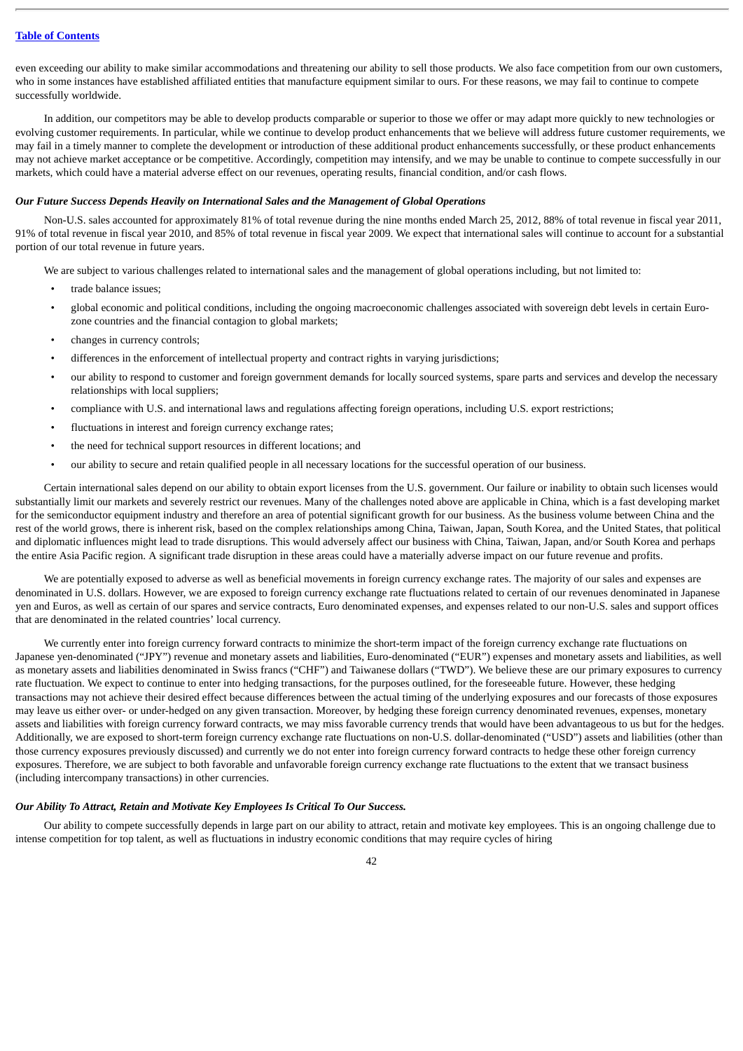even exceeding our ability to make similar accommodations and threatening our ability to sell those products. We also face competition from our own customers, who in some instances have established affiliated entities that manufacture equipment similar to ours. For these reasons, we may fail to continue to compete successfully worldwide.

In addition, our competitors may be able to develop products comparable or superior to those we offer or may adapt more quickly to new technologies or evolving customer requirements. In particular, while we continue to develop product enhancements that we believe will address future customer requirements, we may fail in a timely manner to complete the development or introduction of these additional product enhancements successfully, or these product enhancements may not achieve market acceptance or be competitive. Accordingly, competition may intensify, and we may be unable to continue to compete successfully in our markets, which could have a material adverse effect on our revenues, operating results, financial condition, and/or cash flows.

#### *Our Future Success Depends Heavily on International Sales and the Management of Global Operations*

Non-U.S. sales accounted for approximately 81% of total revenue during the nine months ended March 25, 2012, 88% of total revenue in fiscal year 2011, 91% of total revenue in fiscal year 2010, and 85% of total revenue in fiscal year 2009. We expect that international sales will continue to account for a substantial portion of our total revenue in future years.

We are subject to various challenges related to international sales and the management of global operations including, but not limited to:

- trade balance issues:
- global economic and political conditions, including the ongoing macroeconomic challenges associated with sovereign debt levels in certain Eurozone countries and the financial contagion to global markets;
- changes in currency controls;
- differences in the enforcement of intellectual property and contract rights in varying jurisdictions;
- our ability to respond to customer and foreign government demands for locally sourced systems, spare parts and services and develop the necessary relationships with local suppliers;
- compliance with U.S. and international laws and regulations affecting foreign operations, including U.S. export restrictions;
- fluctuations in interest and foreign currency exchange rates;
- the need for technical support resources in different locations; and
- our ability to secure and retain qualified people in all necessary locations for the successful operation of our business.

Certain international sales depend on our ability to obtain export licenses from the U.S. government. Our failure or inability to obtain such licenses would substantially limit our markets and severely restrict our revenues. Many of the challenges noted above are applicable in China, which is a fast developing market for the semiconductor equipment industry and therefore an area of potential significant growth for our business. As the business volume between China and the rest of the world grows, there is inherent risk, based on the complex relationships among China, Taiwan, Japan, South Korea, and the United States, that political and diplomatic influences might lead to trade disruptions. This would adversely affect our business with China, Taiwan, Japan, and/or South Korea and perhaps the entire Asia Pacific region. A significant trade disruption in these areas could have a materially adverse impact on our future revenue and profits.

We are potentially exposed to adverse as well as beneficial movements in foreign currency exchange rates. The majority of our sales and expenses are denominated in U.S. dollars. However, we are exposed to foreign currency exchange rate fluctuations related to certain of our revenues denominated in Japanese yen and Euros, as well as certain of our spares and service contracts, Euro denominated expenses, and expenses related to our non-U.S. sales and support offices that are denominated in the related countries' local currency.

We currently enter into foreign currency forward contracts to minimize the short-term impact of the foreign currency exchange rate fluctuations on Japanese yen-denominated ("JPY") revenue and monetary assets and liabilities, Euro-denominated ("EUR") expenses and monetary assets and liabilities, as well as monetary assets and liabilities denominated in Swiss francs ("CHF") and Taiwanese dollars ("TWD"). We believe these are our primary exposures to currency rate fluctuation. We expect to continue to enter into hedging transactions, for the purposes outlined, for the foreseeable future. However, these hedging transactions may not achieve their desired effect because differences between the actual timing of the underlying exposures and our forecasts of those exposures may leave us either over- or under-hedged on any given transaction. Moreover, by hedging these foreign currency denominated revenues, expenses, monetary assets and liabilities with foreign currency forward contracts, we may miss favorable currency trends that would have been advantageous to us but for the hedges. Additionally, we are exposed to short-term foreign currency exchange rate fluctuations on non-U.S. dollar-denominated ("USD") assets and liabilities (other than those currency exposures previously discussed) and currently we do not enter into foreign currency forward contracts to hedge these other foreign currency exposures. Therefore, we are subject to both favorable and unfavorable foreign currency exchange rate fluctuations to the extent that we transact business (including intercompany transactions) in other currencies.

#### *Our Ability To Attract, Retain and Motivate Key Employees Is Critical To Our Success.*

Our ability to compete successfully depends in large part on our ability to attract, retain and motivate key employees. This is an ongoing challenge due to intense competition for top talent, as well as fluctuations in industry economic conditions that may require cycles of hiring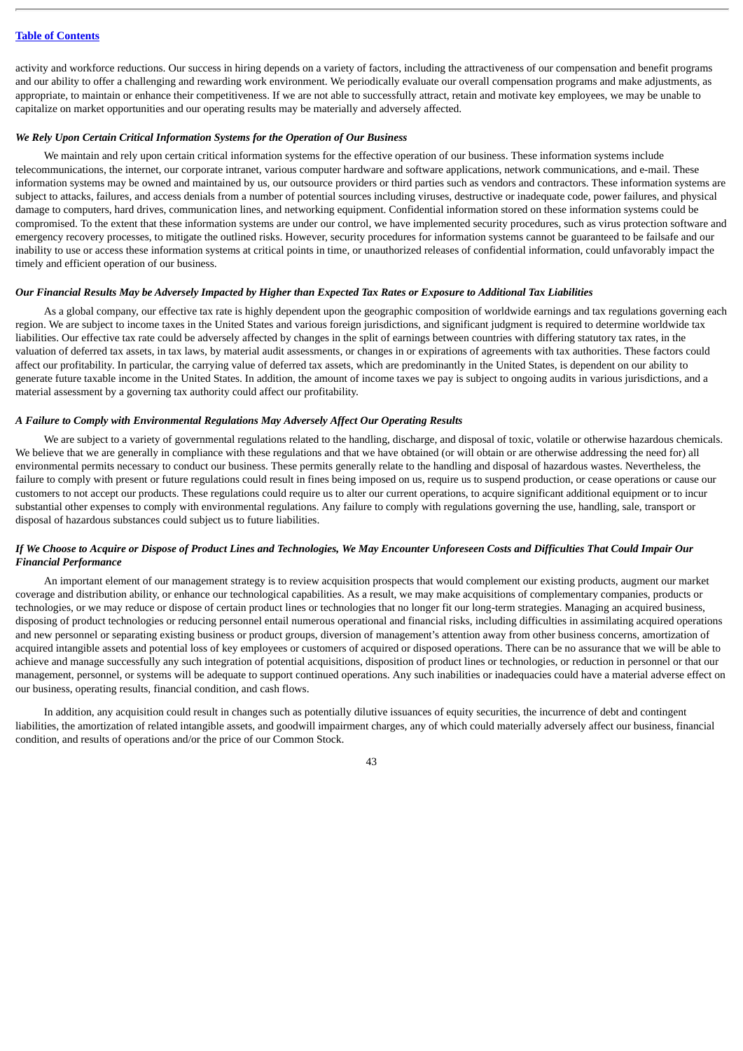activity and workforce reductions. Our success in hiring depends on a variety of factors, including the attractiveness of our compensation and benefit programs and our ability to offer a challenging and rewarding work environment. We periodically evaluate our overall compensation programs and make adjustments, as appropriate, to maintain or enhance their competitiveness. If we are not able to successfully attract, retain and motivate key employees, we may be unable to capitalize on market opportunities and our operating results may be materially and adversely affected.

#### *We Rely Upon Certain Critical Information Systems for the Operation of Our Business*

We maintain and rely upon certain critical information systems for the effective operation of our business. These information systems include telecommunications, the internet, our corporate intranet, various computer hardware and software applications, network communications, and e-mail. These information systems may be owned and maintained by us, our outsource providers or third parties such as vendors and contractors. These information systems are subject to attacks, failures, and access denials from a number of potential sources including viruses, destructive or inadequate code, power failures, and physical damage to computers, hard drives, communication lines, and networking equipment. Confidential information stored on these information systems could be compromised. To the extent that these information systems are under our control, we have implemented security procedures, such as virus protection software and emergency recovery processes, to mitigate the outlined risks. However, security procedures for information systems cannot be guaranteed to be failsafe and our inability to use or access these information systems at critical points in time, or unauthorized releases of confidential information, could unfavorably impact the timely and efficient operation of our business.

#### *Our Financial Results May be Adversely Impacted by Higher than Expected Tax Rates or Exposure to Additional Tax Liabilities*

As a global company, our effective tax rate is highly dependent upon the geographic composition of worldwide earnings and tax regulations governing each region. We are subject to income taxes in the United States and various foreign jurisdictions, and significant judgment is required to determine worldwide tax liabilities. Our effective tax rate could be adversely affected by changes in the split of earnings between countries with differing statutory tax rates, in the valuation of deferred tax assets, in tax laws, by material audit assessments, or changes in or expirations of agreements with tax authorities. These factors could affect our profitability. In particular, the carrying value of deferred tax assets, which are predominantly in the United States, is dependent on our ability to generate future taxable income in the United States. In addition, the amount of income taxes we pay is subject to ongoing audits in various jurisdictions, and a material assessment by a governing tax authority could affect our profitability.

#### *A Failure to Comply with Environmental Regulations May Adversely Affect Our Operating Results*

We are subject to a variety of governmental regulations related to the handling, discharge, and disposal of toxic, volatile or otherwise hazardous chemicals. We believe that we are generally in compliance with these regulations and that we have obtained (or will obtain or are otherwise addressing the need for) all environmental permits necessary to conduct our business. These permits generally relate to the handling and disposal of hazardous wastes. Nevertheless, the failure to comply with present or future regulations could result in fines being imposed on us, require us to suspend production, or cease operations or cause our customers to not accept our products. These regulations could require us to alter our current operations, to acquire significant additional equipment or to incur substantial other expenses to comply with environmental regulations. Any failure to comply with regulations governing the use, handling, sale, transport or disposal of hazardous substances could subject us to future liabilities.

## *If We Choose to Acquire or Dispose of Product Lines and Technologies, We May Encounter Unforeseen Costs and Difficulties That Could Impair Our Financial Performance*

An important element of our management strategy is to review acquisition prospects that would complement our existing products, augment our market coverage and distribution ability, or enhance our technological capabilities. As a result, we may make acquisitions of complementary companies, products or technologies, or we may reduce or dispose of certain product lines or technologies that no longer fit our long-term strategies. Managing an acquired business, disposing of product technologies or reducing personnel entail numerous operational and financial risks, including difficulties in assimilating acquired operations and new personnel or separating existing business or product groups, diversion of management's attention away from other business concerns, amortization of acquired intangible assets and potential loss of key employees or customers of acquired or disposed operations. There can be no assurance that we will be able to achieve and manage successfully any such integration of potential acquisitions, disposition of product lines or technologies, or reduction in personnel or that our management, personnel, or systems will be adequate to support continued operations. Any such inabilities or inadequacies could have a material adverse effect on our business, operating results, financial condition, and cash flows.

In addition, any acquisition could result in changes such as potentially dilutive issuances of equity securities, the incurrence of debt and contingent liabilities, the amortization of related intangible assets, and goodwill impairment charges, any of which could materially adversely affect our business, financial condition, and results of operations and/or the price of our Common Stock.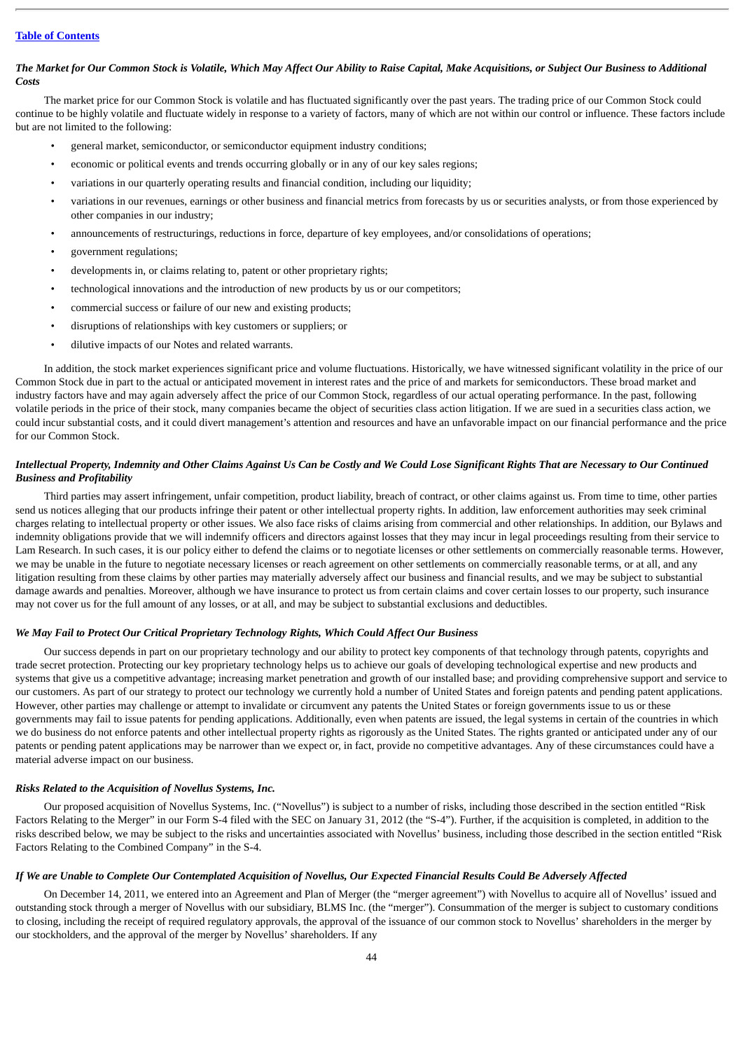## *The Market for Our Common Stock is Volatile, Which May Affect Our Ability to Raise Capital, Make Acquisitions, or Subject Our Business to Additional Costs*

The market price for our Common Stock is volatile and has fluctuated significantly over the past years. The trading price of our Common Stock could continue to be highly volatile and fluctuate widely in response to a variety of factors, many of which are not within our control or influence. These factors include but are not limited to the following:

- general market, semiconductor, or semiconductor equipment industry conditions;
- economic or political events and trends occurring globally or in any of our key sales regions;
- variations in our quarterly operating results and financial condition, including our liquidity;
- variations in our revenues, earnings or other business and financial metrics from forecasts by us or securities analysts, or from those experienced by other companies in our industry;
- announcements of restructurings, reductions in force, departure of key employees, and/or consolidations of operations;
- government regulations;
- developments in, or claims relating to, patent or other proprietary rights;
- technological innovations and the introduction of new products by us or our competitors;
- commercial success or failure of our new and existing products;
- disruptions of relationships with key customers or suppliers; or
- dilutive impacts of our Notes and related warrants.

In addition, the stock market experiences significant price and volume fluctuations. Historically, we have witnessed significant volatility in the price of our Common Stock due in part to the actual or anticipated movement in interest rates and the price of and markets for semiconductors. These broad market and industry factors have and may again adversely affect the price of our Common Stock, regardless of our actual operating performance. In the past, following volatile periods in the price of their stock, many companies became the object of securities class action litigation. If we are sued in a securities class action, we could incur substantial costs, and it could divert management's attention and resources and have an unfavorable impact on our financial performance and the price for our Common Stock.

### *Intellectual Property, Indemnity and Other Claims Against Us Can be Costly and We Could Lose Significant Rights That are Necessary to Our Continued Business and Profitability*

Third parties may assert infringement, unfair competition, product liability, breach of contract, or other claims against us. From time to time, other parties send us notices alleging that our products infringe their patent or other intellectual property rights. In addition, law enforcement authorities may seek criminal charges relating to intellectual property or other issues. We also face risks of claims arising from commercial and other relationships. In addition, our Bylaws and indemnity obligations provide that we will indemnify officers and directors against losses that they may incur in legal proceedings resulting from their service to Lam Research. In such cases, it is our policy either to defend the claims or to negotiate licenses or other settlements on commercially reasonable terms. However, we may be unable in the future to negotiate necessary licenses or reach agreement on other settlements on commercially reasonable terms, or at all, and any litigation resulting from these claims by other parties may materially adversely affect our business and financial results, and we may be subject to substantial damage awards and penalties. Moreover, although we have insurance to protect us from certain claims and cover certain losses to our property, such insurance may not cover us for the full amount of any losses, or at all, and may be subject to substantial exclusions and deductibles.

#### *We May Fail to Protect Our Critical Proprietary Technology Rights, Which Could Affect Our Business*

Our success depends in part on our proprietary technology and our ability to protect key components of that technology through patents, copyrights and trade secret protection. Protecting our key proprietary technology helps us to achieve our goals of developing technological expertise and new products and systems that give us a competitive advantage; increasing market penetration and growth of our installed base; and providing comprehensive support and service to our customers. As part of our strategy to protect our technology we currently hold a number of United States and foreign patents and pending patent applications. However, other parties may challenge or attempt to invalidate or circumvent any patents the United States or foreign governments issue to us or these governments may fail to issue patents for pending applications. Additionally, even when patents are issued, the legal systems in certain of the countries in which we do business do not enforce patents and other intellectual property rights as rigorously as the United States. The rights granted or anticipated under any of our patents or pending patent applications may be narrower than we expect or, in fact, provide no competitive advantages. Any of these circumstances could have a material adverse impact on our business.

#### *Risks Related to the Acquisition of Novellus Systems, Inc.*

Our proposed acquisition of Novellus Systems, Inc. ("Novellus") is subject to a number of risks, including those described in the section entitled "Risk Factors Relating to the Merger" in our Form S-4 filed with the SEC on January 31, 2012 (the "S-4"). Further, if the acquisition is completed, in addition to the risks described below, we may be subject to the risks and uncertainties associated with Novellus' business, including those described in the section entitled "Risk Factors Relating to the Combined Company" in the S-4.

#### *If We are Unable to Complete Our Contemplated Acquisition of Novellus, Our Expected Financial Results Could Be Adversely Affected*

On December 14, 2011, we entered into an Agreement and Plan of Merger (the "merger agreement") with Novellus to acquire all of Novellus' issued and outstanding stock through a merger of Novellus with our subsidiary, BLMS Inc. (the "merger"). Consummation of the merger is subject to customary conditions to closing, including the receipt of required regulatory approvals, the approval of the issuance of our common stock to Novellus' shareholders in the merger by our stockholders, and the approval of the merger by Novellus' shareholders. If any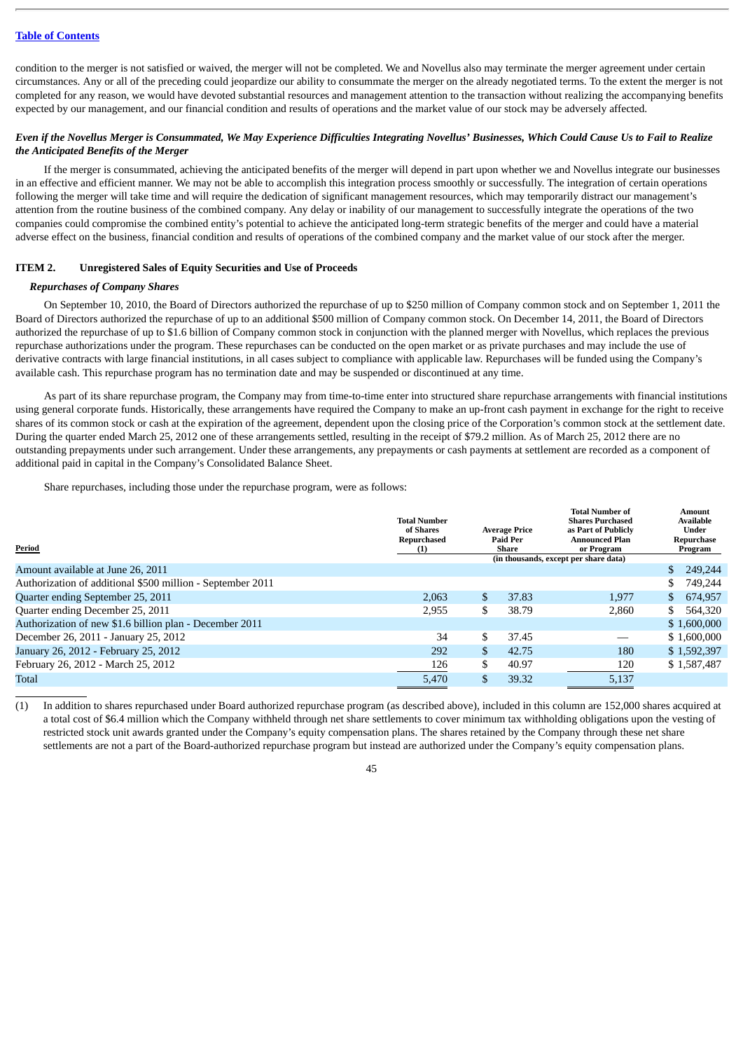condition to the merger is not satisfied or waived, the merger will not be completed. We and Novellus also may terminate the merger agreement under certain circumstances. Any or all of the preceding could jeopardize our ability to consummate the merger on the already negotiated terms. To the extent the merger is not completed for any reason, we would have devoted substantial resources and management attention to the transaction without realizing the accompanying benefits expected by our management, and our financial condition and results of operations and the market value of our stock may be adversely affected.

## *Even if the Novellus Merger is Consummated, We May Experience Difficulties Integrating Novellus' Businesses, Which Could Cause Us to Fail to Realize the Anticipated Benefits of the Merger*

If the merger is consummated, achieving the anticipated benefits of the merger will depend in part upon whether we and Novellus integrate our businesses in an effective and efficient manner. We may not be able to accomplish this integration process smoothly or successfully. The integration of certain operations following the merger will take time and will require the dedication of significant management resources, which may temporarily distract our management's attention from the routine business of the combined company. Any delay or inability of our management to successfully integrate the operations of the two companies could compromise the combined entity's potential to achieve the anticipated long-term strategic benefits of the merger and could have a material adverse effect on the business, financial condition and results of operations of the combined company and the market value of our stock after the merger.

## <span id="page-44-0"></span>**ITEM 2. Unregistered Sales of Equity Securities and Use of Proceeds**

#### *Repurchases of Company Shares*

On September 10, 2010, the Board of Directors authorized the repurchase of up to \$250 million of Company common stock and on September 1, 2011 the Board of Directors authorized the repurchase of up to an additional \$500 million of Company common stock. On December 14, 2011, the Board of Directors authorized the repurchase of up to \$1.6 billion of Company common stock in conjunction with the planned merger with Novellus, which replaces the previous repurchase authorizations under the program. These repurchases can be conducted on the open market or as private purchases and may include the use of derivative contracts with large financial institutions, in all cases subject to compliance with applicable law. Repurchases will be funded using the Company's available cash. This repurchase program has no termination date and may be suspended or discontinued at any time.

As part of its share repurchase program, the Company may from time-to-time enter into structured share repurchase arrangements with financial institutions using general corporate funds. Historically, these arrangements have required the Company to make an up-front cash payment in exchange for the right to receive shares of its common stock or cash at the expiration of the agreement, dependent upon the closing price of the Corporation's common stock at the settlement date. During the quarter ended March 25, 2012 one of these arrangements settled, resulting in the receipt of \$79.2 million. As of March 25, 2012 there are no outstanding prepayments under such arrangement. Under these arrangements, any prepayments or cash payments at settlement are recorded as a component of additional paid in capital in the Company's Consolidated Balance Sheet.

Share repurchases, including those under the repurchase program, were as follows:

| <b>Total Number</b><br>of Shares<br>Repurchased<br>(1) |             | <b>Total Number of</b><br><b>Shares Purchased</b><br>as Part of Publicly<br><b>Announced Plan</b><br>or Program | Amount<br><b>Available</b><br>Under<br>Repurchase<br>Program |
|--------------------------------------------------------|-------------|-----------------------------------------------------------------------------------------------------------------|--------------------------------------------------------------|
|                                                        |             |                                                                                                                 | 249,244                                                      |
|                                                        |             |                                                                                                                 | 749,244                                                      |
| 2.063                                                  | \$<br>37.83 | 1.977                                                                                                           | 674.957                                                      |
| 2,955                                                  | \$<br>38.79 | 2.860                                                                                                           | 564,320                                                      |
|                                                        |             |                                                                                                                 | \$1,600,000                                                  |
| 34                                                     | \$<br>37.45 |                                                                                                                 | \$1,600,000                                                  |
| 292                                                    | \$<br>42.75 | 180                                                                                                             | \$1,592,397                                                  |
| 126                                                    | \$<br>40.97 | 120                                                                                                             | \$1,587,487                                                  |
| 5,470                                                  | \$<br>39.32 | 5,137                                                                                                           |                                                              |
|                                                        |             | <b>Average Price</b><br>Paid Per<br><b>Share</b>                                                                | (in thousands, except per share data)                        |

(1) In addition to shares repurchased under Board authorized repurchase program (as described above), included in this column are 152,000 shares acquired at a total cost of \$6.4 million which the Company withheld through net share settlements to cover minimum tax withholding obligations upon the vesting of restricted stock unit awards granted under the Company's equity compensation plans. The shares retained by the Company through these net share settlements are not a part of the Board-authorized repurchase program but instead are authorized under the Company's equity compensation plans.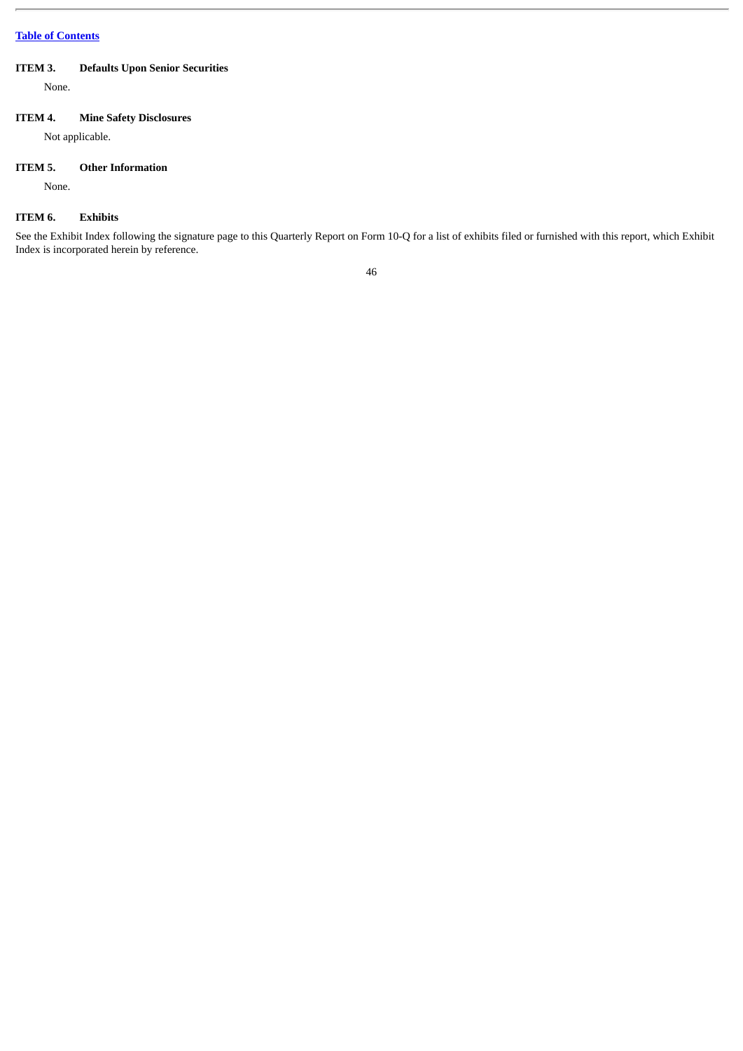## <span id="page-45-0"></span>**ITEM 3. Defaults Upon Senior Securities**

None.

## <span id="page-45-1"></span>**ITEM 4. Mine Safety Disclosures**

Not applicable.

### <span id="page-45-2"></span>**ITEM 5. Other Information**

None.

## <span id="page-45-3"></span>**ITEM 6. Exhibits**

See the Exhibit Index following the signature page to this Quarterly Report on Form 10-Q for a list of exhibits filed or furnished with this report, which Exhibit Index is incorporated herein by reference.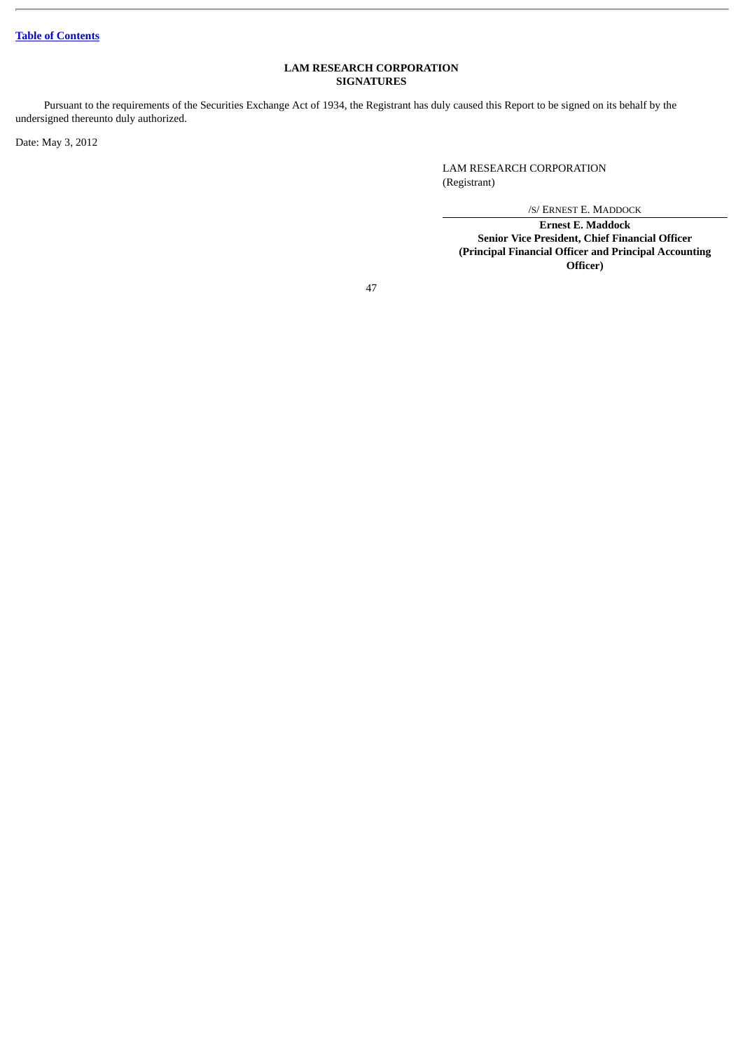## **LAM RESEARCH CORPORATION SIGNATURES**

<span id="page-46-0"></span>Pursuant to the requirements of the Securities Exchange Act of 1934, the Registrant has duly caused this Report to be signed on its behalf by the undersigned thereunto duly authorized.

Date: May 3, 2012

LAM RESEARCH CORPORATION (Registrant)

/S/ ERNEST E. MADDOCK

**Ernest E. Maddock Senior Vice President, Chief Financial Officer (Principal Financial Officer and Principal Accounting Officer)**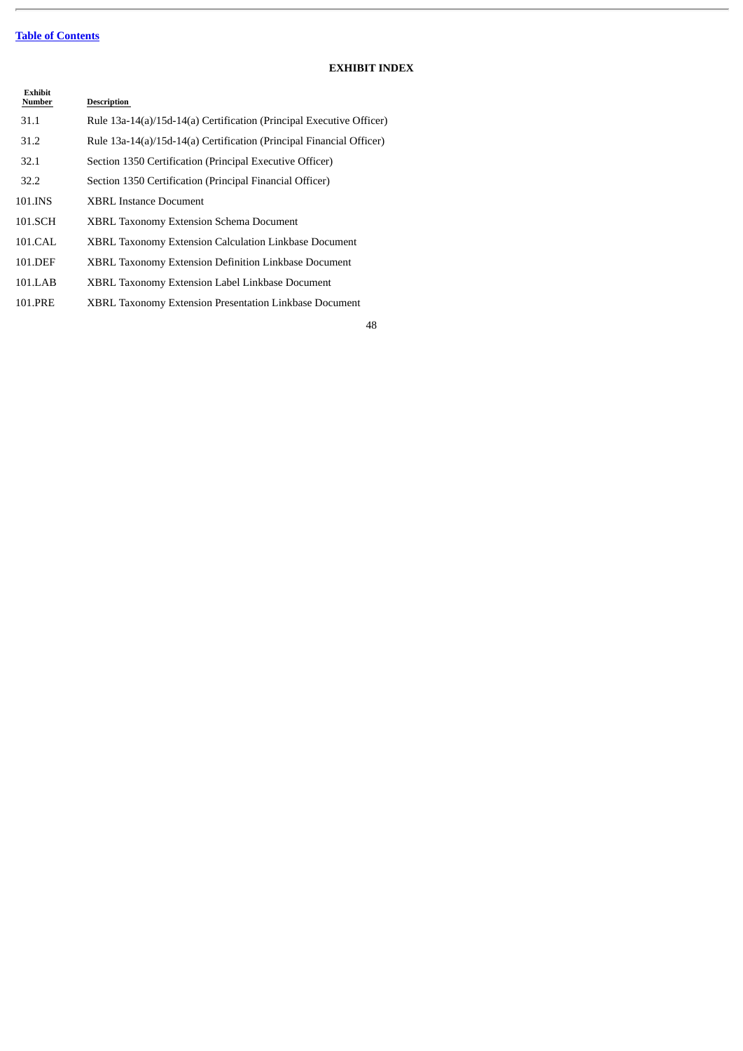$\overline{a}$ 

## **EXHIBIT INDEX**

<span id="page-47-0"></span>

| Exhibit<br>Number | <b>Description</b>                                                   |
|-------------------|----------------------------------------------------------------------|
| 31.1              | Rule 13a-14(a)/15d-14(a) Certification (Principal Executive Officer) |
| 31.2              | Rule 13a-14(a)/15d-14(a) Certification (Principal Financial Officer) |
| 32.1              | Section 1350 Certification (Principal Executive Officer)             |
| 32.2              | Section 1350 Certification (Principal Financial Officer)             |
| 101.INS           | <b>XBRL Instance Document</b>                                        |
| 101.SCH           | <b>XBRL Taxonomy Extension Schema Document</b>                       |
| 101.CAL           | XBRL Taxonomy Extension Calculation Linkbase Document                |
| 101.DEF           | XBRL Taxonomy Extension Definition Linkbase Document                 |
| 101.LAB           | XBRL Taxonomy Extension Label Linkbase Document                      |
| 101.PRE           | XBRL Taxonomy Extension Presentation Linkbase Document               |
|                   |                                                                      |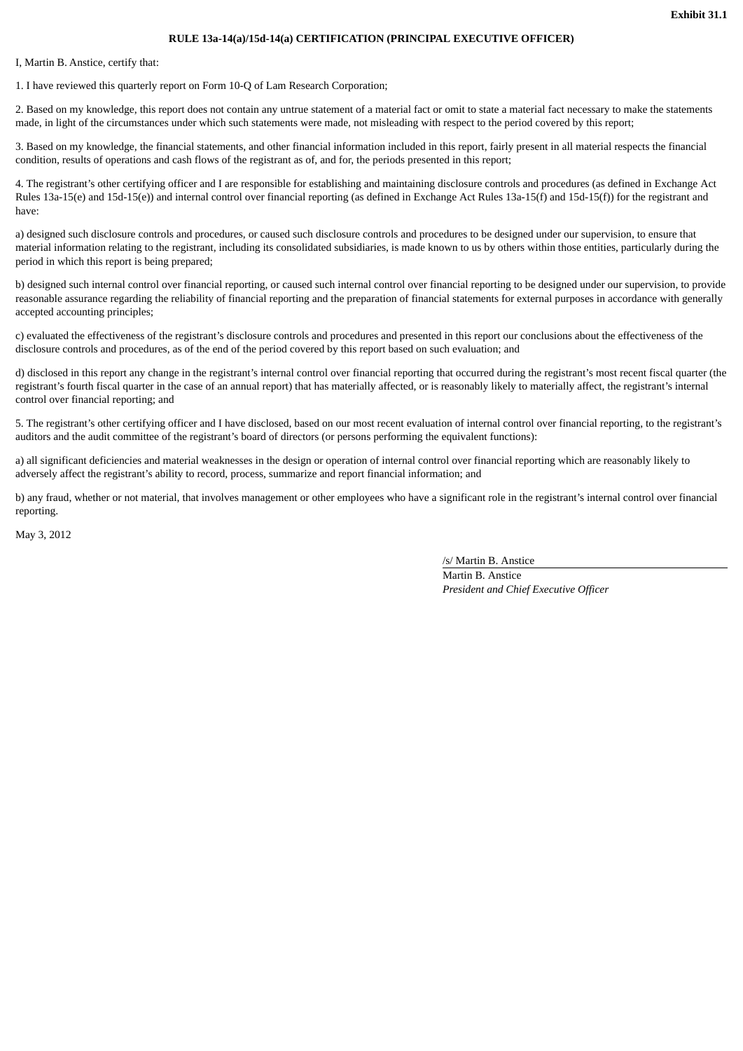## **RULE 13a-14(a)/15d-14(a) CERTIFICATION (PRINCIPAL EXECUTIVE OFFICER)**

I, Martin B. Anstice, certify that:

1. I have reviewed this quarterly report on Form 10-Q of Lam Research Corporation;

2. Based on my knowledge, this report does not contain any untrue statement of a material fact or omit to state a material fact necessary to make the statements made, in light of the circumstances under which such statements were made, not misleading with respect to the period covered by this report;

3. Based on my knowledge, the financial statements, and other financial information included in this report, fairly present in all material respects the financial condition, results of operations and cash flows of the registrant as of, and for, the periods presented in this report;

4. The registrant's other certifying officer and I are responsible for establishing and maintaining disclosure controls and procedures (as defined in Exchange Act Rules 13a-15(e) and 15d-15(e)) and internal control over financial reporting (as defined in Exchange Act Rules 13a-15(f) and 15d-15(f)) for the registrant and have:

a) designed such disclosure controls and procedures, or caused such disclosure controls and procedures to be designed under our supervision, to ensure that material information relating to the registrant, including its consolidated subsidiaries, is made known to us by others within those entities, particularly during the period in which this report is being prepared;

b) designed such internal control over financial reporting, or caused such internal control over financial reporting to be designed under our supervision, to provide reasonable assurance regarding the reliability of financial reporting and the preparation of financial statements for external purposes in accordance with generally accepted accounting principles;

c) evaluated the effectiveness of the registrant's disclosure controls and procedures and presented in this report our conclusions about the effectiveness of the disclosure controls and procedures, as of the end of the period covered by this report based on such evaluation; and

d) disclosed in this report any change in the registrant's internal control over financial reporting that occurred during the registrant's most recent fiscal quarter (the registrant's fourth fiscal quarter in the case of an annual report) that has materially affected, or is reasonably likely to materially affect, the registrant's internal control over financial reporting; and

5. The registrant's other certifying officer and I have disclosed, based on our most recent evaluation of internal control over financial reporting, to the registrant's auditors and the audit committee of the registrant's board of directors (or persons performing the equivalent functions):

a) all significant deficiencies and material weaknesses in the design or operation of internal control over financial reporting which are reasonably likely to adversely affect the registrant's ability to record, process, summarize and report financial information; and

b) any fraud, whether or not material, that involves management or other employees who have a significant role in the registrant's internal control over financial reporting.

May 3, 2012

/s/ Martin B. Anstice

Martin B. Anstice *President and Chief Executive Officer*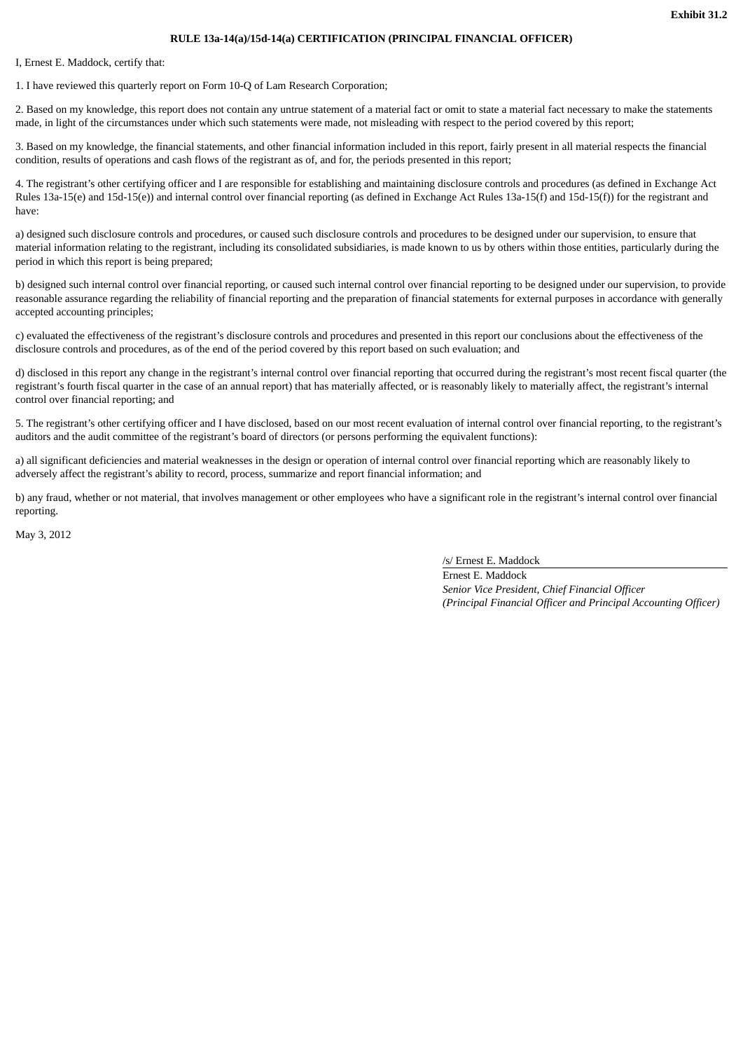## **RULE 13a-14(a)/15d-14(a) CERTIFICATION (PRINCIPAL FINANCIAL OFFICER)**

I, Ernest E. Maddock, certify that:

1. I have reviewed this quarterly report on Form 10-Q of Lam Research Corporation;

2. Based on my knowledge, this report does not contain any untrue statement of a material fact or omit to state a material fact necessary to make the statements made, in light of the circumstances under which such statements were made, not misleading with respect to the period covered by this report;

3. Based on my knowledge, the financial statements, and other financial information included in this report, fairly present in all material respects the financial condition, results of operations and cash flows of the registrant as of, and for, the periods presented in this report;

4. The registrant's other certifying officer and I are responsible for establishing and maintaining disclosure controls and procedures (as defined in Exchange Act Rules 13a-15(e) and 15d-15(e)) and internal control over financial reporting (as defined in Exchange Act Rules 13a-15(f) and 15d-15(f)) for the registrant and have:

a) designed such disclosure controls and procedures, or caused such disclosure controls and procedures to be designed under our supervision, to ensure that material information relating to the registrant, including its consolidated subsidiaries, is made known to us by others within those entities, particularly during the period in which this report is being prepared;

b) designed such internal control over financial reporting, or caused such internal control over financial reporting to be designed under our supervision, to provide reasonable assurance regarding the reliability of financial reporting and the preparation of financial statements for external purposes in accordance with generally accepted accounting principles;

c) evaluated the effectiveness of the registrant's disclosure controls and procedures and presented in this report our conclusions about the effectiveness of the disclosure controls and procedures, as of the end of the period covered by this report based on such evaluation; and

d) disclosed in this report any change in the registrant's internal control over financial reporting that occurred during the registrant's most recent fiscal quarter (the registrant's fourth fiscal quarter in the case of an annual report) that has materially affected, or is reasonably likely to materially affect, the registrant's internal control over financial reporting; and

5. The registrant's other certifying officer and I have disclosed, based on our most recent evaluation of internal control over financial reporting, to the registrant's auditors and the audit committee of the registrant's board of directors (or persons performing the equivalent functions):

a) all significant deficiencies and material weaknesses in the design or operation of internal control over financial reporting which are reasonably likely to adversely affect the registrant's ability to record, process, summarize and report financial information; and

b) any fraud, whether or not material, that involves management or other employees who have a significant role in the registrant's internal control over financial reporting.

May 3, 2012

/s/ Ernest E. Maddock

Ernest E. Maddock *Senior Vice President, Chief Financial Officer (Principal Financial Officer and Principal Accounting Officer)*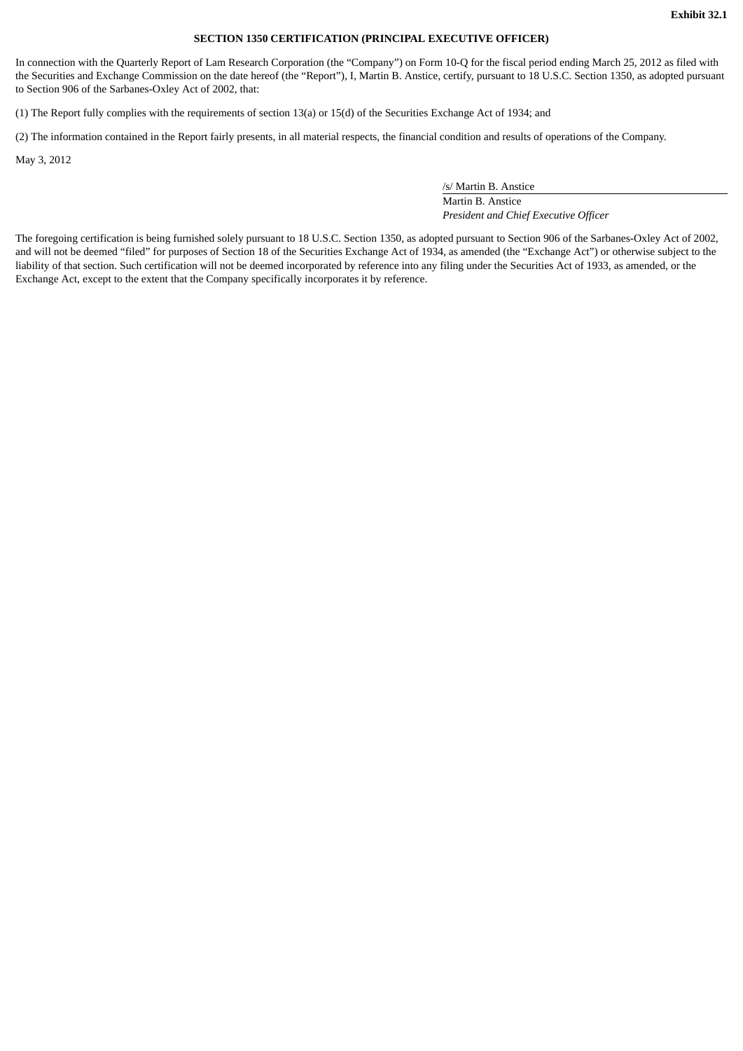## **SECTION 1350 CERTIFICATION (PRINCIPAL EXECUTIVE OFFICER)**

In connection with the Quarterly Report of Lam Research Corporation (the "Company") on Form 10-Q for the fiscal period ending March 25, 2012 as filed with the Securities and Exchange Commission on the date hereof (the "Report"), I, Martin B. Anstice, certify, pursuant to 18 U.S.C. Section 1350, as adopted pursuant to Section 906 of the Sarbanes-Oxley Act of 2002, that:

(1) The Report fully complies with the requirements of section 13(a) or 15(d) of the Securities Exchange Act of 1934; and

(2) The information contained in the Report fairly presents, in all material respects, the financial condition and results of operations of the Company.

May 3, 2012

/s/ Martin B. Anstice Martin B. Anstice

*President and Chief Executive Officer*

The foregoing certification is being furnished solely pursuant to 18 U.S.C. Section 1350, as adopted pursuant to Section 906 of the Sarbanes-Oxley Act of 2002, and will not be deemed "filed" for purposes of Section 18 of the Securities Exchange Act of 1934, as amended (the "Exchange Act") or otherwise subject to the liability of that section. Such certification will not be deemed incorporated by reference into any filing under the Securities Act of 1933, as amended, or the Exchange Act, except to the extent that the Company specifically incorporates it by reference.